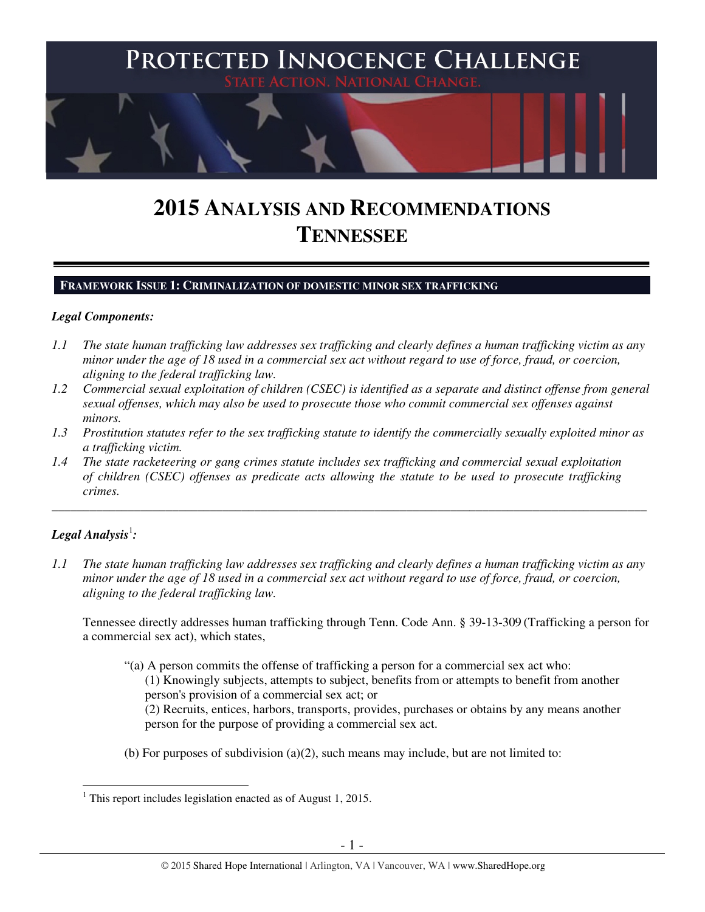

# **2015 ANALYSIS AND RECOMMENDATIONS TENNESSEE**

# **FRAMEWORK ISSUE 1: CRIMINALIZATION OF DOMESTIC MINOR SEX TRAFFICKING**

## *Legal Components:*

- *1.1 The state human trafficking law addresses sex trafficking and clearly defines a human trafficking victim as any minor under the age of 18 used in a commercial sex act without regard to use of force, fraud, or coercion, aligning to the federal trafficking law.*
- *1.2 Commercial sexual exploitation of children (CSEC) is identified as a separate and distinct offense from general sexual offenses, which may also be used to prosecute those who commit commercial sex offenses against minors.*
- *1.3 Prostitution statutes refer to the sex trafficking statute to identify the commercially sexually exploited minor as a trafficking victim.*

\_\_\_\_\_\_\_\_\_\_\_\_\_\_\_\_\_\_\_\_\_\_\_\_\_\_\_\_\_\_\_\_\_\_\_\_\_\_\_\_\_\_\_\_\_\_\_\_\_\_\_\_\_\_\_\_\_\_\_\_\_\_\_\_\_\_\_\_\_\_\_\_\_\_\_\_\_\_\_\_\_\_\_\_\_\_\_\_\_\_\_\_\_\_

*1.4 The state racketeering or gang crimes statute includes sex trafficking and commercial sexual exploitation of children (CSEC) offenses as predicate acts allowing the statute to be used to prosecute trafficking crimes.* 

# $\bm{L}$ egal Analysis $^{\rm l}$ :

*1.1 The state human trafficking law addresses sex trafficking and clearly defines a human trafficking victim as any minor under the age of 18 used in a commercial sex act without regard to use of force, fraud, or coercion, aligning to the federal trafficking law.* 

Tennessee directly addresses human trafficking through Tenn. Code Ann. § 39-13-309 (Trafficking a person for a commercial sex act), which states,

- "(a) A person commits the offense of trafficking a person for a commercial sex act who: (1) Knowingly subjects, attempts to subject, benefits from or attempts to benefit from another person's provision of a commercial sex act; or (2) Recruits, entices, harbors, transports, provides, purchases or obtains by any means another person for the purpose of providing a commercial sex act.
- (b) For purposes of subdivision  $(a)(2)$ , such means may include, but are not limited to:

 $\overline{a}$ <sup>1</sup> This report includes legislation enacted as of August 1, 2015.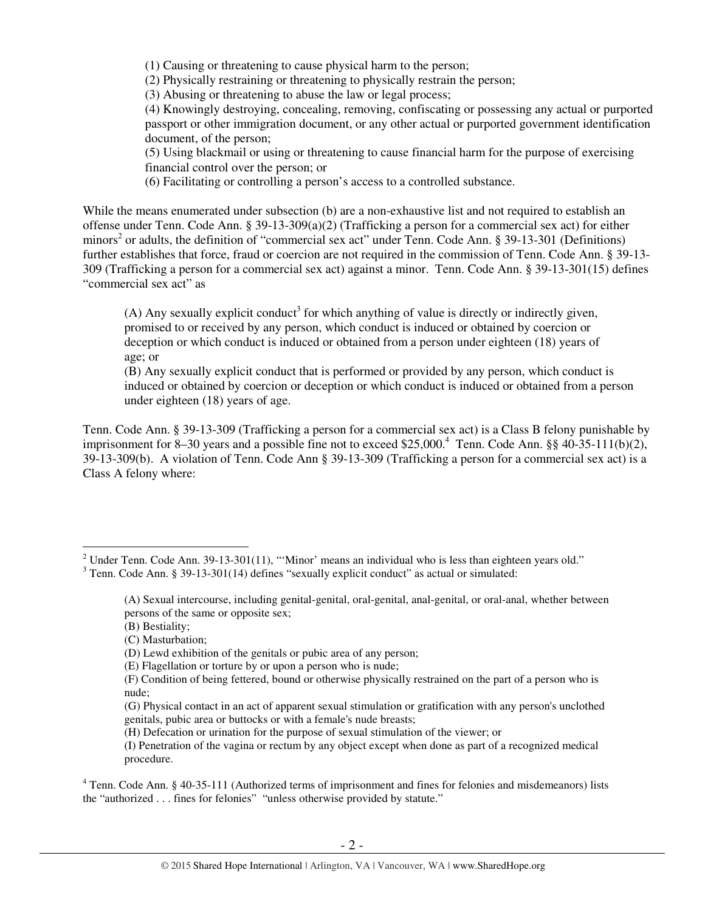(1) Causing or threatening to cause physical harm to the person;

(2) Physically restraining or threatening to physically restrain the person;

(3) Abusing or threatening to abuse the law or legal process;

(4) Knowingly destroying, concealing, removing, confiscating or possessing any actual or purported passport or other immigration document, or any other actual or purported government identification document, of the person;

(5) Using blackmail or using or threatening to cause financial harm for the purpose of exercising financial control over the person; or

(6) Facilitating or controlling a person's access to a controlled substance.

While the means enumerated under subsection (b) are a non-exhaustive list and not required to establish an offense under Tenn. Code Ann. § 39-13-309(a)(2) (Trafficking a person for a commercial sex act) for either minors<sup>2</sup> or adults, the definition of "commercial sex act" under Tenn. Code Ann. § 39-13-301 (Definitions) further establishes that force, fraud or coercion are not required in the commission of Tenn. Code Ann. § 39-13- 309 (Trafficking a person for a commercial sex act) against a minor. Tenn. Code Ann. § 39-13-301(15) defines "commercial sex act" as

(A) Any sexually explicit conduct<sup>3</sup> for which anything of value is directly or indirectly given, promised to or received by any person, which conduct is induced or obtained by coercion or deception or which conduct is induced or obtained from a person under eighteen (18) years of age; or

(B) Any sexually explicit conduct that is performed or provided by any person, which conduct is induced or obtained by coercion or deception or which conduct is induced or obtained from a person under eighteen (18) years of age.

Tenn. Code Ann. § 39-13-309 (Trafficking a person for a commercial sex act) is a Class B felony punishable by imprisonment for 8–30 years and a possible fine not to exceed \$25,000.<sup>4</sup> Tenn. Code Ann. §§ 40-35-111(b)(2), 39-13-309(b). A violation of Tenn. Code Ann § 39-13-309 (Trafficking a person for a commercial sex act) is a Class A felony where:

<sup>&</sup>lt;sup>2</sup> Under Tenn. Code Ann. 39-13-301(11), "'Minor' means an individual who is less than eighteen years old."

 $3$  Tenn. Code Ann. § 39-13-301(14) defines "sexually explicit conduct" as actual or simulated:

<sup>(</sup>A) Sexual intercourse, including genital-genital, oral-genital, anal-genital, or oral-anal, whether between persons of the same or opposite sex;

<sup>(</sup>B) Bestiality;

<sup>(</sup>C) Masturbation;

<sup>(</sup>D) Lewd exhibition of the genitals or pubic area of any person;

<sup>(</sup>E) Flagellation or torture by or upon a person who is nude;

<sup>(</sup>F) Condition of being fettered, bound or otherwise physically restrained on the part of a person who is nude;

<sup>(</sup>G) Physical contact in an act of apparent sexual stimulation or gratification with any person's unclothed genitals, pubic area or buttocks or with a female's nude breasts;

<sup>(</sup>H) Defecation or urination for the purpose of sexual stimulation of the viewer; or

<sup>(</sup>I) Penetration of the vagina or rectum by any object except when done as part of a recognized medical procedure.

<sup>&</sup>lt;sup>4</sup> Tenn. Code Ann. § 40-35-111 (Authorized terms of imprisonment and fines for felonies and misdemeanors) lists the "authorized . . . fines for felonies" "unless otherwise provided by statute."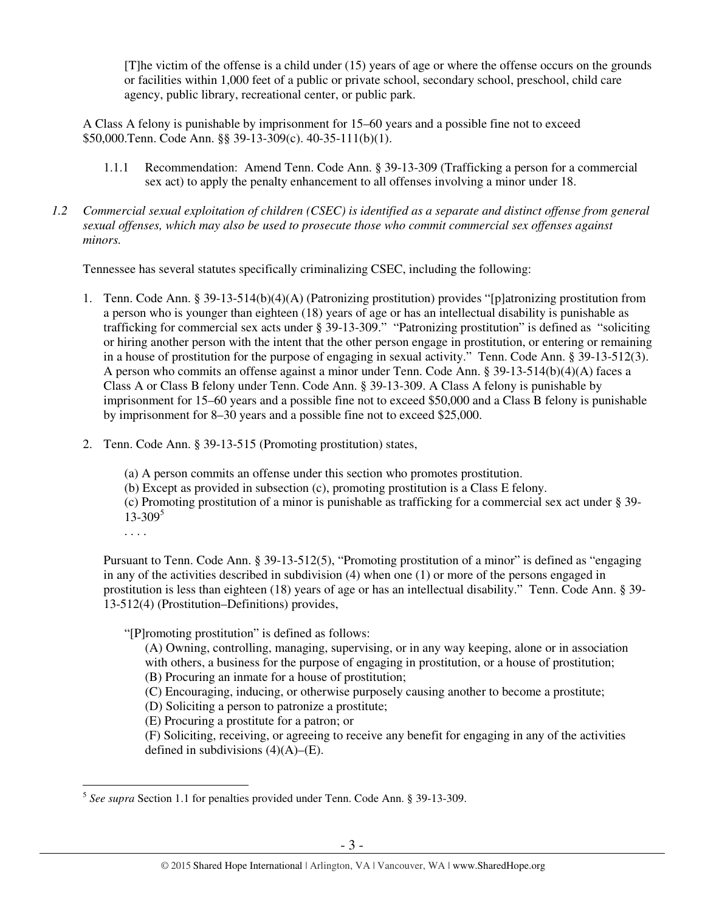[T]he victim of the offense is a child under (15) years of age or where the offense occurs on the grounds or facilities within 1,000 feet of a public or private school, secondary school, preschool, child care agency, public library, recreational center, or public park.

A Class A felony is punishable by imprisonment for 15–60 years and a possible fine not to exceed \$50,000.Tenn. Code Ann. §§ 39-13-309(c). 40-35-111(b)(1).

- 1.1.1 Recommendation: Amend Tenn. Code Ann. § 39-13-309 (Trafficking a person for a commercial sex act) to apply the penalty enhancement to all offenses involving a minor under 18.
- *1.2 Commercial sexual exploitation of children (CSEC) is identified as a separate and distinct offense from general sexual offenses, which may also be used to prosecute those who commit commercial sex offenses against minors.*

Tennessee has several statutes specifically criminalizing CSEC, including the following:

- 1. Tenn. Code Ann. § 39-13-514(b)(4)(A) (Patronizing prostitution) provides "[p]atronizing prostitution from a person who is younger than eighteen (18) years of age or has an intellectual disability is punishable as trafficking for commercial sex acts under § 39-13-309." "Patronizing prostitution" is defined as "soliciting or hiring another person with the intent that the other person engage in prostitution, or entering or remaining in a house of prostitution for the purpose of engaging in sexual activity." Tenn. Code Ann. § 39-13-512(3). A person who commits an offense against a minor under Tenn. Code Ann. § 39-13-514(b)(4)(A) faces a Class A or Class B felony under Tenn. Code Ann. § 39-13-309. A Class A felony is punishable by imprisonment for 15–60 years and a possible fine not to exceed \$50,000 and a Class B felony is punishable by imprisonment for 8–30 years and a possible fine not to exceed \$25,000.
- 2. Tenn. Code Ann. § 39-13-515 (Promoting prostitution) states,

(a) A person commits an offense under this section who promotes prostitution.

(b) Except as provided in subsection (c), promoting prostitution is a Class E felony.

(c) Promoting prostitution of a minor is punishable as trafficking for a commercial sex act under § 39-  $13 - 309^5$ 

. . . .

Pursuant to Tenn. Code Ann. § 39-13-512(5), "Promoting prostitution of a minor" is defined as "engaging in any of the activities described in subdivision (4) when one (1) or more of the persons engaged in prostitution is less than eighteen (18) years of age or has an intellectual disability." Tenn. Code Ann. § 39- 13-512(4) (Prostitution–Definitions) provides,

"[P]romoting prostitution" is defined as follows:

(A) Owning, controlling, managing, supervising, or in any way keeping, alone or in association with others, a business for the purpose of engaging in prostitution, or a house of prostitution; (B) Procuring an inmate for a house of prostitution;

- (C) Encouraging, inducing, or otherwise purposely causing another to become a prostitute;
- (D) Soliciting a person to patronize a prostitute;

(E) Procuring a prostitute for a patron; or

(F) Soliciting, receiving, or agreeing to receive any benefit for engaging in any of the activities defined in subdivisions  $(4)(A)$ – $(E)$ .

 5 *See supra* Section 1.1 for penalties provided under Tenn. Code Ann. § 39-13-309.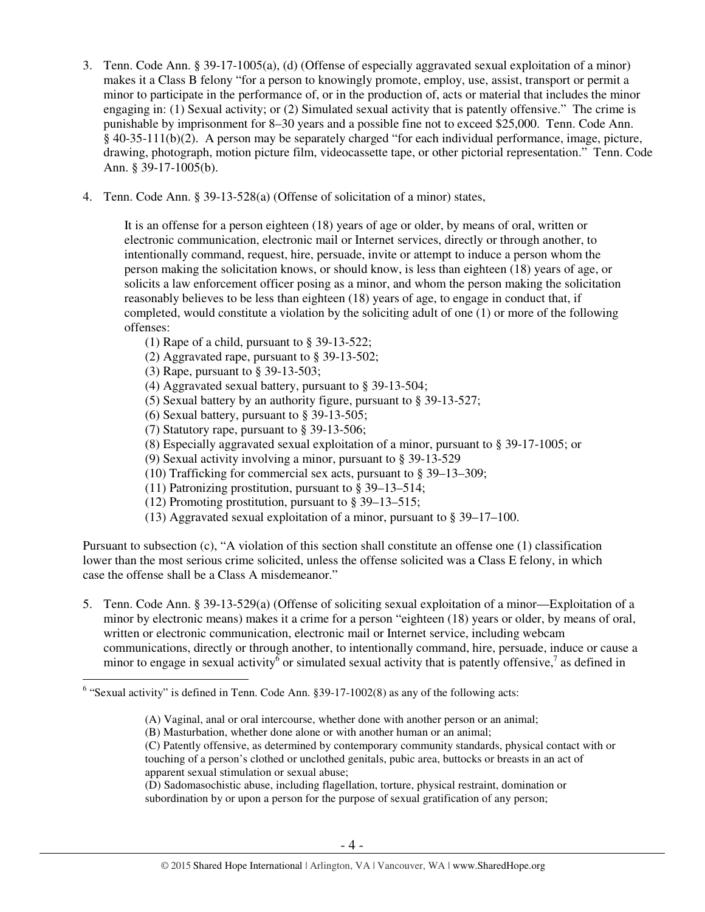- 3. Tenn. Code Ann. § 39-17-1005(a), (d) (Offense of especially aggravated sexual exploitation of a minor) makes it a Class B felony "for a person to knowingly promote, employ, use, assist, transport or permit a minor to participate in the performance of, or in the production of, acts or material that includes the minor engaging in: (1) Sexual activity; or (2) Simulated sexual activity that is patently offensive." The crime is punishable by imprisonment for 8–30 years and a possible fine not to exceed \$25,000. Tenn. Code Ann. § 40-35-111(b)(2). A person may be separately charged "for each individual performance, image, picture, drawing, photograph, motion picture film, videocassette tape, or other pictorial representation." Tenn. Code Ann. § 39-17-1005(b).
- 4. Tenn. Code Ann. § 39-13-528(a) (Offense of solicitation of a minor) states,

It is an offense for a person eighteen (18) years of age or older, by means of oral, written or electronic communication, electronic mail or Internet services, directly or through another, to intentionally command, request, hire, persuade, invite or attempt to induce a person whom the person making the solicitation knows, or should know, is less than eighteen (18) years of age, or solicits a law enforcement officer posing as a minor, and whom the person making the solicitation reasonably believes to be less than eighteen (18) years of age, to engage in conduct that, if completed, would constitute a violation by the soliciting adult of one (1) or more of the following offenses:

- (1) Rape of a child, pursuant to § 39-13-522;
- (2) Aggravated rape, pursuant to § 39-13-502;
- (3) Rape, pursuant to § 39-13-503;
- (4) Aggravated sexual battery, pursuant to § 39-13-504;
- (5) Sexual battery by an authority figure, pursuant to § 39-13-527;
- (6) Sexual battery, pursuant to § 39-13-505;
- (7) Statutory rape, pursuant to § 39-13-506;
- (8) Especially aggravated sexual exploitation of a minor, pursuant to § 39-17-1005; or
- (9) Sexual activity involving a minor, pursuant to § 39-13-529
- (10) Trafficking for commercial sex acts, pursuant to § 39–13–309;
- (11) Patronizing prostitution, pursuant to § 39–13–514;
- (12) Promoting prostitution, pursuant to § 39–13–515;
- (13) Aggravated sexual exploitation of a minor, pursuant to § 39–17–100.

Pursuant to subsection (c), "A violation of this section shall constitute an offense one (1) classification lower than the most serious crime solicited, unless the offense solicited was a Class E felony, in which case the offense shall be a Class A misdemeanor."

5. Tenn. Code Ann. § 39-13-529(a) (Offense of soliciting sexual exploitation of a minor—Exploitation of a minor by electronic means) makes it a crime for a person "eighteen (18) years or older, by means of oral, written or electronic communication, electronic mail or Internet service, including webcam communications, directly or through another, to intentionally command, hire, persuade, induce or cause a minor to engage in sexual activity<sup>6</sup> or simulated sexual activity that is patently offensive,<sup>7</sup> as defined in

(B) Masturbation, whether done alone or with another human or an animal;

(D) Sadomasochistic abuse, including flagellation, torture, physical restraint, domination or subordination by or upon a person for the purpose of sexual gratification of any person;

 6 "Sexual activity" is defined in Tenn. Code Ann. §39-17-1002(8) as any of the following acts:

<sup>(</sup>A) Vaginal, anal or oral intercourse, whether done with another person or an animal;

<sup>(</sup>C) Patently offensive, as determined by contemporary community standards, physical contact with or touching of a person's clothed or unclothed genitals, pubic area, buttocks or breasts in an act of apparent sexual stimulation or sexual abuse;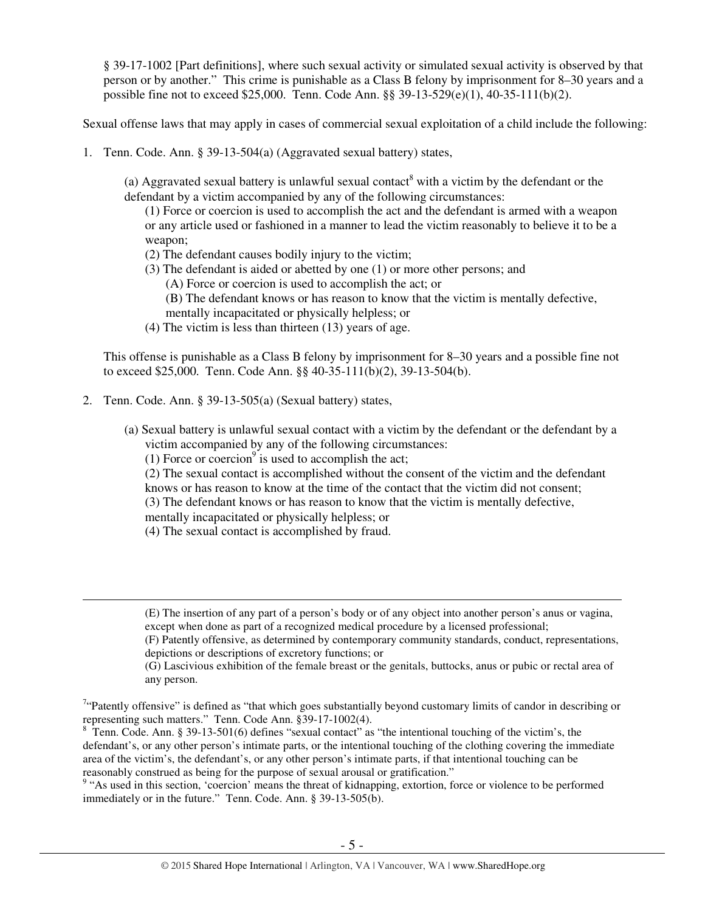§ 39-17-1002 [Part definitions], where such sexual activity or simulated sexual activity is observed by that person or by another." This crime is punishable as a Class B felony by imprisonment for 8–30 years and a possible fine not to exceed \$25,000. Tenn. Code Ann. §§ 39-13-529(e)(1), 40-35-111(b)(2).

Sexual offense laws that may apply in cases of commercial sexual exploitation of a child include the following:

1. Tenn. Code. Ann. § 39-13-504(a) (Aggravated sexual battery) states,

(a) Aggravated sexual battery is unlawful sexual contact<sup>8</sup> with a victim by the defendant or the defendant by a victim accompanied by any of the following circumstances:

(1) Force or coercion is used to accomplish the act and the defendant is armed with a weapon or any article used or fashioned in a manner to lead the victim reasonably to believe it to be a weapon;

- (2) The defendant causes bodily injury to the victim;
- (3) The defendant is aided or abetted by one (1) or more other persons; and
	- (A) Force or coercion is used to accomplish the act; or
	- (B) The defendant knows or has reason to know that the victim is mentally defective,
	- mentally incapacitated or physically helpless; or
- (4) The victim is less than thirteen (13) years of age.

This offense is punishable as a Class B felony by imprisonment for 8–30 years and a possible fine not to exceed \$25,000. Tenn. Code Ann. §§ 40-35-111(b)(2), 39-13-504(b).

2. Tenn. Code. Ann. § 39-13-505(a) (Sexual battery) states,

- (a) Sexual battery is unlawful sexual contact with a victim by the defendant or the defendant by a victim accompanied by any of the following circumstances:
	- (1) Force or coercion<sup>9</sup> is used to accomplish the act;
	- (2) The sexual contact is accomplished without the consent of the victim and the defendant
	- knows or has reason to know at the time of the contact that the victim did not consent;
	- (3) The defendant knows or has reason to know that the victim is mentally defective,
	- mentally incapacitated or physically helpless; or
	- (4) The sexual contact is accomplished by fraud.

<sup>(</sup>E) The insertion of any part of a person's body or of any object into another person's anus or vagina, except when done as part of a recognized medical procedure by a licensed professional;

<sup>(</sup>F) Patently offensive, as determined by contemporary community standards, conduct, representations, depictions or descriptions of excretory functions; or

<sup>(</sup>G) Lascivious exhibition of the female breast or the genitals, buttocks, anus or pubic or rectal area of any person.

 $7$ "Patently offensive" is defined as "that which goes substantially beyond customary limits of candor in describing or representing such matters." Tenn. Code Ann. §39-17-1002(4).

<sup>&</sup>lt;sup>8</sup> Tenn. Code. Ann. § 39-13-501(6) defines "sexual contact" as "the intentional touching of the victim's, the defendant's, or any other person's intimate parts, or the intentional touching of the clothing covering the immediate area of the victim's, the defendant's, or any other person's intimate parts, if that intentional touching can be reasonably construed as being for the purpose of sexual arousal or gratification."

<sup>&</sup>lt;sup>9</sup> "As used in this section, 'coercion' means the threat of kidnapping, extortion, force or violence to be performed immediately or in the future." Tenn. Code. Ann. § 39-13-505(b).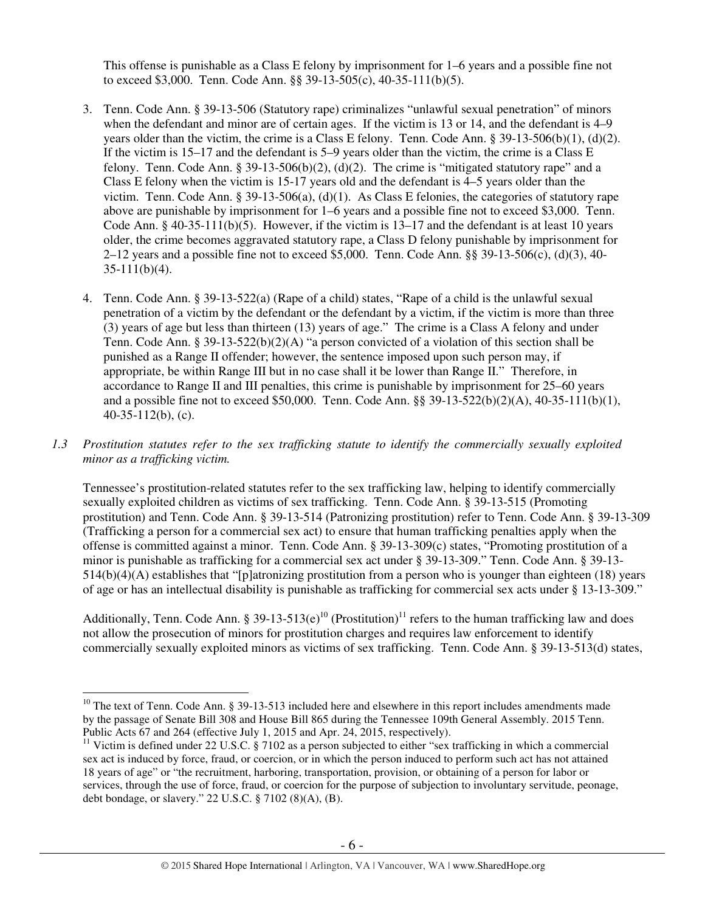This offense is punishable as a Class E felony by imprisonment for 1–6 years and a possible fine not to exceed \$3,000. Tenn. Code Ann. §§ 39-13-505(c), 40-35-111(b)(5).

- 3. Tenn. Code Ann. § 39-13-506 (Statutory rape) criminalizes "unlawful sexual penetration" of minors when the defendant and minor are of certain ages. If the victim is 13 or 14, and the defendant is 4–9 years older than the victim, the crime is a Class E felony. Tenn. Code Ann. § 39-13-506(b)(1), (d)(2). If the victim is 15–17 and the defendant is 5–9 years older than the victim, the crime is a Class E felony. Tenn. Code Ann. § 39-13-506(b)(2), (d)(2). The crime is "mitigated statutory rape" and a Class E felony when the victim is 15-17 years old and the defendant is 4–5 years older than the victim. Tenn. Code Ann. § 39-13-506(a), (d)(1). As Class E felonies, the categories of statutory rape above are punishable by imprisonment for 1–6 years and a possible fine not to exceed \$3,000. Tenn. Code Ann.  $\S$  40-35-111(b)(5). However, if the victim is 13–17 and the defendant is at least 10 years older, the crime becomes aggravated statutory rape, a Class D felony punishable by imprisonment for 2–12 years and a possible fine not to exceed \$5,000. Tenn. Code Ann. §§ 39-13-506(c), (d)(3), 40-  $35-111(b)(4)$ .
- 4. Tenn. Code Ann. § 39-13-522(a) (Rape of a child) states, "Rape of a child is the unlawful sexual penetration of a victim by the defendant or the defendant by a victim, if the victim is more than three (3) years of age but less than thirteen (13) years of age." The crime is a Class A felony and under Tenn. Code Ann. § 39-13-522(b)(2)(A) "a person convicted of a violation of this section shall be punished as a Range II offender; however, the sentence imposed upon such person may, if appropriate, be within Range III but in no case shall it be lower than Range II." Therefore, in accordance to Range II and III penalties, this crime is punishable by imprisonment for 25–60 years and a possible fine not to exceed \$50,000. Tenn. Code Ann. §§ 39-13-522(b)(2)(A), 40-35-111(b)(1),  $40-35-112(b)$ , (c).
- *1.3 Prostitution statutes refer to the sex trafficking statute to identify the commercially sexually exploited minor as a trafficking victim.*

Tennessee's prostitution-related statutes refer to the sex trafficking law, helping to identify commercially sexually exploited children as victims of sex trafficking. Tenn. Code Ann. § 39-13-515 (Promoting prostitution) and Tenn. Code Ann. § 39-13-514 (Patronizing prostitution) refer to Tenn. Code Ann. § 39-13-309 (Trafficking a person for a commercial sex act) to ensure that human trafficking penalties apply when the offense is committed against a minor. Tenn. Code Ann. § 39-13-309(c) states, "Promoting prostitution of a minor is punishable as trafficking for a commercial sex act under § 39-13-309." Tenn. Code Ann. § 39-13- 514(b)(4)(A) establishes that "[p]atronizing prostitution from a person who is younger than eighteen (18) years of age or has an intellectual disability is punishable as trafficking for commercial sex acts under § 13-13-309."

Additionally, Tenn. Code Ann. § 39-13-513(e)<sup>10</sup> (Prostitution)<sup>11</sup> refers to the human trafficking law and does not allow the prosecution of minors for prostitution charges and requires law enforcement to identify commercially sexually exploited minors as victims of sex trafficking. Tenn. Code Ann. § 39-13-513(d) states,

 $\overline{a}$ <sup>10</sup> The text of Tenn. Code Ann. § 39-13-513 included here and elsewhere in this report includes amendments made by the passage of Senate Bill 308 and House Bill 865 during the Tennessee 109th General Assembly. 2015 Tenn. Public Acts 67 and 264 (effective July 1, 2015 and Apr. 24, 2015, respectively).

<sup>&</sup>lt;sup>11</sup> Victim is defined under 22 U.S.C. § 7102 as a person subjected to either "sex trafficking in which a commercial sex act is induced by force, fraud, or coercion, or in which the person induced to perform such act has not attained 18 years of age" or "the recruitment, harboring, transportation, provision, or obtaining of a person for labor or services, through the use of force, fraud, or coercion for the purpose of subjection to involuntary servitude, peonage, debt bondage, or slavery." 22 U.S.C. § 7102 (8)(A), (B).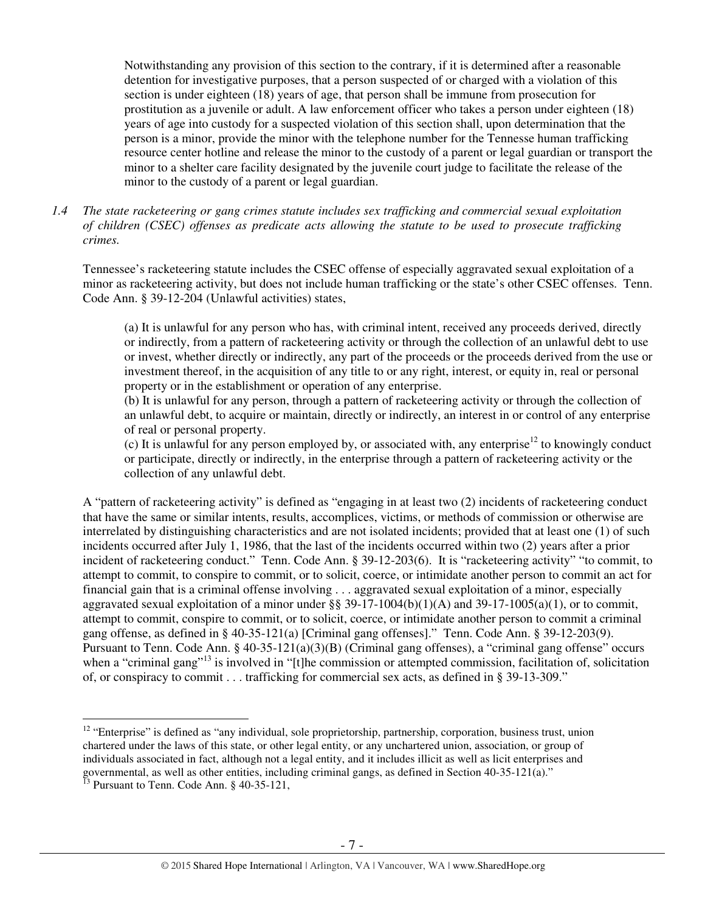Notwithstanding any provision of this section to the contrary, if it is determined after a reasonable detention for investigative purposes, that a person suspected of or charged with a violation of this section is under eighteen (18) years of age, that person shall be immune from prosecution for prostitution as a juvenile or adult. A law enforcement officer who takes a person under eighteen (18) years of age into custody for a suspected violation of this section shall, upon determination that the person is a minor, provide the minor with the telephone number for the Tennesse human trafficking resource center hotline and release the minor to the custody of a parent or legal guardian or transport the minor to a shelter care facility designated by the juvenile court judge to facilitate the release of the minor to the custody of a parent or legal guardian.

*1.4 The state racketeering or gang crimes statute includes sex trafficking and commercial sexual exploitation of children (CSEC) offenses as predicate acts allowing the statute to be used to prosecute trafficking crimes.* 

Tennessee's racketeering statute includes the CSEC offense of especially aggravated sexual exploitation of a minor as racketeering activity, but does not include human trafficking or the state's other CSEC offenses. Tenn. Code Ann. § 39-12-204 (Unlawful activities) states,

(a) It is unlawful for any person who has, with criminal intent, received any proceeds derived, directly or indirectly, from a pattern of racketeering activity or through the collection of an unlawful debt to use or invest, whether directly or indirectly, any part of the proceeds or the proceeds derived from the use or investment thereof, in the acquisition of any title to or any right, interest, or equity in, real or personal property or in the establishment or operation of any enterprise.

(b) It is unlawful for any person, through a pattern of racketeering activity or through the collection of an unlawful debt, to acquire or maintain, directly or indirectly, an interest in or control of any enterprise of real or personal property.

(c) It is unlawful for any person employed by, or associated with, any enterprise<sup>12</sup> to knowingly conduct or participate, directly or indirectly, in the enterprise through a pattern of racketeering activity or the collection of any unlawful debt.

A "pattern of racketeering activity" is defined as "engaging in at least two (2) incidents of racketeering conduct that have the same or similar intents, results, accomplices, victims, or methods of commission or otherwise are interrelated by distinguishing characteristics and are not isolated incidents; provided that at least one (1) of such incidents occurred after July 1, 1986, that the last of the incidents occurred within two (2) years after a prior incident of racketeering conduct." Tenn. Code Ann. § 39-12-203(6). It is "racketeering activity" "to commit, to attempt to commit, to conspire to commit, or to solicit, coerce, or intimidate another person to commit an act for financial gain that is a criminal offense involving . . . aggravated sexual exploitation of a minor, especially aggravated sexual exploitation of a minor under  $\S$ § 39-17-1004(b)(1)(A) and 39-17-1005(a)(1), or to commit, attempt to commit, conspire to commit, or to solicit, coerce, or intimidate another person to commit a criminal gang offense, as defined in § 40-35-121(a) [Criminal gang offenses]." Tenn. Code Ann. § 39-12-203(9). Pursuant to Tenn. Code Ann. § 40-35-121(a)(3)(B) (Criminal gang offenses), a "criminal gang offense" occurs when a "criminal gang"<sup>13</sup> is involved in "[t]he commission or attempted commission, facilitation of, solicitation of, or conspiracy to commit . . . trafficking for commercial sex acts, as defined in § 39-13-309."

<sup>&</sup>lt;sup>12</sup> "Enterprise" is defined as "any individual, sole proprietorship, partnership, corporation, business trust, union chartered under the laws of this state, or other legal entity, or any unchartered union, association, or group of individuals associated in fact, although not a legal entity, and it includes illicit as well as licit enterprises and governmental, as well as other entities, including criminal gangs, as defined in Section 40-35-121(a)."

<sup>&</sup>lt;sup>13</sup> Pursuant to Tenn. Code Ann. § 40-35-121,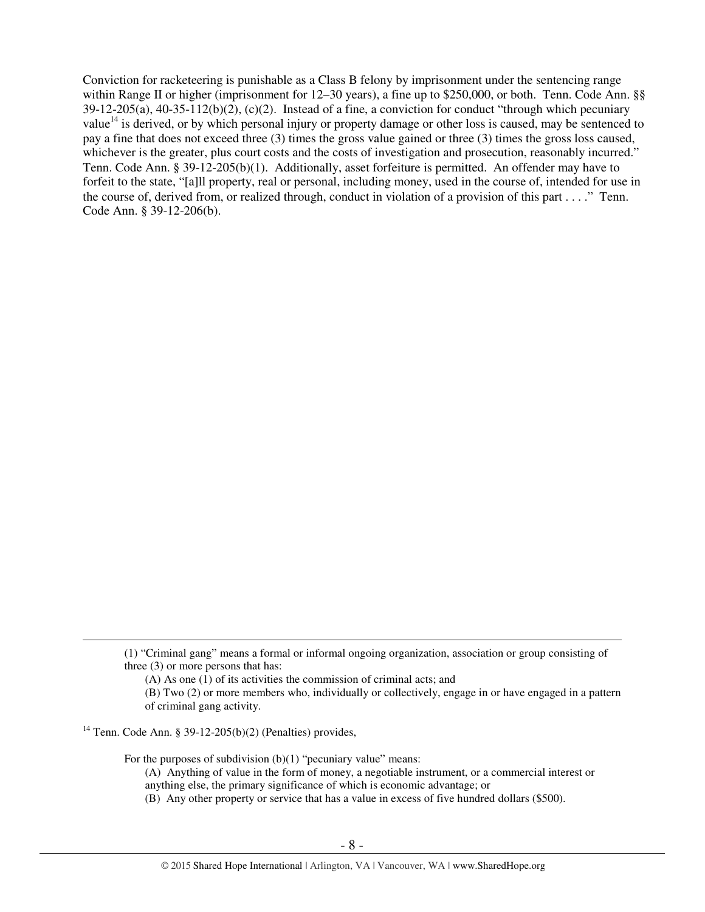Conviction for racketeering is punishable as a Class B felony by imprisonment under the sentencing range within Range II or higher (imprisonment for 12–30 years), a fine up to \$250,000, or both. Tenn. Code Ann. §§  $39-12-205(a)$ ,  $40-35-112(b)(2)$ , (c)(2). Instead of a fine, a conviction for conduct "through which pecuniary value<sup>14</sup> is derived, or by which personal injury or property damage or other loss is caused, may be sentenced to pay a fine that does not exceed three (3) times the gross value gained or three (3) times the gross loss caused, whichever is the greater, plus court costs and the costs of investigation and prosecution, reasonably incurred." Tenn. Code Ann. § 39-12-205(b)(1). Additionally, asset forfeiture is permitted. An offender may have to forfeit to the state, "[a]ll property, real or personal, including money, used in the course of, intended for use in the course of, derived from, or realized through, conduct in violation of a provision of this part . . . ." Tenn. Code Ann. § 39-12-206(b).

<sup>14</sup> Tenn. Code Ann. § 39-12-205(b)(2) (Penalties) provides,

 $\overline{a}$ 

For the purposes of subdivision  $(b)(1)$  "pecuniary value" means:

<sup>(1) &</sup>quot;Criminal gang" means a formal or informal ongoing organization, association or group consisting of three (3) or more persons that has:

<sup>(</sup>A) As one (1) of its activities the commission of criminal acts; and

<sup>(</sup>B) Two (2) or more members who, individually or collectively, engage in or have engaged in a pattern of criminal gang activity.

<sup>(</sup>A) Anything of value in the form of money, a negotiable instrument, or a commercial interest or anything else, the primary significance of which is economic advantage; or

<sup>(</sup>B) Any other property or service that has a value in excess of five hundred dollars (\$500).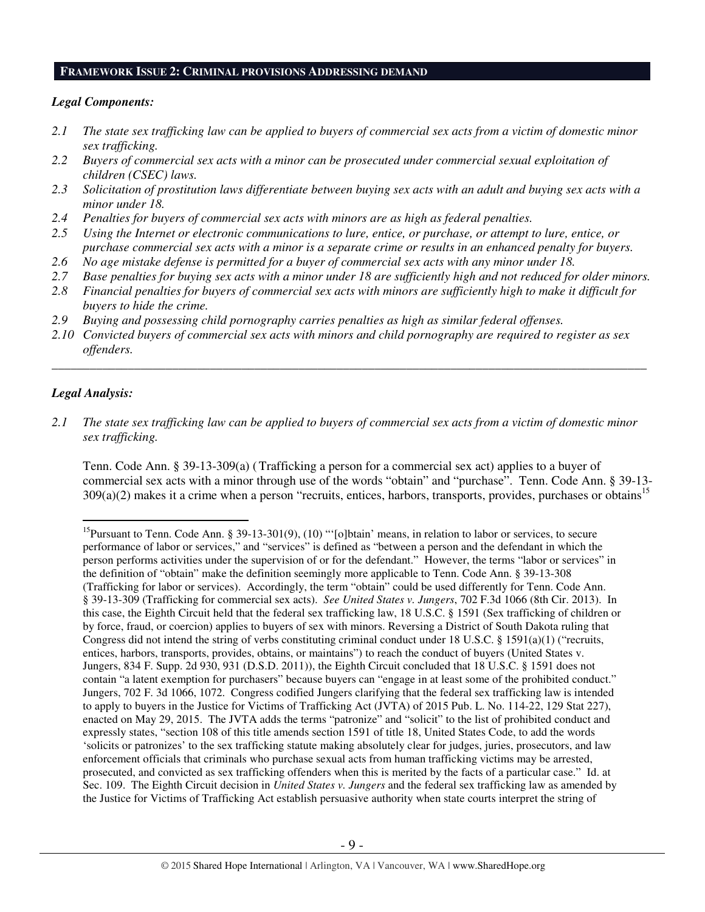# **FRAMEWORK ISSUE 2: CRIMINAL PROVISIONS ADDRESSING DEMAND**

## *Legal Components:*

- *2.1 The state sex trafficking law can be applied to buyers of commercial sex acts from a victim of domestic minor sex trafficking.*
- *2.2 Buyers of commercial sex acts with a minor can be prosecuted under commercial sexual exploitation of children (CSEC) laws.*
- *2.3 Solicitation of prostitution laws differentiate between buying sex acts with an adult and buying sex acts with a minor under 18.*
- *2.4 Penalties for buyers of commercial sex acts with minors are as high as federal penalties.*
- *2.5 Using the Internet or electronic communications to lure, entice, or purchase, or attempt to lure, entice, or purchase commercial sex acts with a minor is a separate crime or results in an enhanced penalty for buyers.*
- *2.6 No age mistake defense is permitted for a buyer of commercial sex acts with any minor under 18.*
- *2.7 Base penalties for buying sex acts with a minor under 18 are sufficiently high and not reduced for older minors.*
- *2.8 Financial penalties for buyers of commercial sex acts with minors are sufficiently high to make it difficult for buyers to hide the crime.*
- *2.9 Buying and possessing child pornography carries penalties as high as similar federal offenses.*
- *2.10 Convicted buyers of commercial sex acts with minors and child pornography are required to register as sex offenders.*

\_\_\_\_\_\_\_\_\_\_\_\_\_\_\_\_\_\_\_\_\_\_\_\_\_\_\_\_\_\_\_\_\_\_\_\_\_\_\_\_\_\_\_\_\_\_\_\_\_\_\_\_\_\_\_\_\_\_\_\_\_\_\_\_\_\_\_\_\_\_\_\_\_\_\_\_\_\_\_\_\_\_\_\_\_\_\_\_\_\_\_\_\_\_

## *Legal Analysis:*

 $\overline{a}$ 

*2.1 The state sex trafficking law can be applied to buyers of commercial sex acts from a victim of domestic minor sex trafficking.*

Tenn. Code Ann. § 39-13-309(a) (Trafficking a person for a commercial sex act) applies to a buyer of commercial sex acts with a minor through use of the words "obtain" and "purchase". Tenn. Code Ann. § 39-13-  $309(a)(2)$  makes it a crime when a person "recruits, entices, harbors, transports, provides, purchases or obtains<sup>15</sup>

<sup>&</sup>lt;sup>15</sup>Pursuant to Tenn. Code Ann. § 39-13-301(9), (10) "'[o]btain' means, in relation to labor or services, to secure performance of labor or services," and "services" is defined as "between a person and the defendant in which the person performs activities under the supervision of or for the defendant." However, the terms "labor or services" in the definition of "obtain" make the definition seemingly more applicable to Tenn. Code Ann. § 39-13-308 (Trafficking for labor or services). Accordingly, the term "obtain" could be used differently for Tenn. Code Ann. § 39-13-309 (Trafficking for commercial sex acts). *See United States v. Jungers*, 702 F.3d 1066 (8th Cir. 2013). In this case, the Eighth Circuit held that the federal sex trafficking law, 18 U.S.C. § 1591 (Sex trafficking of children or by force, fraud, or coercion) applies to buyers of sex with minors. Reversing a District of South Dakota ruling that Congress did not intend the string of verbs constituting criminal conduct under 18 U.S.C. § 1591(a)(1) ("recruits, entices, harbors, transports, provides, obtains, or maintains") to reach the conduct of buyers (United States v. Jungers, 834 F. Supp. 2d 930, 931 (D.S.D. 2011)), the Eighth Circuit concluded that 18 U.S.C. § 1591 does not contain "a latent exemption for purchasers" because buyers can "engage in at least some of the prohibited conduct." Jungers, 702 F. 3d 1066, 1072. Congress codified Jungers clarifying that the federal sex trafficking law is intended to apply to buyers in the Justice for Victims of Trafficking Act (JVTA) of 2015 Pub. L. No. 114-22, 129 Stat 227), enacted on May 29, 2015. The JVTA adds the terms "patronize" and "solicit" to the list of prohibited conduct and expressly states, "section 108 of this title amends section 1591 of title 18, United States Code, to add the words 'solicits or patronizes' to the sex trafficking statute making absolutely clear for judges, juries, prosecutors, and law enforcement officials that criminals who purchase sexual acts from human trafficking victims may be arrested, prosecuted, and convicted as sex trafficking offenders when this is merited by the facts of a particular case." Id. at Sec. 109. The Eighth Circuit decision in *United States v. Jungers* and the federal sex trafficking law as amended by the Justice for Victims of Trafficking Act establish persuasive authority when state courts interpret the string of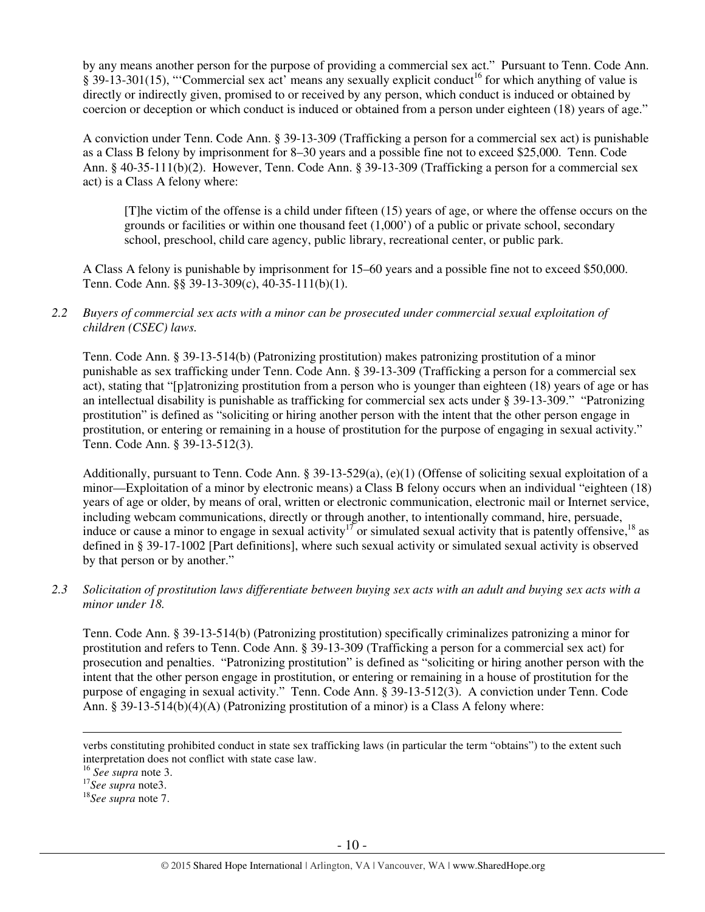by any means another person for the purpose of providing a commercial sex act." Pursuant to Tenn. Code Ann.  $\S$  39-13-301(15), "Commercial sex act' means any sexually explicit conduct<sup>16</sup> for which anything of value is directly or indirectly given, promised to or received by any person, which conduct is induced or obtained by coercion or deception or which conduct is induced or obtained from a person under eighteen (18) years of age."

A conviction under Tenn. Code Ann. § 39-13-309 (Trafficking a person for a commercial sex act) is punishable as a Class B felony by imprisonment for 8–30 years and a possible fine not to exceed \$25,000. Tenn. Code Ann. § 40-35-111(b)(2). However, Tenn. Code Ann. § 39-13-309 (Trafficking a person for a commercial sex act) is a Class A felony where:

[T]he victim of the offense is a child under fifteen (15) years of age, or where the offense occurs on the grounds or facilities or within one thousand feet (1,000') of a public or private school, secondary school, preschool, child care agency, public library, recreational center, or public park.

A Class A felony is punishable by imprisonment for 15–60 years and a possible fine not to exceed \$50,000. Tenn. Code Ann. §§ 39-13-309(c), 40-35-111(b)(1).

*2.2 Buyers of commercial sex acts with a minor can be prosecuted under commercial sexual exploitation of children (CSEC) laws.* 

Tenn. Code Ann. § 39-13-514(b) (Patronizing prostitution) makes patronizing prostitution of a minor punishable as sex trafficking under Tenn. Code Ann. § 39-13-309 (Trafficking a person for a commercial sex act), stating that "[p]atronizing prostitution from a person who is younger than eighteen (18) years of age or has an intellectual disability is punishable as trafficking for commercial sex acts under § 39-13-309." "Patronizing prostitution" is defined as "soliciting or hiring another person with the intent that the other person engage in prostitution, or entering or remaining in a house of prostitution for the purpose of engaging in sexual activity." Tenn. Code Ann. § 39-13-512(3).

Additionally, pursuant to Tenn. Code Ann. § 39-13-529(a), (e)(1) (Offense of soliciting sexual exploitation of a minor—Exploitation of a minor by electronic means) a Class B felony occurs when an individual "eighteen (18) years of age or older, by means of oral, written or electronic communication, electronic mail or Internet service, including webcam communications, directly or through another, to intentionally command, hire, persuade, induce or cause a minor to engage in sexual activity<sup>17</sup> or simulated sexual activity that is patently offensive,<sup>18</sup> as defined in § 39-17-1002 [Part definitions], where such sexual activity or simulated sexual activity is observed by that person or by another."

*2.3 Solicitation of prostitution laws differentiate between buying sex acts with an adult and buying sex acts with a minor under 18.* 

Tenn. Code Ann. § 39-13-514(b) (Patronizing prostitution) specifically criminalizes patronizing a minor for prostitution and refers to Tenn. Code Ann. § 39-13-309 (Trafficking a person for a commercial sex act) for prosecution and penalties. "Patronizing prostitution" is defined as "soliciting or hiring another person with the intent that the other person engage in prostitution, or entering or remaining in a house of prostitution for the purpose of engaging in sexual activity." Tenn. Code Ann. § 39-13-512(3). A conviction under Tenn. Code Ann. § 39-13-514(b)(4)(A) (Patronizing prostitution of a minor) is a Class A felony where:

verbs constituting prohibited conduct in state sex trafficking laws (in particular the term "obtains") to the extent such interpretation does not conflict with state case law.

<sup>16</sup> *See supra* note 3.

<sup>17</sup>*See supra* note3.

<sup>18</sup>*See supra* note 7.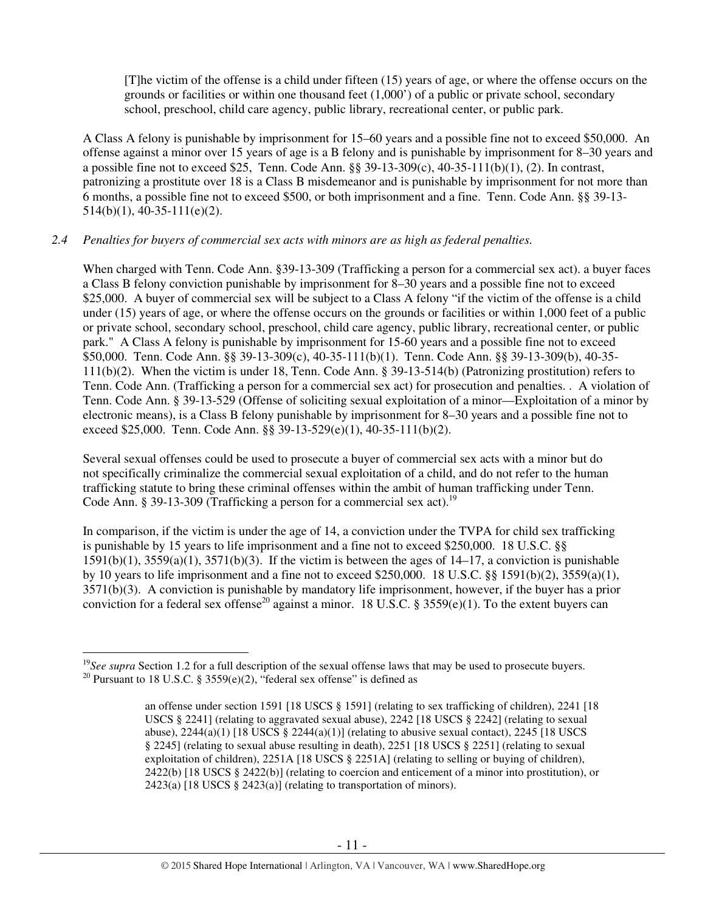[T]he victim of the offense is a child under fifteen (15) years of age, or where the offense occurs on the grounds or facilities or within one thousand feet (1,000') of a public or private school, secondary school, preschool, child care agency, public library, recreational center, or public park.

A Class A felony is punishable by imprisonment for 15–60 years and a possible fine not to exceed \$50,000. An offense against a minor over 15 years of age is a B felony and is punishable by imprisonment for 8–30 years and a possible fine not to exceed \$25, Tenn. Code Ann. §§  $39-13-309(c)$ ,  $40-35-111(b)(1)$ , (2). In contrast, patronizing a prostitute over 18 is a Class B misdemeanor and is punishable by imprisonment for not more than 6 months, a possible fine not to exceed \$500, or both imprisonment and a fine. Tenn. Code Ann. §§ 39-13-  $514(b)(1)$ , 40-35-111(e)(2).

# *2.4 Penalties for buyers of commercial sex acts with minors are as high as federal penalties.*

When charged with Tenn. Code Ann. §39-13-309 (Trafficking a person for a commercial sex act). a buyer faces a Class B felony conviction punishable by imprisonment for 8–30 years and a possible fine not to exceed \$25,000. A buyer of commercial sex will be subject to a Class A felony "if the victim of the offense is a child under (15) years of age, or where the offense occurs on the grounds or facilities or within 1,000 feet of a public or private school, secondary school, preschool, child care agency, public library, recreational center, or public park." A Class A felony is punishable by imprisonment for 15-60 years and a possible fine not to exceed \$50,000. Tenn. Code Ann. §§ 39-13-309(c), 40-35-111(b)(1). Tenn. Code Ann. §§ 39-13-309(b), 40-35- 111(b)(2). When the victim is under 18, Tenn. Code Ann. § 39-13-514(b) (Patronizing prostitution) refers to Tenn. Code Ann. (Trafficking a person for a commercial sex act) for prosecution and penalties. . A violation of Tenn. Code Ann. § 39-13-529 (Offense of soliciting sexual exploitation of a minor—Exploitation of a minor by electronic means), is a Class B felony punishable by imprisonment for 8–30 years and a possible fine not to exceed \$25,000. Tenn. Code Ann. §§ 39-13-529(e)(1), 40-35-111(b)(2).

Several sexual offenses could be used to prosecute a buyer of commercial sex acts with a minor but do not specifically criminalize the commercial sexual exploitation of a child, and do not refer to the human trafficking statute to bring these criminal offenses within the ambit of human trafficking under Tenn. Code Ann. § 39-13-309 (Trafficking a person for a commercial sex act).<sup>19</sup>

In comparison, if the victim is under the age of 14, a conviction under the TVPA for child sex trafficking is punishable by 15 years to life imprisonment and a fine not to exceed \$250,000. 18 U.S.C. §§  $1591(b)(1)$ ,  $3559(a)(1)$ ,  $3571(b)(3)$ . If the victim is between the ages of  $14-17$ , a conviction is punishable by 10 years to life imprisonment and a fine not to exceed \$250,000. 18 U.S.C. §§ 1591(b)(2), 3559(a)(1), 3571(b)(3). A conviction is punishable by mandatory life imprisonment, however, if the buyer has a prior conviction for a federal sex offense<sup>20</sup> against a minor. 18 U.S.C. § 3559(e)(1). To the extent buyers can

<sup>&</sup>lt;sup>19</sup>See supra Section 1.2 for a full description of the sexual offense laws that may be used to prosecute buyers. <sup>20</sup> Pursuant to 18 U.S.C. § 3559(e)(2), "federal sex offense" is defined as

an offense under section 1591 [18 USCS § 1591] (relating to sex trafficking of children), 2241 [18 USCS § 2241] (relating to aggravated sexual abuse), 2242 [18 USCS § 2242] (relating to sexual abuse),  $2244(a)(1)$  [18 USCS §  $2244(a)(1)$ ] (relating to abusive sexual contact),  $2245$  [18 USCS § 2245] (relating to sexual abuse resulting in death), 2251 [18 USCS § 2251] (relating to sexual exploitation of children), 2251A [18 USCS § 2251A] (relating to selling or buying of children), 2422(b) [18 USCS  $\S$  2422(b)] (relating to coercion and enticement of a minor into prostitution), or 2423(a) [18 USCS § 2423(a)] (relating to transportation of minors).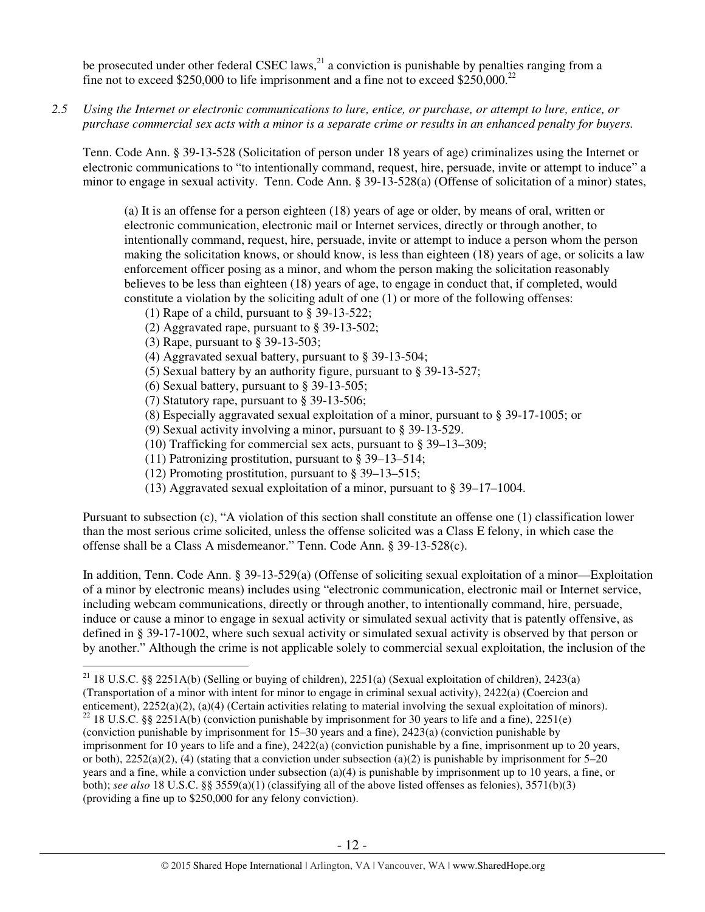be prosecuted under other federal CSEC laws,  $^{21}$  a conviction is punishable by penalties ranging from a fine not to exceed \$250,000 to life imprisonment and a fine not to exceed \$250,000.<sup>22</sup>

*2.5 Using the Internet or electronic communications to lure, entice, or purchase, or attempt to lure, entice, or purchase commercial sex acts with a minor is a separate crime or results in an enhanced penalty for buyers.* 

Tenn. Code Ann. § 39-13-528 (Solicitation of person under 18 years of age) criminalizes using the Internet or electronic communications to "to intentionally command, request, hire, persuade, invite or attempt to induce" a minor to engage in sexual activity. Tenn. Code Ann. § 39-13-528(a) (Offense of solicitation of a minor) states,

(a) It is an offense for a person eighteen (18) years of age or older, by means of oral, written or electronic communication, electronic mail or Internet services, directly or through another, to intentionally command, request, hire, persuade, invite or attempt to induce a person whom the person making the solicitation knows, or should know, is less than eighteen (18) years of age, or solicits a law enforcement officer posing as a minor, and whom the person making the solicitation reasonably believes to be less than eighteen (18) years of age, to engage in conduct that, if completed, would constitute a violation by the soliciting adult of one (1) or more of the following offenses:

- (1) Rape of a child, pursuant to § 39-13-522;
- (2) Aggravated rape, pursuant to § 39-13-502;
- (3) Rape, pursuant to § 39-13-503;
- (4) Aggravated sexual battery, pursuant to § 39-13-504;
- (5) Sexual battery by an authority figure, pursuant to § 39-13-527;
- (6) Sexual battery, pursuant to § 39-13-505;
- (7) Statutory rape, pursuant to § 39-13-506;
- (8) Especially aggravated sexual exploitation of a minor, pursuant to § 39-17-1005; or
- (9) Sexual activity involving a minor, pursuant to § 39-13-529.
- (10) Trafficking for commercial sex acts, pursuant to § 39–13–309;
- (11) Patronizing prostitution, pursuant to § 39–13–514;
- (12) Promoting prostitution, pursuant to § 39–13–515;
- (13) Aggravated sexual exploitation of a minor, pursuant to § 39–17–1004.

Pursuant to subsection (c), "A violation of this section shall constitute an offense one (1) classification lower than the most serious crime solicited, unless the offense solicited was a Class E felony, in which case the offense shall be a Class A misdemeanor." Tenn. Code Ann. § 39-13-528(c).

In addition, Tenn. Code Ann. § 39-13-529(a) (Offense of soliciting sexual exploitation of a minor—Exploitation of a minor by electronic means) includes using "electronic communication, electronic mail or Internet service, including webcam communications, directly or through another, to intentionally command, hire, persuade, induce or cause a minor to engage in sexual activity or simulated sexual activity that is patently offensive, as defined in § 39-17-1002, where such sexual activity or simulated sexual activity is observed by that person or by another." Although the crime is not applicable solely to commercial sexual exploitation, the inclusion of the

 $\overline{a}$ <sup>21</sup> 18 U.S.C. §§ 2251A(b) (Selling or buying of children), 2251(a) (Sexual exploitation of children), 2423(a)

<sup>(</sup>Transportation of a minor with intent for minor to engage in criminal sexual activity), 2422(a) (Coercion and

enticement), 2252(a)(2), (a)(4) (Certain activities relating to material involving the sexual exploitation of minors).

<sup>&</sup>lt;sup>22</sup> 18 U.S.C. §§ 2251A(b) (conviction punishable by imprisonment for 30 years to life and a fine), 2251(e) (conviction punishable by imprisonment for 15–30 years and a fine), 2423(a) (conviction punishable by

imprisonment for 10 years to life and a fine), 2422(a) (conviction punishable by a fine, imprisonment up to 20 years, or both),  $2252(a)(2)$ , (4) (stating that a conviction under subsection (a)(2) is punishable by imprisonment for 5–20 years and a fine, while a conviction under subsection (a)(4) is punishable by imprisonment up to 10 years, a fine, or both); *see also* 18 U.S.C. §§ 3559(a)(1) (classifying all of the above listed offenses as felonies), 3571(b)(3) (providing a fine up to \$250,000 for any felony conviction).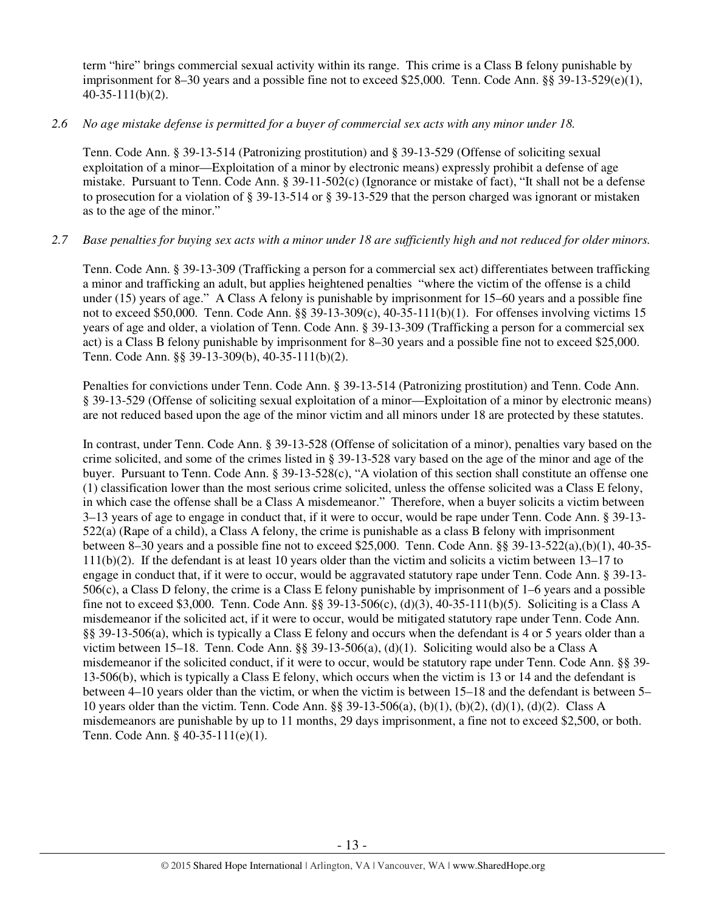term "hire" brings commercial sexual activity within its range. This crime is a Class B felony punishable by imprisonment for 8–30 years and a possible fine not to exceed \$25,000. Tenn. Code Ann. §§ 39-13-529(e)(1), 40-35-111(b)(2).

# *2.6 No age mistake defense is permitted for a buyer of commercial sex acts with any minor under 18.*

Tenn. Code Ann. § 39-13-514 (Patronizing prostitution) and § 39-13-529 (Offense of soliciting sexual exploitation of a minor—Exploitation of a minor by electronic means) expressly prohibit a defense of age mistake. Pursuant to Tenn. Code Ann. § 39-11-502(c) (Ignorance or mistake of fact), "It shall not be a defense to prosecution for a violation of § 39-13-514 or § 39-13-529 that the person charged was ignorant or mistaken as to the age of the minor."

# *2.7 Base penalties for buying sex acts with a minor under 18 are sufficiently high and not reduced for older minors.*

Tenn. Code Ann. § 39-13-309 (Trafficking a person for a commercial sex act) differentiates between trafficking a minor and trafficking an adult, but applies heightened penalties "where the victim of the offense is a child under (15) years of age." A Class A felony is punishable by imprisonment for 15–60 years and a possible fine not to exceed \$50,000. Tenn. Code Ann. §§ 39-13-309(c), 40-35-111(b)(1). For offenses involving victims 15 years of age and older, a violation of Tenn. Code Ann. § 39-13-309 (Trafficking a person for a commercial sex act) is a Class B felony punishable by imprisonment for 8–30 years and a possible fine not to exceed \$25,000. Tenn. Code Ann. §§ 39-13-309(b), 40-35-111(b)(2).

Penalties for convictions under Tenn. Code Ann. § 39-13-514 (Patronizing prostitution) and Tenn. Code Ann. § 39-13-529 (Offense of soliciting sexual exploitation of a minor—Exploitation of a minor by electronic means) are not reduced based upon the age of the minor victim and all minors under 18 are protected by these statutes.

In contrast, under Tenn. Code Ann. § 39-13-528 (Offense of solicitation of a minor), penalties vary based on the crime solicited, and some of the crimes listed in § 39-13-528 vary based on the age of the minor and age of the buyer. Pursuant to Tenn. Code Ann. § 39-13-528(c), "A violation of this section shall constitute an offense one (1) classification lower than the most serious crime solicited, unless the offense solicited was a Class E felony, in which case the offense shall be a Class A misdemeanor." Therefore, when a buyer solicits a victim between 3–13 years of age to engage in conduct that, if it were to occur, would be rape under Tenn. Code Ann. § 39-13- 522(a) (Rape of a child), a Class A felony, the crime is punishable as a class B felony with imprisonment between 8–30 years and a possible fine not to exceed \$25,000. Tenn. Code Ann. §§ 39-13-522(a),(b)(1), 40-35- 111(b)(2). If the defendant is at least 10 years older than the victim and solicits a victim between 13–17 to engage in conduct that, if it were to occur, would be aggravated statutory rape under Tenn. Code Ann. § 39-13- 506(c), a Class D felony, the crime is a Class E felony punishable by imprisonment of 1–6 years and a possible fine not to exceed \$3,000. Tenn. Code Ann. §§ 39-13-506(c), (d)(3), 40-35-111(b)(5). Soliciting is a Class A misdemeanor if the solicited act, if it were to occur, would be mitigated statutory rape under Tenn. Code Ann. §§ 39-13-506(a), which is typically a Class E felony and occurs when the defendant is 4 or 5 years older than a victim between 15–18. Tenn. Code Ann. §§ 39-13-506(a), (d)(1). Soliciting would also be a Class A misdemeanor if the solicited conduct, if it were to occur, would be statutory rape under Tenn. Code Ann. §§ 39- 13-506(b), which is typically a Class E felony, which occurs when the victim is 13 or 14 and the defendant is between 4–10 years older than the victim, or when the victim is between 15–18 and the defendant is between 5– 10 years older than the victim. Tenn. Code Ann. §§ 39-13-506(a), (b)(1), (b)(2), (d)(1), (d)(2). Class A misdemeanors are punishable by up to 11 months, 29 days imprisonment, a fine not to exceed \$2,500, or both. Tenn. Code Ann. § 40-35-111(e)(1).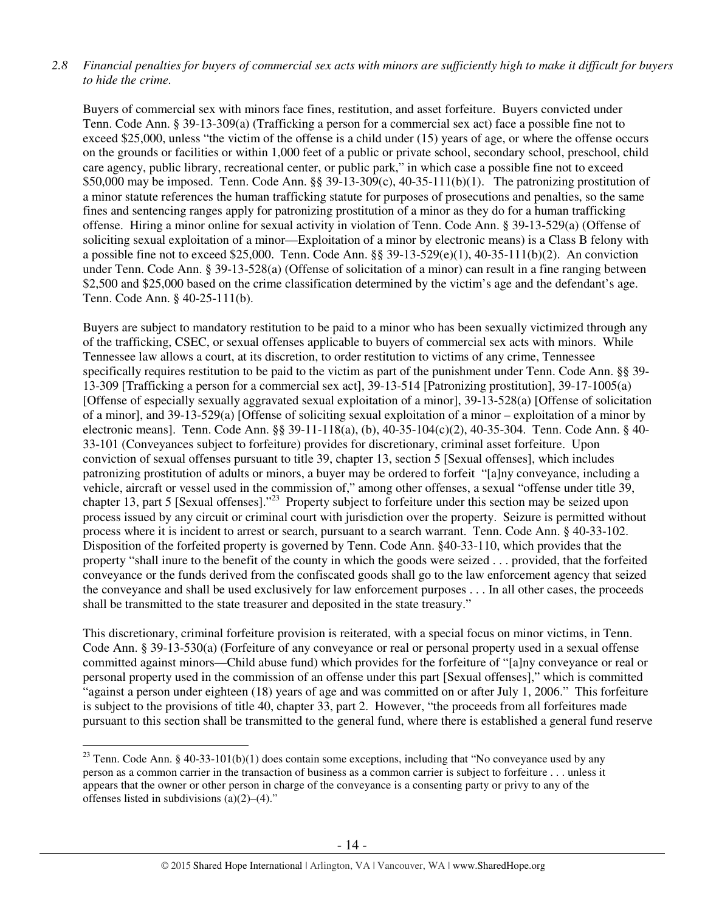# *2.8 Financial penalties for buyers of commercial sex acts with minors are sufficiently high to make it difficult for buyers to hide the crime.*

Buyers of commercial sex with minors face fines, restitution, and asset forfeiture. Buyers convicted under Tenn. Code Ann. § 39-13-309(a) (Trafficking a person for a commercial sex act) face a possible fine not to exceed \$25,000, unless "the victim of the offense is a child under (15) years of age, or where the offense occurs on the grounds or facilities or within 1,000 feet of a public or private school, secondary school, preschool, child care agency, public library, recreational center, or public park," in which case a possible fine not to exceed \$50,000 may be imposed. Tenn. Code Ann. §§ 39-13-309(c), 40-35-111(b)(1). The patronizing prostitution of a minor statute references the human trafficking statute for purposes of prosecutions and penalties, so the same fines and sentencing ranges apply for patronizing prostitution of a minor as they do for a human trafficking offense. Hiring a minor online for sexual activity in violation of Tenn. Code Ann. § 39-13-529(a) (Offense of soliciting sexual exploitation of a minor—Exploitation of a minor by electronic means) is a Class B felony with a possible fine not to exceed \$25,000. Tenn. Code Ann. §§  $39-13-529(e)(1)$ ,  $40-35-111(b)(2)$ . An conviction under Tenn. Code Ann. § 39-13-528(a) (Offense of solicitation of a minor) can result in a fine ranging between \$2,500 and \$25,000 based on the crime classification determined by the victim's age and the defendant's age. Tenn. Code Ann. § 40-25-111(b).

Buyers are subject to mandatory restitution to be paid to a minor who has been sexually victimized through any of the trafficking, CSEC, or sexual offenses applicable to buyers of commercial sex acts with minors. While Tennessee law allows a court, at its discretion, to order restitution to victims of any crime, Tennessee specifically requires restitution to be paid to the victim as part of the punishment under Tenn. Code Ann. §§ 39-13-309 [Trafficking a person for a commercial sex act], 39-13-514 [Patronizing prostitution], 39-17-1005(a) [Offense of especially sexually aggravated sexual exploitation of a minor], 39-13-528(a) [Offense of solicitation of a minor], and 39-13-529(a) [Offense of soliciting sexual exploitation of a minor – exploitation of a minor by electronic means]. Tenn. Code Ann. §§ 39-11-118(a), (b), 40-35-104(c)(2), 40-35-304. Tenn. Code Ann. § 40- 33-101 (Conveyances subject to forfeiture) provides for discretionary, criminal asset forfeiture. Upon conviction of sexual offenses pursuant to title 39, chapter 13, section 5 [Sexual offenses], which includes patronizing prostitution of adults or minors, a buyer may be ordered to forfeit "[a]ny conveyance, including a vehicle, aircraft or vessel used in the commission of," among other offenses, a sexual "offense under title 39, chapter 13, part 5 [Sexual offenses]."<sup>23</sup> Property subject to forfeiture under this section may be seized upon process issued by any circuit or criminal court with jurisdiction over the property. Seizure is permitted without process where it is incident to arrest or search, pursuant to a search warrant. Tenn. Code Ann. § 40-33-102. Disposition of the forfeited property is governed by Tenn. Code Ann. §40-33-110, which provides that the property "shall inure to the benefit of the county in which the goods were seized . . . provided, that the forfeited conveyance or the funds derived from the confiscated goods shall go to the law enforcement agency that seized the conveyance and shall be used exclusively for law enforcement purposes . . . In all other cases, the proceeds shall be transmitted to the state treasurer and deposited in the state treasury."

This discretionary, criminal forfeiture provision is reiterated, with a special focus on minor victims, in Tenn. Code Ann. § 39-13-530(a) (Forfeiture of any conveyance or real or personal property used in a sexual offense committed against minors—Child abuse fund) which provides for the forfeiture of "[a]ny conveyance or real or personal property used in the commission of an offense under this part [Sexual offenses]," which is committed "against a person under eighteen (18) years of age and was committed on or after July 1, 2006." This forfeiture is subject to the provisions of title 40, chapter 33, part 2. However, "the proceeds from all forfeitures made pursuant to this section shall be transmitted to the general fund, where there is established a general fund reserve

<sup>&</sup>lt;sup>23</sup> Tenn. Code Ann. § 40-33-101(b)(1) does contain some exceptions, including that "No conveyance used by any person as a common carrier in the transaction of business as a common carrier is subject to forfeiture . . . unless it appears that the owner or other person in charge of the conveyance is a consenting party or privy to any of the offenses listed in subdivisions  $(a)(2)$ – $(4)$ ."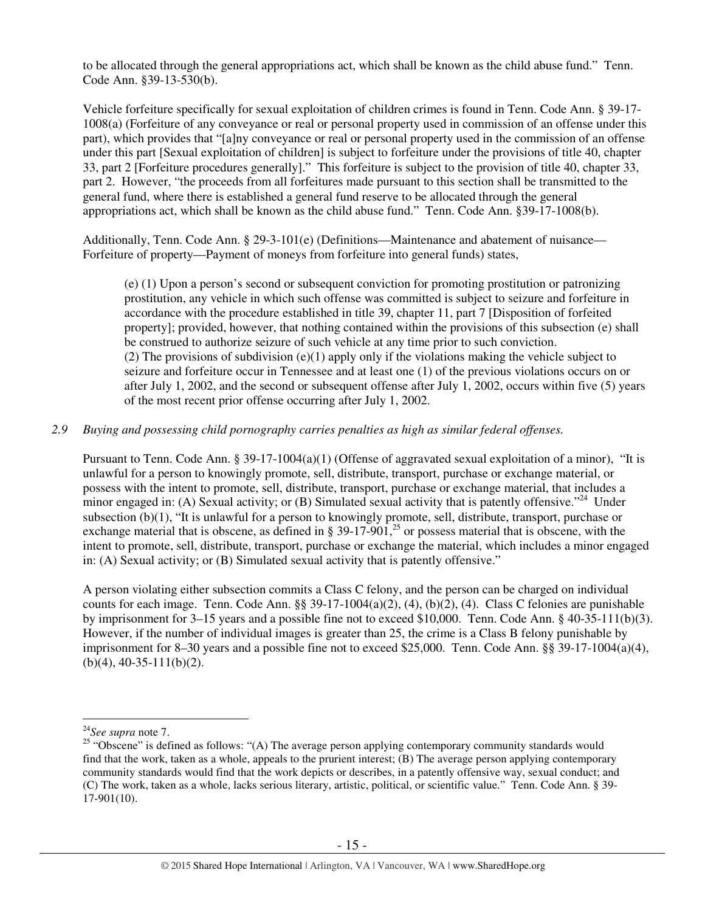to be allocated through the general appropriations act, which shall be known as the child abuse fund." Tenn. Code Ann. §39-13-530(b).

Vehicle forfeiture specifically for sexual exploitation of children crimes is found in Tenn. Code Ann. § 39-17- 1008(a) (Forfeiture of any conveyance or real or personal property used in commission of an offense under this part), which provides that "[a]ny conveyance or real or personal property used in the commission of an offense under this part [Sexual exploitation of children] is subject to forfeiture under the provisions of title 40, chapter 33, part 2 [Forfeiture procedures generally]." This forfeiture is subject to the provision of title 40, chapter 33, part 2. However, "the proceeds from all forfeitures made pursuant to this section shall be transmitted to the general fund, where there is established a general fund reserve to be allocated through the general appropriations act, which shall be known as the child abuse fund." Tenn. Code Ann. §39-17-1008(b).

Additionally, Tenn. Code Ann. § 29-3-101(e) (Definitions—Maintenance and abatement of nuisance— Forfeiture of property—Payment of moneys from forfeiture into general funds) states,

(e) (1) Upon a person's second or subsequent conviction for promoting prostitution or patronizing prostitution, any vehicle in which such offense was committed is subject to seizure and forfeiture in accordance with the procedure established in title 39, chapter 11, part 7 [Disposition of forfeited property]; provided, however, that nothing contained within the provisions of this subsection (e) shall be construed to authorize seizure of such vehicle at any time prior to such conviction. (2) The provisions of subdivision  $(e)(1)$  apply only if the violations making the vehicle subject to seizure and forfeiture occur in Tennessee and at least one (1) of the previous violations occurs on or after July 1, 2002, and the second or subsequent offense after July 1, 2002, occurs within five (5) years of the most recent prior offense occurring after July 1, 2002.

# *2.9 Buying and possessing child pornography carries penalties as high as similar federal offenses.*

Pursuant to Tenn. Code Ann. § 39-17-1004(a)(1) (Offense of aggravated sexual exploitation of a minor), "It is unlawful for a person to knowingly promote, sell, distribute, transport, purchase or exchange material, or possess with the intent to promote, sell, distribute, transport, purchase or exchange material, that includes a minor engaged in: (A) Sexual activity; or (B) Simulated sexual activity that is patently offensive."<sup>24</sup> Under subsection (b)(1), "It is unlawful for a person to knowingly promote, sell, distribute, transport, purchase or exchange material that is obscene, as defined in § 39-17-901,<sup>25</sup> or possess material that is obscene, with the intent to promote, sell, distribute, transport, purchase or exchange the material, which includes a minor engaged in: (A) Sexual activity; or (B) Simulated sexual activity that is patently offensive."

A person violating either subsection commits a Class C felony, and the person can be charged on individual counts for each image. Tenn. Code Ann.  $\S$ § 39-17-1004(a)(2), (4), (b)(2), (4). Class C felonies are punishable by imprisonment for 3–15 years and a possible fine not to exceed \$10,000. Tenn. Code Ann. § 40-35-111(b)(3). However, if the number of individual images is greater than 25, the crime is a Class B felony punishable by imprisonment for 8–30 years and a possible fine not to exceed \$25,000. Tenn. Code Ann. §§ 39-17-1004(a)(4),  $(b)(4)$ , 40-35-111(b)(2).

<sup>24</sup>*See supra* note 7.

<sup>&</sup>lt;sup>25</sup> "Obscene" is defined as follows: "(A) The average person applying contemporary community standards would find that the work, taken as a whole, appeals to the prurient interest;  $(B)$  The average person applying contemporary community standards would find that the work depicts or describes, in a patently offensive way, sexual conduct; and (C) The work, taken as a whole, lacks serious literary, artistic, political, or scientific value." Tenn. Code Ann. § 39- 17-901(10).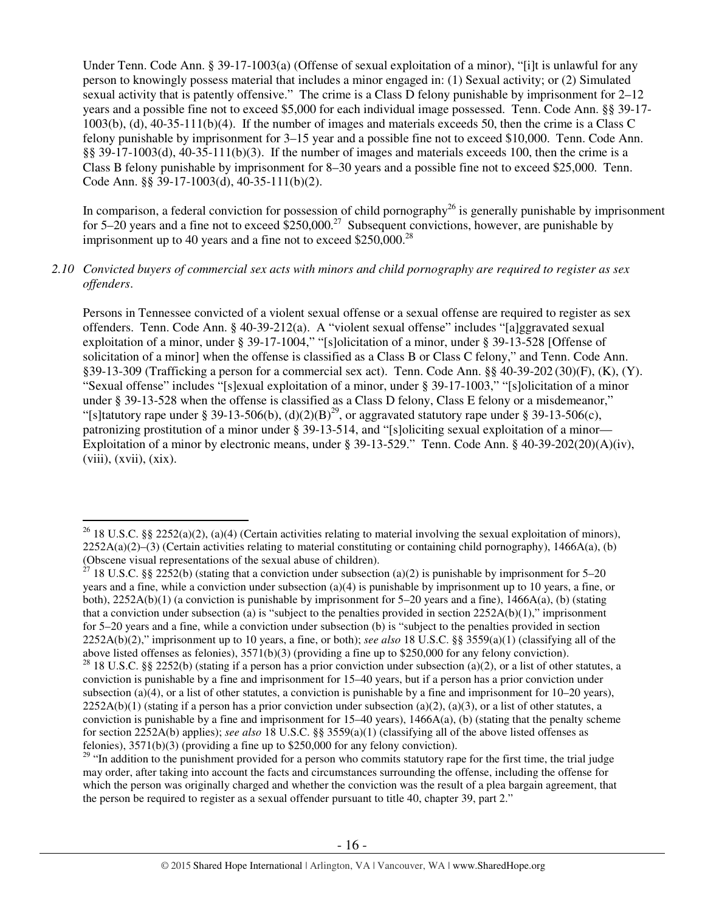Under Tenn. Code Ann. § 39-17-1003(a) (Offense of sexual exploitation of a minor), "[i]t is unlawful for any person to knowingly possess material that includes a minor engaged in: (1) Sexual activity; or (2) Simulated sexual activity that is patently offensive." The crime is a Class D felony punishable by imprisonment for 2–12 years and a possible fine not to exceed \$5,000 for each individual image possessed. Tenn. Code Ann. §§ 39-17- 1003(b), (d), 40-35-111(b)(4). If the number of images and materials exceeds 50, then the crime is a Class C felony punishable by imprisonment for 3–15 year and a possible fine not to exceed \$10,000. Tenn. Code Ann. §§ 39-17-1003(d), 40-35-111(b)(3). If the number of images and materials exceeds 100, then the crime is a Class B felony punishable by imprisonment for 8–30 years and a possible fine not to exceed \$25,000. Tenn. Code Ann. §§ 39-17-1003(d), 40-35-111(b)(2).

In comparison, a federal conviction for possession of child pornography<sup>26</sup> is generally punishable by imprisonment for 5–20 years and a fine not to exceed  $$250,000.<sup>27</sup>$  Subsequent convictions, however, are punishable by imprisonment up to 40 years and a fine not to exceed  $$250,000.<sup>28</sup>$ 

## *2.10 Convicted buyers of commercial sex acts with minors and child pornography are required to register as sex offenders*.

Persons in Tennessee convicted of a violent sexual offense or a sexual offense are required to register as sex offenders. Tenn. Code Ann. § 40-39-212(a). A "violent sexual offense" includes "[a]ggravated sexual exploitation of a minor, under § 39-17-1004," "[s]olicitation of a minor, under § 39-13-528 [Offense of solicitation of a minor] when the offense is classified as a Class B or Class C felony," and Tenn. Code Ann. §39-13-309 (Trafficking a person for a commercial sex act). Tenn. Code Ann. §§ 40-39-202 (30)(F), (K), (Y). "Sexual offense" includes "[s]exual exploitation of a minor, under § 39-17-1003," "[s]olicitation of a minor under § 39-13-528 when the offense is classified as a Class D felony, Class E felony or a misdemeanor," "[s]tatutory rape under § 39-13-506(b), (d)(2)(B)<sup>29</sup>, or aggravated statutory rape under § 39-13-506(c), patronizing prostitution of a minor under § 39-13-514, and "[s]oliciting sexual exploitation of a minor— Exploitation of a minor by electronic means, under § 39-13-529." Tenn. Code Ann. § 40-39-202(20)(A)(iv),  $(viii)$ ,  $(xvii)$ ,  $(xix)$ .

<sup>&</sup>lt;sup>26</sup> 18 U.S.C. §§ 2252(a)(2), (a)(4) (Certain activities relating to material involving the sexual exploitation of minors),  $2252A(a)(2)$ –(3) (Certain activities relating to material constituting or containing child pornography), 1466A(a), (b) (Obscene visual representations of the sexual abuse of children).

<sup>&</sup>lt;sup>27</sup> 18 U.S.C. §§ 2252(b) (stating that a conviction under subsection (a)(2) is punishable by imprisonment for 5–20 years and a fine, while a conviction under subsection (a)(4) is punishable by imprisonment up to 10 years, a fine, or both),  $2252A(b)(1)$  (a conviction is punishable by imprisonment for 5–20 years and a fine),  $1466A(a)$ , (b) (stating that a conviction under subsection (a) is "subject to the penalties provided in section  $2252A(b)(1)$ ," imprisonment for 5–20 years and a fine, while a conviction under subsection (b) is "subject to the penalties provided in section 2252A(b)(2)," imprisonment up to 10 years, a fine, or both); *see also* 18 U.S.C. §§ 3559(a)(1) (classifying all of the above listed offenses as felonies), 3571(b)(3) (providing a fine up to \$250,000 for any felony conviction).

<sup>&</sup>lt;sup>28</sup> 18 U.S.C. §§ 2252(b) (stating if a person has a prior conviction under subsection (a)(2), or a list of other statutes, a conviction is punishable by a fine and imprisonment for 15–40 years, but if a person has a prior conviction under subsection (a)(4), or a list of other statutes, a conviction is punishable by a fine and imprisonment for  $10-20$  years),  $2252A(b)(1)$  (stating if a person has a prior conviction under subsection (a)(2), (a)(3), or a list of other statutes, a conviction is punishable by a fine and imprisonment for  $15-40$  years),  $1466A(a)$ , (b) (stating that the penalty scheme for section 2252A(b) applies); *see also* 18 U.S.C. §§ 3559(a)(1) (classifying all of the above listed offenses as felonies), 3571(b)(3) (providing a fine up to \$250,000 for any felony conviction).

<sup>&</sup>lt;sup>29</sup> "In addition to the punishment provided for a person who commits statutory rape for the first time, the trial judge may order, after taking into account the facts and circumstances surrounding the offense, including the offense for which the person was originally charged and whether the conviction was the result of a plea bargain agreement, that the person be required to register as a sexual offender pursuant to title 40, chapter 39, part 2."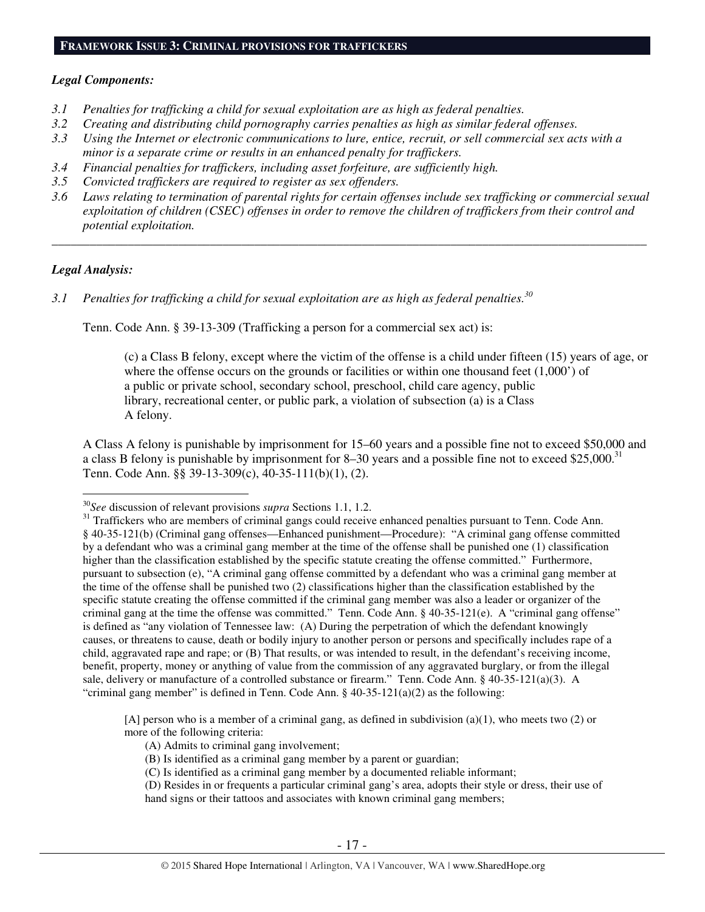# *Legal Components:*

- *3.1 Penalties for trafficking a child for sexual exploitation are as high as federal penalties.*
- *3.2 Creating and distributing child pornography carries penalties as high as similar federal offenses.*
- *3.3 Using the Internet or electronic communications to lure, entice, recruit, or sell commercial sex acts with a minor is a separate crime or results in an enhanced penalty for traffickers.*
- *3.4 Financial penalties for traffickers, including asset forfeiture, are sufficiently high.*
- *3.5 Convicted traffickers are required to register as sex offenders.*
- *3.6 Laws relating to termination of parental rights for certain offenses include sex trafficking or commercial sexual exploitation of children (CSEC) offenses in order to remove the children of traffickers from their control and potential exploitation.*

*\_\_\_\_\_\_\_\_\_\_\_\_\_\_\_\_\_\_\_\_\_\_\_\_\_\_\_\_\_\_\_\_\_\_\_\_\_\_\_\_\_\_\_\_\_\_\_\_\_\_\_\_\_\_\_\_\_\_\_\_\_\_\_\_\_\_\_\_\_\_\_\_\_\_\_\_\_\_\_\_\_\_\_\_\_\_\_\_\_\_\_\_\_\_* 

# *Legal Analysis:*

 $\overline{a}$ 

*3.1 Penalties for trafficking a child for sexual exploitation are as high as federal penalties.<sup>30</sup>*

Tenn. Code Ann. § 39-13-309 (Trafficking a person for a commercial sex act) is:

(c) a Class B felony, except where the victim of the offense is a child under fifteen (15) years of age, or where the offense occurs on the grounds or facilities or within one thousand feet  $(1,000)$  of a public or private school, secondary school, preschool, child care agency, public library, recreational center, or public park, a violation of subsection (a) is a Class A felony.

A Class A felony is punishable by imprisonment for 15–60 years and a possible fine not to exceed \$50,000 and a class B felony is punishable by imprisonment for 8–30 years and a possible fine not to exceed \$25,000.<sup>31</sup> Tenn. Code Ann. §§ 39-13-309(c), 40-35-111(b)(1), (2).

[A] person who is a member of a criminal gang, as defined in subdivision (a)(1), who meets two (2) or more of the following criteria:

- (A) Admits to criminal gang involvement;
- (B) Is identified as a criminal gang member by a parent or guardian;
- (C) Is identified as a criminal gang member by a documented reliable informant;
- (D) Resides in or frequents a particular criminal gang's area, adopts their style or dress, their use of hand signs or their tattoos and associates with known criminal gang members;

<sup>30</sup>*See* discussion of relevant provisions *supra* Sections 1.1, 1.2.

<sup>&</sup>lt;sup>31</sup> Traffickers who are members of criminal gangs could receive enhanced penalties pursuant to Tenn. Code Ann. § 40-35-121(b) (Criminal gang offenses—Enhanced punishment—Procedure): "A criminal gang offense committed by a defendant who was a criminal gang member at the time of the offense shall be punished one (1) classification higher than the classification established by the specific statute creating the offense committed." Furthermore, pursuant to subsection (e), "A criminal gang offense committed by a defendant who was a criminal gang member at the time of the offense shall be punished two (2) classifications higher than the classification established by the specific statute creating the offense committed if the criminal gang member was also a leader or organizer of the criminal gang at the time the offense was committed." Tenn. Code Ann. § 40-35-121(e). A "criminal gang offense" is defined as "any violation of Tennessee law: (A) During the perpetration of which the defendant knowingly causes, or threatens to cause, death or bodily injury to another person or persons and specifically includes rape of a child, aggravated rape and rape; or (B) That results, or was intended to result, in the defendant's receiving income, benefit, property, money or anything of value from the commission of any aggravated burglary, or from the illegal sale, delivery or manufacture of a controlled substance or firearm." Tenn. Code Ann. § 40-35-121(a)(3). A "criminal gang member" is defined in Tenn. Code Ann.  $\S 40-35-121(a)(2)$  as the following: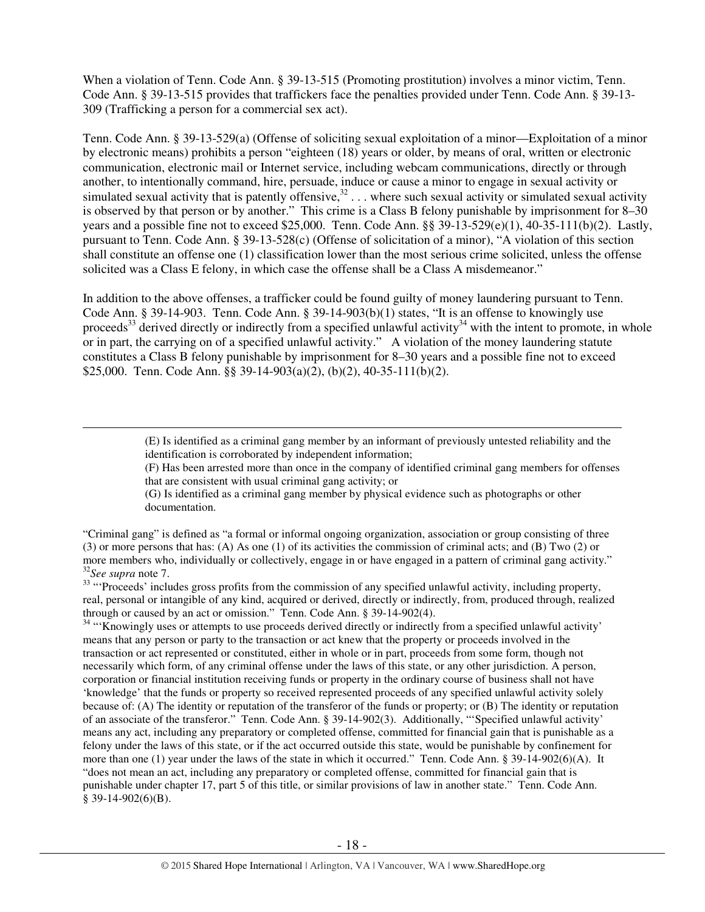When a violation of Tenn. Code Ann. § 39-13-515 (Promoting prostitution) involves a minor victim, Tenn. Code Ann. § 39-13-515 provides that traffickers face the penalties provided under Tenn. Code Ann. § 39-13- 309 (Trafficking a person for a commercial sex act).

Tenn. Code Ann. § 39-13-529(a) (Offense of soliciting sexual exploitation of a minor—Exploitation of a minor by electronic means) prohibits a person "eighteen (18) years or older, by means of oral, written or electronic communication, electronic mail or Internet service, including webcam communications, directly or through another, to intentionally command, hire, persuade, induce or cause a minor to engage in sexual activity or simulated sexual activity that is patently offensive,  $32 \ldots$  where such sexual activity or simulated sexual activity is observed by that person or by another." This crime is a Class B felony punishable by imprisonment for 8–30 years and a possible fine not to exceed \$25,000. Tenn. Code Ann. §§ 39-13-529(e)(1), 40-35-111(b)(2). Lastly, pursuant to Tenn. Code Ann. § 39-13-528(c) (Offense of solicitation of a minor), "A violation of this section shall constitute an offense one (1) classification lower than the most serious crime solicited, unless the offense solicited was a Class E felony, in which case the offense shall be a Class A misdemeanor."

In addition to the above offenses, a trafficker could be found guilty of money laundering pursuant to Tenn. Code Ann. § 39-14-903. Tenn. Code Ann. § 39-14-903(b)(1) states, "It is an offense to knowingly use proceeds<sup>33</sup> derived directly or indirectly from a specified unlawful activity<sup>34</sup> with the intent to promote, in whole or in part, the carrying on of a specified unlawful activity." A violation of the money laundering statute constitutes a Class B felony punishable by imprisonment for 8–30 years and a possible fine not to exceed \$25,000. Tenn. Code Ann. §§ 39-14-903(a)(2), (b)(2), 40-35-111(b)(2).

> (E) Is identified as a criminal gang member by an informant of previously untested reliability and the identification is corroborated by independent information;

(F) Has been arrested more than once in the company of identified criminal gang members for offenses that are consistent with usual criminal gang activity; or

(G) Is identified as a criminal gang member by physical evidence such as photographs or other documentation.

"Criminal gang" is defined as "a formal or informal ongoing organization, association or group consisting of three (3) or more persons that has: (A) As one (1) of its activities the commission of criminal acts; and (B) Two (2) or more members who, individually or collectively, engage in or have engaged in a pattern of criminal gang activity." <sup>32</sup>*See supra* note 7.

 $\overline{a}$ 

<sup>33</sup> "Proceeds' includes gross profits from the commission of any specified unlawful activity, including property, real, personal or intangible of any kind, acquired or derived, directly or indirectly, from, produced through, realized through or caused by an act or omission." Tenn. Code Ann. § 39-14-902(4).

<sup>34</sup> "Knowingly uses or attempts to use proceeds derived directly or indirectly from a specified unlawful activity' means that any person or party to the transaction or act knew that the property or proceeds involved in the transaction or act represented or constituted, either in whole or in part, proceeds from some form, though not necessarily which form, of any criminal offense under the laws of this state, or any other jurisdiction. A person, corporation or financial institution receiving funds or property in the ordinary course of business shall not have 'knowledge' that the funds or property so received represented proceeds of any specified unlawful activity solely because of: (A) The identity or reputation of the transferor of the funds or property; or (B) The identity or reputation of an associate of the transferor." Tenn. Code Ann. § 39-14-902(3). Additionally, "'Specified unlawful activity' means any act, including any preparatory or completed offense, committed for financial gain that is punishable as a felony under the laws of this state, or if the act occurred outside this state, would be punishable by confinement for more than one (1) year under the laws of the state in which it occurred." Tenn. Code Ann. § 39-14-902(6)(A). It "does not mean an act, including any preparatory or completed offense, committed for financial gain that is punishable under chapter 17, part 5 of this title, or similar provisions of law in another state." Tenn. Code Ann. § 39-14-902(6)(B).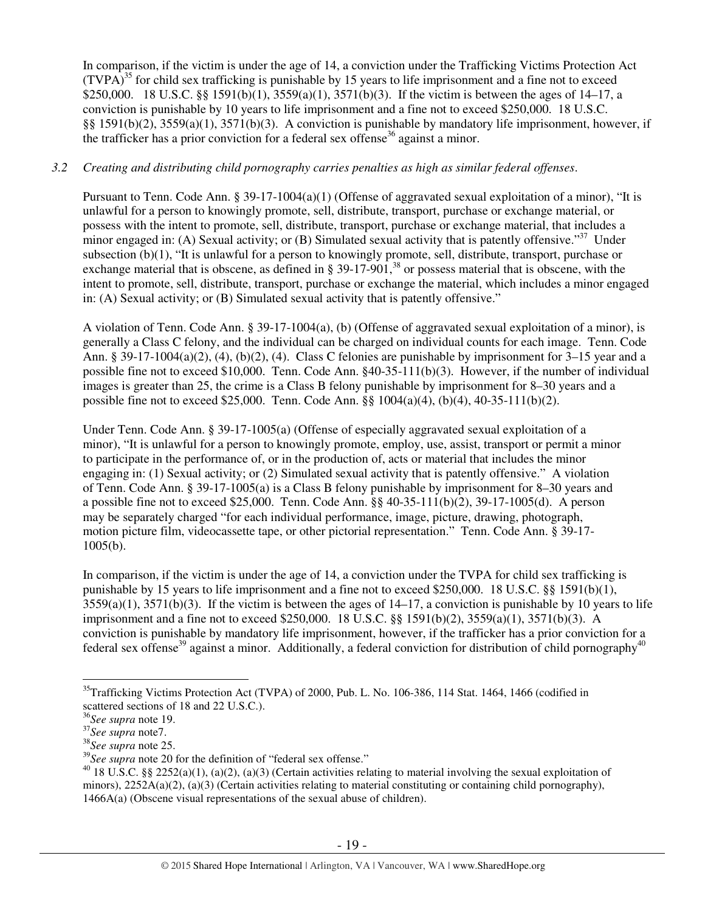In comparison, if the victim is under the age of 14, a conviction under the Trafficking Victims Protection Act  $(TVPA)^{35}$  for child sex trafficking is punishable by 15 years to life imprisonment and a fine not to exceed \$250,000. 18 U.S.C. §§ 1591(b)(1), 3559(a)(1), 3571(b)(3). If the victim is between the ages of 14–17, a conviction is punishable by 10 years to life imprisonment and a fine not to exceed \$250,000. 18 U.S.C. §§ 1591(b)(2), 3559(a)(1), 3571(b)(3). A conviction is punishable by mandatory life imprisonment, however, if the trafficker has a prior conviction for a federal sex offense<sup>36</sup> against a minor.

# *3.2 Creating and distributing child pornography carries penalties as high as similar federal offenses*.

Pursuant to Tenn. Code Ann. § 39-17-1004(a)(1) (Offense of aggravated sexual exploitation of a minor), "It is unlawful for a person to knowingly promote, sell, distribute, transport, purchase or exchange material, or possess with the intent to promote, sell, distribute, transport, purchase or exchange material, that includes a minor engaged in: (A) Sexual activity; or (B) Simulated sexual activity that is patently offensive."<sup>37</sup> Under subsection (b)(1), "It is unlawful for a person to knowingly promote, sell, distribute, transport, purchase or exchange material that is obscene, as defined in  $\S 39-17-901$ ,<sup>38</sup> or possess material that is obscene, with the intent to promote, sell, distribute, transport, purchase or exchange the material, which includes a minor engaged in: (A) Sexual activity; or (B) Simulated sexual activity that is patently offensive."

A violation of Tenn. Code Ann. § 39-17-1004(a), (b) (Offense of aggravated sexual exploitation of a minor), is generally a Class C felony, and the individual can be charged on individual counts for each image. Tenn. Code Ann. § 39-17-1004(a)(2), (4), (b)(2), (4). Class C felonies are punishable by imprisonment for 3–15 year and a possible fine not to exceed \$10,000. Tenn. Code Ann. §40-35-111(b)(3). However, if the number of individual images is greater than 25, the crime is a Class B felony punishable by imprisonment for 8–30 years and a possible fine not to exceed \$25,000. Tenn. Code Ann. §§ 1004(a)(4), (b)(4), 40-35-111(b)(2).

Under Tenn. Code Ann. § 39-17-1005(a) (Offense of especially aggravated sexual exploitation of a minor), "It is unlawful for a person to knowingly promote, employ, use, assist, transport or permit a minor to participate in the performance of, or in the production of, acts or material that includes the minor engaging in: (1) Sexual activity; or (2) Simulated sexual activity that is patently offensive." A violation of Tenn. Code Ann. § 39-17-1005(a) is a Class B felony punishable by imprisonment for 8–30 years and a possible fine not to exceed \$25,000. Tenn. Code Ann.  $\S$ § 40-35-111(b)(2), 39-17-1005(d). A person may be separately charged "for each individual performance, image, picture, drawing, photograph, motion picture film, videocassette tape, or other pictorial representation." Tenn. Code Ann. § 39-17- 1005(b).

In comparison, if the victim is under the age of 14, a conviction under the TVPA for child sex trafficking is punishable by 15 years to life imprisonment and a fine not to exceed \$250,000. 18 U.S.C. §§ 1591(b)(1),  $3559(a)(1)$ ,  $3571(b)(3)$ . If the victim is between the ages of  $14-17$ , a conviction is punishable by 10 years to life imprisonment and a fine not to exceed \$250,000. 18 U.S.C. §§ 1591(b)(2), 3559(a)(1), 3571(b)(3). A conviction is punishable by mandatory life imprisonment, however, if the trafficker has a prior conviction for a federal sex offense<sup>39</sup> against a minor. Additionally, a federal conviction for distribution of child pornography<sup>40</sup>

 $\overline{a}$ <sup>35</sup>Trafficking Victims Protection Act (TVPA) of 2000, Pub. L. No. 106-386, 114 Stat. 1464, 1466 (codified in scattered sections of 18 and 22 U.S.C.).

<sup>36</sup>*See supra* note 19.

<sup>37</sup>*See supra* note7.

<sup>38</sup>*See supra* note 25.

<sup>&</sup>lt;sup>39</sup>See supra note 20 for the definition of "federal sex offense."

<sup>&</sup>lt;sup>40</sup> 18 U.S.C. §§ 2252(a)(1), (a)(2), (a)(3) (Certain activities relating to material involving the sexual exploitation of minors), 2252A(a)(2), (a)(3) (Certain activities relating to material constituting or containing child pornography), 1466A(a) (Obscene visual representations of the sexual abuse of children).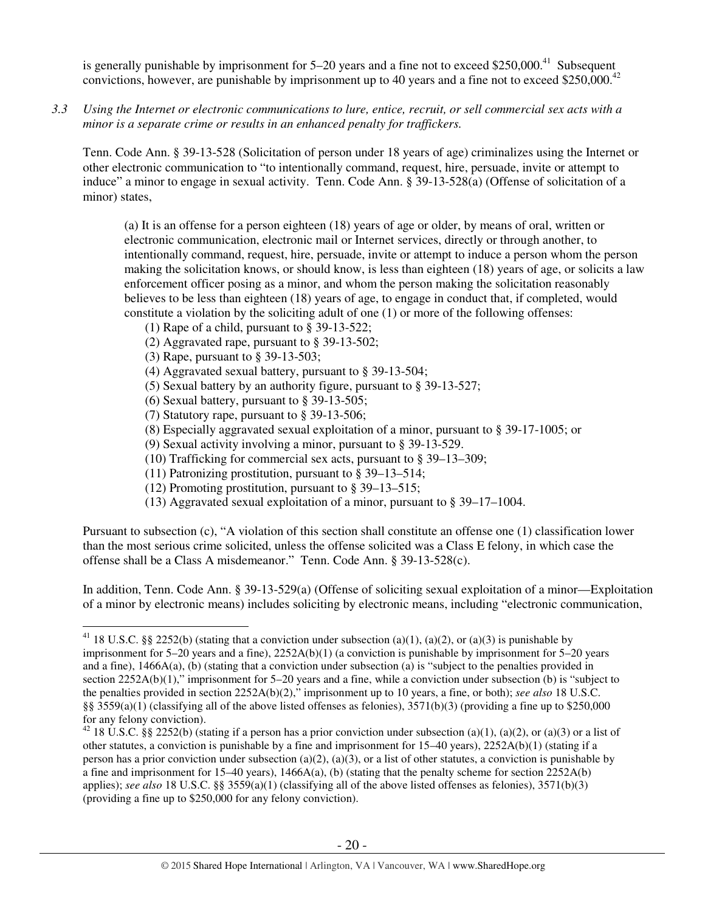is generally punishable by imprisonment for  $5-20$  years and a fine not to exceed \$250,000.<sup>41</sup> Subsequent convictions, however, are punishable by imprisonment up to 40 years and a fine not to exceed \$250,000.<sup>42</sup>

*3.3 Using the Internet or electronic communications to lure, entice, recruit, or sell commercial sex acts with a minor is a separate crime or results in an enhanced penalty for traffickers.* 

Tenn. Code Ann. § 39-13-528 (Solicitation of person under 18 years of age) criminalizes using the Internet or other electronic communication to "to intentionally command, request, hire, persuade, invite or attempt to induce" a minor to engage in sexual activity. Tenn. Code Ann. § 39-13-528(a) (Offense of solicitation of a minor) states,

(a) It is an offense for a person eighteen (18) years of age or older, by means of oral, written or electronic communication, electronic mail or Internet services, directly or through another, to intentionally command, request, hire, persuade, invite or attempt to induce a person whom the person making the solicitation knows, or should know, is less than eighteen (18) years of age, or solicits a law enforcement officer posing as a minor, and whom the person making the solicitation reasonably believes to be less than eighteen (18) years of age, to engage in conduct that, if completed, would constitute a violation by the soliciting adult of one (1) or more of the following offenses:

- (1) Rape of a child, pursuant to § 39-13-522;
- (2) Aggravated rape, pursuant to § 39-13-502;
- (3) Rape, pursuant to § 39-13-503;

 $\overline{a}$ 

- (4) Aggravated sexual battery, pursuant to § 39-13-504;
- (5) Sexual battery by an authority figure, pursuant to § 39-13-527;
- (6) Sexual battery, pursuant to § 39-13-505;
- (7) Statutory rape, pursuant to § 39-13-506;
- (8) Especially aggravated sexual exploitation of a minor, pursuant to § 39-17-1005; or
- (9) Sexual activity involving a minor, pursuant to § 39-13-529.
- (10) Trafficking for commercial sex acts, pursuant to § 39–13–309;
- (11) Patronizing prostitution, pursuant to § 39–13–514;
- (12) Promoting prostitution, pursuant to § 39–13–515;
- (13) Aggravated sexual exploitation of a minor, pursuant to § 39–17–1004.

Pursuant to subsection (c), "A violation of this section shall constitute an offense one (1) classification lower than the most serious crime solicited, unless the offense solicited was a Class E felony, in which case the offense shall be a Class A misdemeanor." Tenn. Code Ann. § 39-13-528(c).

In addition, Tenn. Code Ann. § 39-13-529(a) (Offense of soliciting sexual exploitation of a minor—Exploitation of a minor by electronic means) includes soliciting by electronic means, including "electronic communication,

<sup>&</sup>lt;sup>41</sup> 18 U.S.C. §§ 2252(b) (stating that a conviction under subsection (a)(1), (a)(2), or (a)(3) is punishable by imprisonment for 5–20 years and a fine), 2252A(b)(1) (a conviction is punishable by imprisonment for 5–20 years and a fine), 1466A(a), (b) (stating that a conviction under subsection (a) is "subject to the penalties provided in section 2252A(b)(1)," imprisonment for 5–20 years and a fine, while a conviction under subsection (b) is "subject to the penalties provided in section 2252A(b)(2)," imprisonment up to 10 years, a fine, or both); *see also* 18 U.S.C. §§ 3559(a)(1) (classifying all of the above listed offenses as felonies),  $3571(b)(3)$  (providing a fine up to \$250,000 for any felony conviction).

<sup>&</sup>lt;sup>42</sup> 18 U.S.C. §§ 2252(b) (stating if a person has a prior conviction under subsection (a)(1), (a)(2), or (a)(3) or a list of other statutes, a conviction is punishable by a fine and imprisonment for  $15-40$  years),  $2252A(b)(1)$  (stating if a person has a prior conviction under subsection (a)(2), (a)(3), or a list of other statutes, a conviction is punishable by a fine and imprisonment for 15–40 years), 1466A(a), (b) (stating that the penalty scheme for section 2252A(b) applies); *see also* 18 U.S.C. §§ 3559(a)(1) (classifying all of the above listed offenses as felonies), 3571(b)(3) (providing a fine up to \$250,000 for any felony conviction).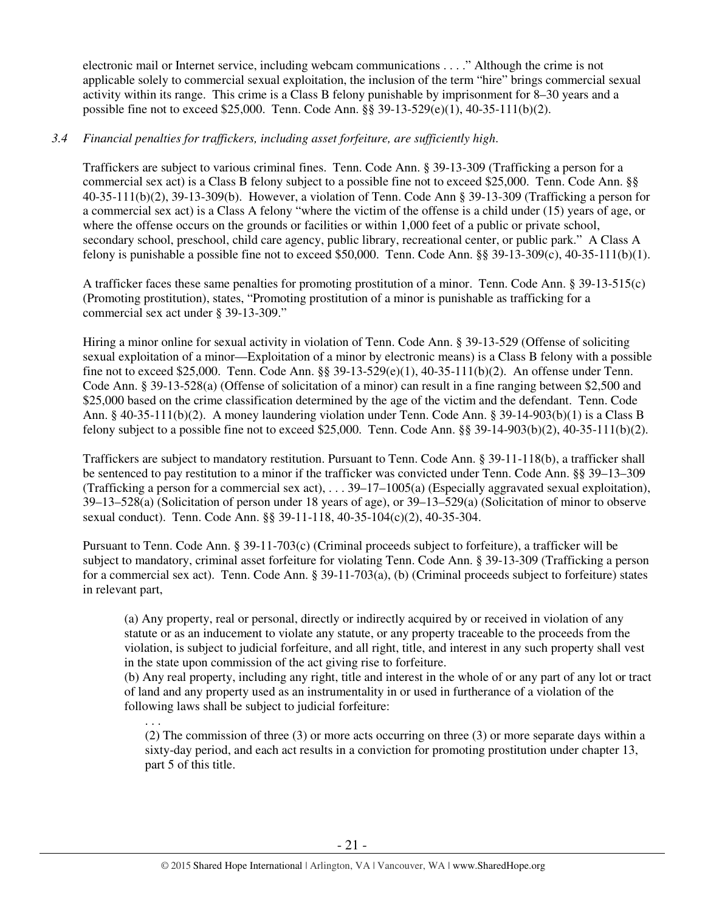electronic mail or Internet service, including webcam communications . . . ." Although the crime is not applicable solely to commercial sexual exploitation, the inclusion of the term "hire" brings commercial sexual activity within its range. This crime is a Class B felony punishable by imprisonment for 8–30 years and a possible fine not to exceed \$25,000. Tenn. Code Ann. §§ 39-13-529(e)(1), 40-35-111(b)(2).

# *3.4 Financial penalties for traffickers, including asset forfeiture, are sufficiently high*.

Traffickers are subject to various criminal fines. Tenn. Code Ann. § 39-13-309 (Trafficking a person for a commercial sex act) is a Class B felony subject to a possible fine not to exceed \$25,000. Tenn. Code Ann. §§ 40-35-111(b)(2), 39-13-309(b). However, a violation of Tenn. Code Ann § 39-13-309 (Trafficking a person for a commercial sex act) is a Class A felony "where the victim of the offense is a child under (15) years of age, or where the offense occurs on the grounds or facilities or within 1,000 feet of a public or private school, secondary school, preschool, child care agency, public library, recreational center, or public park." A Class A felony is punishable a possible fine not to exceed \$50,000. Tenn. Code Ann. §§ 39-13-309(c), 40-35-111(b)(1).

A trafficker faces these same penalties for promoting prostitution of a minor. Tenn. Code Ann. § 39-13-515(c) (Promoting prostitution), states, "Promoting prostitution of a minor is punishable as trafficking for a commercial sex act under § 39-13-309."

Hiring a minor online for sexual activity in violation of Tenn. Code Ann. § 39-13-529 (Offense of soliciting sexual exploitation of a minor—Exploitation of a minor by electronic means) is a Class B felony with a possible fine not to exceed \$25,000. Tenn. Code Ann. §§ 39-13-529(e)(1), 40-35-111(b)(2). An offense under Tenn. Code Ann. § 39-13-528(a) (Offense of solicitation of a minor) can result in a fine ranging between \$2,500 and \$25,000 based on the crime classification determined by the age of the victim and the defendant. Tenn. Code Ann. § 40-35-111(b)(2). A money laundering violation under Tenn. Code Ann. § 39-14-903(b)(1) is a Class B felony subject to a possible fine not to exceed \$25,000. Tenn. Code Ann. §§ 39-14-903(b)(2), 40-35-111(b)(2).

Traffickers are subject to mandatory restitution. Pursuant to Tenn. Code Ann. § 39-11-118(b), a trafficker shall be sentenced to pay restitution to a minor if the trafficker was convicted under Tenn. Code Ann. §§ 39–13–309 (Trafficking a person for a commercial sex act), . . . 39–17–1005(a) (Especially aggravated sexual exploitation), 39–13–528(a) (Solicitation of person under 18 years of age), or 39–13–529(a) (Solicitation of minor to observe sexual conduct). Tenn. Code Ann. §§ 39-11-118, 40-35-104(c)(2), 40-35-304.

Pursuant to Tenn. Code Ann. § 39-11-703(c) (Criminal proceeds subject to forfeiture), a trafficker will be subject to mandatory, criminal asset forfeiture for violating Tenn. Code Ann. § 39-13-309 (Trafficking a person for a commercial sex act). Tenn. Code Ann. § 39-11-703(a), (b) (Criminal proceeds subject to forfeiture) states in relevant part,

(a) Any property, real or personal, directly or indirectly acquired by or received in violation of any statute or as an inducement to violate any statute, or any property traceable to the proceeds from the violation, is subject to judicial forfeiture, and all right, title, and interest in any such property shall vest in the state upon commission of the act giving rise to forfeiture.

(b) Any real property, including any right, title and interest in the whole of or any part of any lot or tract of land and any property used as an instrumentality in or used in furtherance of a violation of the following laws shall be subject to judicial forfeiture:

. . .

 (2) The commission of three (3) or more acts occurring on three (3) or more separate days within a sixty-day period, and each act results in a conviction for promoting prostitution under chapter 13, part 5 of this title.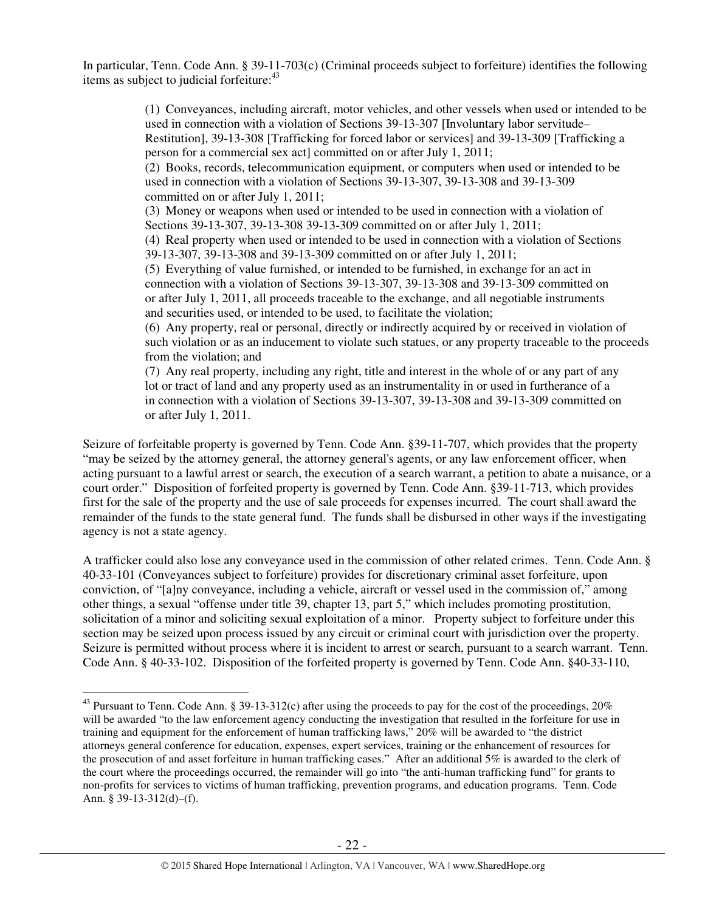In particular, Tenn. Code Ann. § 39-11-703(c) (Criminal proceeds subject to forfeiture) identifies the following items as subject to judicial forfeiture:<sup>43</sup>

> (1) Conveyances, including aircraft, motor vehicles, and other vessels when used or intended to be used in connection with a violation of Sections 39-13-307 [Involuntary labor servitude– Restitution], 39-13-308 [Trafficking for forced labor or services] and 39-13-309 [Trafficking a person for a commercial sex act] committed on or after July 1, 2011; (2) Books, records, telecommunication equipment, or computers when used or intended to be used in connection with a violation of Sections 39-13-307, 39-13-308 and 39-13-309 committed on or after July 1, 2011; (3) Money or weapons when used or intended to be used in connection with a violation of

Sections 39-13-307, 39-13-308 39-13-309 committed on or after July 1, 2011; (4) Real property when used or intended to be used in connection with a violation of Sections 39-13-307, 39-13-308 and 39-13-309 committed on or after July 1, 2011;

(5) Everything of value furnished, or intended to be furnished, in exchange for an act in connection with a violation of Sections 39-13-307, 39-13-308 and 39-13-309 committed on or after July 1, 2011, all proceeds traceable to the exchange, and all negotiable instruments and securities used, or intended to be used, to facilitate the violation;

(6) Any property, real or personal, directly or indirectly acquired by or received in violation of such violation or as an inducement to violate such statues, or any property traceable to the proceeds from the violation; and

(7) Any real property, including any right, title and interest in the whole of or any part of any lot or tract of land and any property used as an instrumentality in or used in furtherance of a in connection with a violation of Sections 39-13-307, 39-13-308 and 39-13-309 committed on or after July 1, 2011.

Seizure of forfeitable property is governed by Tenn. Code Ann. §39-11-707, which provides that the property "may be seized by the attorney general, the attorney general's agents, or any law enforcement officer, when acting pursuant to a lawful arrest or search, the execution of a search warrant, a petition to abate a nuisance, or a court order." Disposition of forfeited property is governed by Tenn. Code Ann. §39-11-713, which provides first for the sale of the property and the use of sale proceeds for expenses incurred. The court shall award the remainder of the funds to the state general fund. The funds shall be disbursed in other ways if the investigating agency is not a state agency.

A trafficker could also lose any conveyance used in the commission of other related crimes. Tenn. Code Ann. § 40-33-101 (Conveyances subject to forfeiture) provides for discretionary criminal asset forfeiture, upon conviction, of "[a]ny conveyance, including a vehicle, aircraft or vessel used in the commission of," among other things, a sexual "offense under title 39, chapter 13, part 5," which includes promoting prostitution, solicitation of a minor and soliciting sexual exploitation of a minor. Property subject to forfeiture under this section may be seized upon process issued by any circuit or criminal court with jurisdiction over the property. Seizure is permitted without process where it is incident to arrest or search, pursuant to a search warrant. Tenn. Code Ann. § 40-33-102. Disposition of the forfeited property is governed by Tenn. Code Ann. §40-33-110,

 $\overline{a}$ <sup>43</sup> Pursuant to Tenn. Code Ann. § 39-13-312(c) after using the proceeds to pay for the cost of the proceedings,  $20\%$ will be awarded "to the law enforcement agency conducting the investigation that resulted in the forfeiture for use in training and equipment for the enforcement of human trafficking laws," 20% will be awarded to "the district attorneys general conference for education, expenses, expert services, training or the enhancement of resources for the prosecution of and asset forfeiture in human trafficking cases." After an additional 5% is awarded to the clerk of the court where the proceedings occurred, the remainder will go into "the anti-human trafficking fund" for grants to non-profits for services to victims of human trafficking, prevention programs, and education programs. Tenn. Code Ann. § 39-13-312(d)–(f).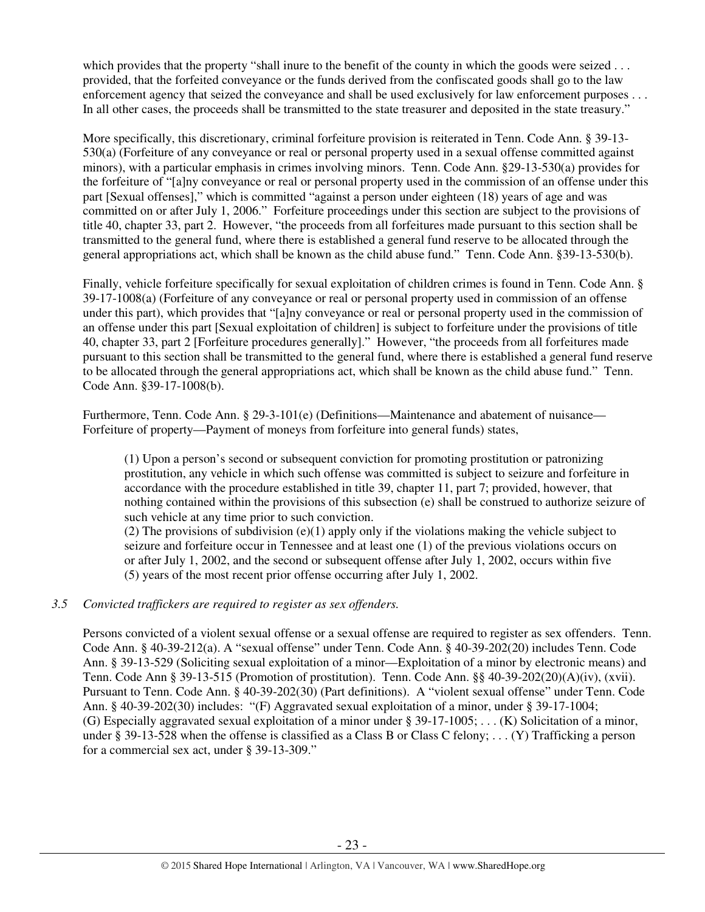which provides that the property "shall inure to the benefit of the county in which the goods were seized . . . provided, that the forfeited conveyance or the funds derived from the confiscated goods shall go to the law enforcement agency that seized the conveyance and shall be used exclusively for law enforcement purposes . . . In all other cases, the proceeds shall be transmitted to the state treasurer and deposited in the state treasury."

More specifically, this discretionary, criminal forfeiture provision is reiterated in Tenn. Code Ann. § 39-13- 530(a) (Forfeiture of any conveyance or real or personal property used in a sexual offense committed against minors), with a particular emphasis in crimes involving minors. Tenn. Code Ann. §29-13-530(a) provides for the forfeiture of "[a]ny conveyance or real or personal property used in the commission of an offense under this part [Sexual offenses]," which is committed "against a person under eighteen (18) years of age and was committed on or after July 1, 2006." Forfeiture proceedings under this section are subject to the provisions of title 40, chapter 33, part 2. However, "the proceeds from all forfeitures made pursuant to this section shall be transmitted to the general fund, where there is established a general fund reserve to be allocated through the general appropriations act, which shall be known as the child abuse fund." Tenn. Code Ann. §39-13-530(b).

Finally, vehicle forfeiture specifically for sexual exploitation of children crimes is found in Tenn. Code Ann. § 39-17-1008(a) (Forfeiture of any conveyance or real or personal property used in commission of an offense under this part), which provides that "[a]ny conveyance or real or personal property used in the commission of an offense under this part [Sexual exploitation of children] is subject to forfeiture under the provisions of title 40, chapter 33, part 2 [Forfeiture procedures generally]." However, "the proceeds from all forfeitures made pursuant to this section shall be transmitted to the general fund, where there is established a general fund reserve to be allocated through the general appropriations act, which shall be known as the child abuse fund." Tenn. Code Ann. §39-17-1008(b).

Furthermore, Tenn. Code Ann. § 29-3-101(e) (Definitions—Maintenance and abatement of nuisance— Forfeiture of property—Payment of moneys from forfeiture into general funds) states,

(1) Upon a person's second or subsequent conviction for promoting prostitution or patronizing prostitution, any vehicle in which such offense was committed is subject to seizure and forfeiture in accordance with the procedure established in title 39, chapter 11, part 7; provided, however, that nothing contained within the provisions of this subsection (e) shall be construed to authorize seizure of such vehicle at any time prior to such conviction.

(2) The provisions of subdivision  $(e)(1)$  apply only if the violations making the vehicle subject to seizure and forfeiture occur in Tennessee and at least one (1) of the previous violations occurs on or after July 1, 2002, and the second or subsequent offense after July 1, 2002, occurs within five (5) years of the most recent prior offense occurring after July 1, 2002.

## *3.5 Convicted traffickers are required to register as sex offenders.*

Persons convicted of a violent sexual offense or a sexual offense are required to register as sex offenders. Tenn. Code Ann. § 40-39-212(a). A "sexual offense" under Tenn. Code Ann. § 40-39-202(20) includes Tenn. Code Ann. § 39-13-529 (Soliciting sexual exploitation of a minor—Exploitation of a minor by electronic means) and Tenn. Code Ann § 39-13-515 (Promotion of prostitution). Tenn. Code Ann. §§ 40-39-202(20)(A)(iv), (xvii). Pursuant to Tenn. Code Ann. § 40-39-202(30) (Part definitions). A "violent sexual offense" under Tenn. Code Ann. § 40-39-202(30) includes: "(F) Aggravated sexual exploitation of a minor, under § 39-17-1004; (G) Especially aggravated sexual exploitation of a minor under § 39-17-1005; . . . (K) Solicitation of a minor, under § 39-13-528 when the offense is classified as a Class B or Class C felony; . . . (Y) Trafficking a person for a commercial sex act, under § 39-13-309."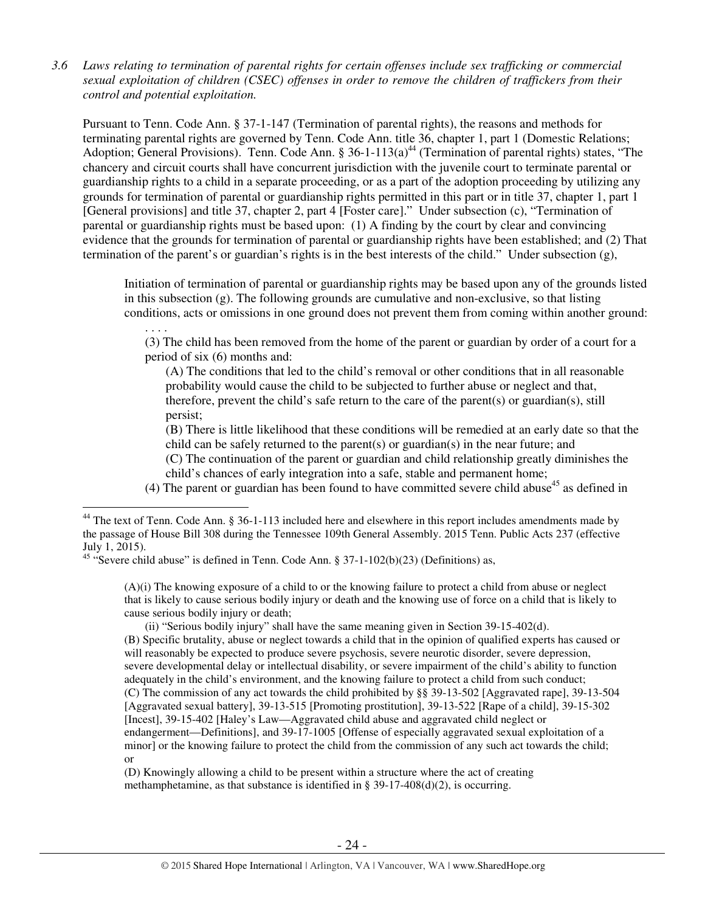*3.6 Laws relating to termination of parental rights for certain offenses include sex trafficking or commercial sexual exploitation of children (CSEC) offenses in order to remove the children of traffickers from their control and potential exploitation.* 

Pursuant to Tenn. Code Ann. § 37-1-147 (Termination of parental rights), the reasons and methods for terminating parental rights are governed by Tenn. Code Ann. title 36, chapter 1, part 1 (Domestic Relations; Adoption; General Provisions). Tenn. Code Ann. § 36-1-113(a)<sup>44</sup> (Termination of parental rights) states, "The chancery and circuit courts shall have concurrent jurisdiction with the juvenile court to terminate parental or guardianship rights to a child in a separate proceeding, or as a part of the adoption proceeding by utilizing any grounds for termination of parental or guardianship rights permitted in this part or in title 37, chapter 1, part 1 [General provisions] and title 37, chapter 2, part 4 [Foster care]." Under subsection (c), "Termination of parental or guardianship rights must be based upon: (1) A finding by the court by clear and convincing evidence that the grounds for termination of parental or guardianship rights have been established; and (2) That termination of the parent's or guardian's rights is in the best interests of the child." Under subsection (g),

Initiation of termination of parental or guardianship rights may be based upon any of the grounds listed in this subsection (g). The following grounds are cumulative and non-exclusive, so that listing conditions, acts or omissions in one ground does not prevent them from coming within another ground:

. . . . (3) The child has been removed from the home of the parent or guardian by order of a court for a period of six (6) months and:

 (A) The conditions that led to the child's removal or other conditions that in all reasonable probability would cause the child to be subjected to further abuse or neglect and that, therefore, prevent the child's safe return to the care of the parent(s) or guardian(s), still persist;

 (B) There is little likelihood that these conditions will be remedied at an early date so that the child can be safely returned to the parent(s) or guardian(s) in the near future; and (C) The continuation of the parent or guardian and child relationship greatly diminishes the

child's chances of early integration into a safe, stable and permanent home;

(4) The parent or guardian has been found to have committed severe child abuse<sup>45</sup> as defined in

 $\overline{a}$ 

(A)(i) The knowing exposure of a child to or the knowing failure to protect a child from abuse or neglect that is likely to cause serious bodily injury or death and the knowing use of force on a child that is likely to cause serious bodily injury or death;

 (ii) "Serious bodily injury" shall have the same meaning given in Section 39-15-402(d). (B) Specific brutality, abuse or neglect towards a child that in the opinion of qualified experts has caused or will reasonably be expected to produce severe psychosis, severe neurotic disorder, severe depression, severe developmental delay or intellectual disability, or severe impairment of the child's ability to function adequately in the child's environment, and the knowing failure to protect a child from such conduct; (C) The commission of any act towards the child prohibited by §§ 39-13-502 [Aggravated rape], 39-13-504 [Aggravated sexual battery], 39-13-515 [Promoting prostitution], 39-13-522 [Rape of a child], 39-15-302 [Incest], 39-15-402 [Haley's Law—Aggravated child abuse and aggravated child neglect or endangerment—Definitions], and 39-17-1005 [Offense of especially aggravated sexual exploitation of a minor] or the knowing failure to protect the child from the commission of any such act towards the child; or

(D) Knowingly allowing a child to be present within a structure where the act of creating methamphetamine, as that substance is identified in § 39-17-408(d)(2), is occurring.

 $44$  The text of Tenn. Code Ann. § 36-1-113 included here and elsewhere in this report includes amendments made by the passage of House Bill 308 during the Tennessee 109th General Assembly. 2015 Tenn. Public Acts 237 (effective July 1, 2015).

<sup>&</sup>lt;sup>45</sup> "Severe child abuse" is defined in Tenn. Code Ann. § 37-1-102(b)(23) (Definitions) as,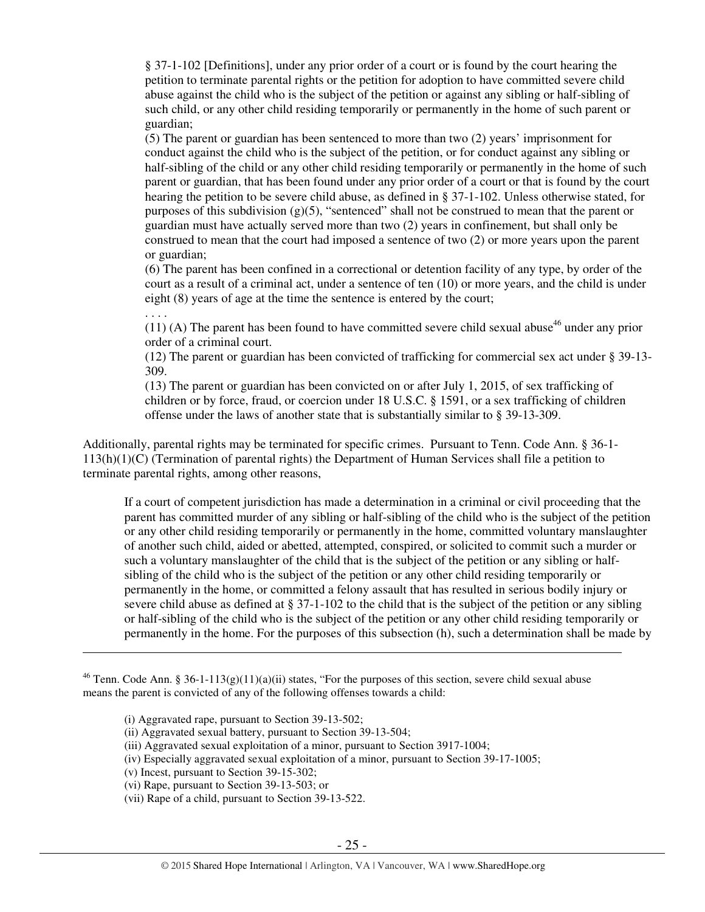§ 37-1-102 [Definitions], under any prior order of a court or is found by the court hearing the petition to terminate parental rights or the petition for adoption to have committed severe child abuse against the child who is the subject of the petition or against any sibling or half-sibling of such child, or any other child residing temporarily or permanently in the home of such parent or guardian;

(5) The parent or guardian has been sentenced to more than two (2) years' imprisonment for conduct against the child who is the subject of the petition, or for conduct against any sibling or half-sibling of the child or any other child residing temporarily or permanently in the home of such parent or guardian, that has been found under any prior order of a court or that is found by the court hearing the petition to be severe child abuse, as defined in § 37-1-102. Unless otherwise stated, for purposes of this subdivision  $(g)(5)$ , "sentenced" shall not be construed to mean that the parent or guardian must have actually served more than two (2) years in confinement, but shall only be construed to mean that the court had imposed a sentence of two (2) or more years upon the parent or guardian;

(6) The parent has been confined in a correctional or detention facility of any type, by order of the court as a result of a criminal act, under a sentence of ten (10) or more years, and the child is under eight (8) years of age at the time the sentence is entered by the court;

. . . .

 $\overline{a}$ 

 $(11)$  (A) The parent has been found to have committed severe child sexual abuse<sup>46</sup> under any prior order of a criminal court.

(12) The parent or guardian has been convicted of trafficking for commercial sex act under § 39-13- 309.

(13) The parent or guardian has been convicted on or after July 1, 2015, of sex trafficking of children or by force, fraud, or coercion under 18 U.S.C. § 1591, or a sex trafficking of children offense under the laws of another state that is substantially similar to § 39-13-309.

Additionally, parental rights may be terminated for specific crimes. Pursuant to Tenn. Code Ann. § 36-1- 113(h)(1)(C) (Termination of parental rights) the Department of Human Services shall file a petition to terminate parental rights, among other reasons,

If a court of competent jurisdiction has made a determination in a criminal or civil proceeding that the parent has committed murder of any sibling or half-sibling of the child who is the subject of the petition or any other child residing temporarily or permanently in the home, committed voluntary manslaughter of another such child, aided or abetted, attempted, conspired, or solicited to commit such a murder or such a voluntary manslaughter of the child that is the subject of the petition or any sibling or halfsibling of the child who is the subject of the petition or any other child residing temporarily or permanently in the home, or committed a felony assault that has resulted in serious bodily injury or severe child abuse as defined at § 37-1-102 to the child that is the subject of the petition or any sibling or half-sibling of the child who is the subject of the petition or any other child residing temporarily or permanently in the home. For the purposes of this subsection (h), such a determination shall be made by

<sup>&</sup>lt;sup>46</sup> Tenn. Code Ann. § 36-1-113(g)(11)(a)(ii) states, "For the purposes of this section, severe child sexual abuse means the parent is convicted of any of the following offenses towards a child:

<sup>(</sup>i) Aggravated rape, pursuant to Section 39-13-502;

<sup>(</sup>ii) Aggravated sexual battery, pursuant to Section 39-13-504;

<sup>(</sup>iii) Aggravated sexual exploitation of a minor, pursuant to Section 3917-1004;

<sup>(</sup>iv) Especially aggravated sexual exploitation of a minor, pursuant to Section 39-17-1005;

<sup>(</sup>v) Incest, pursuant to Section 39-15-302;

<sup>(</sup>vi) Rape, pursuant to Section 39-13-503; or

<sup>(</sup>vii) Rape of a child, pursuant to Section 39-13-522.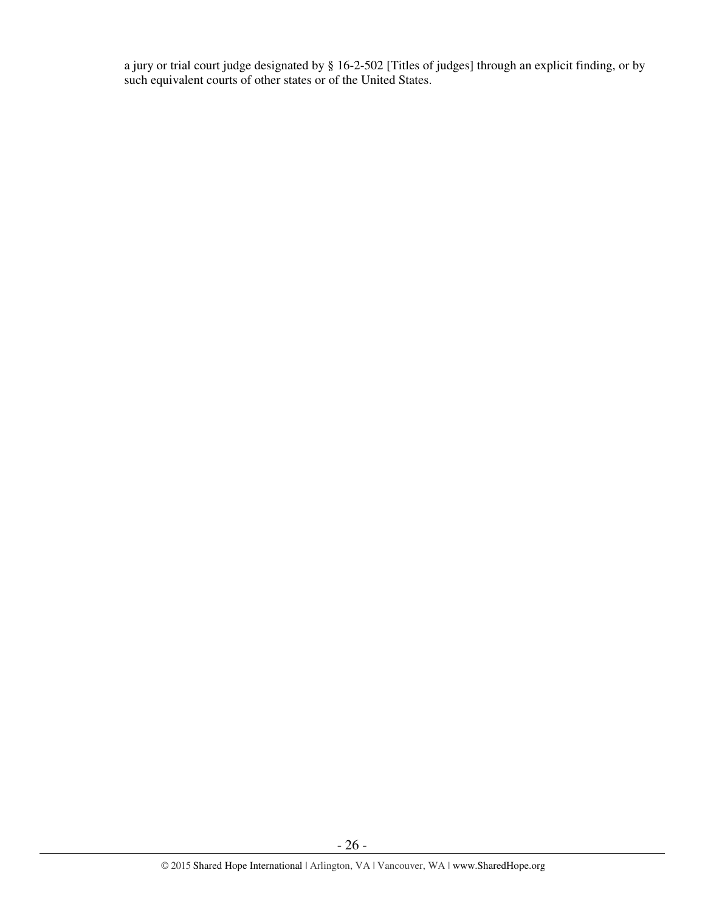a jury or trial court judge designated by § 16-2-502 [Titles of judges] through an explicit finding, or by such equivalent courts of other states or of the United States.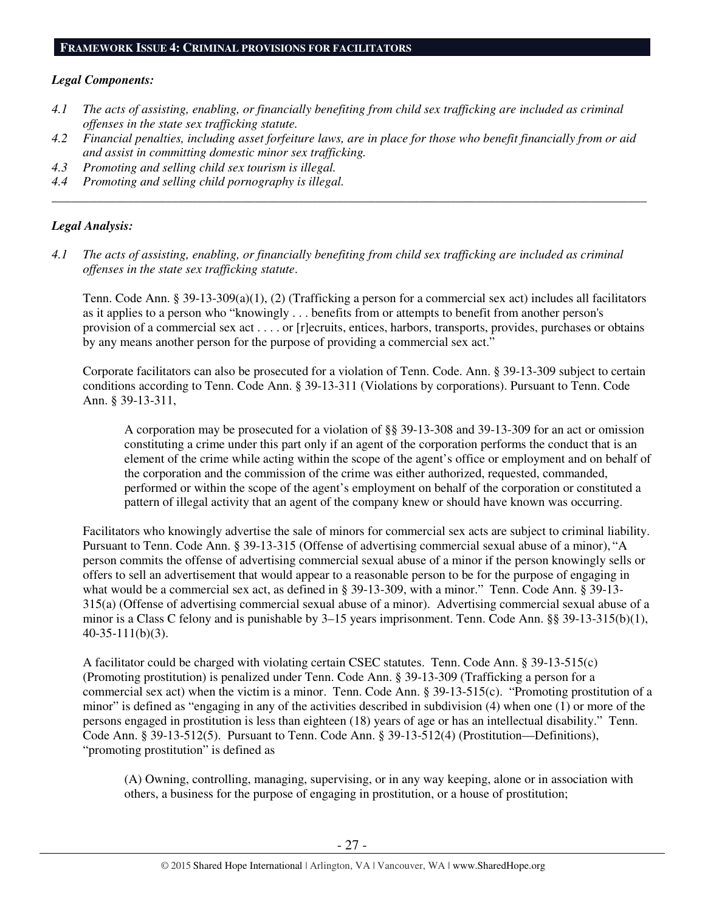# *Legal Components:*

- *4.1 The acts of assisting, enabling, or financially benefiting from child sex trafficking are included as criminal offenses in the state sex trafficking statute.*
- *4.2 Financial penalties, including asset forfeiture laws, are in place for those who benefit financially from or aid and assist in committing domestic minor sex trafficking.*

*\_\_\_\_\_\_\_\_\_\_\_\_\_\_\_\_\_\_\_\_\_\_\_\_\_\_\_\_\_\_\_\_\_\_\_\_\_\_\_\_\_\_\_\_\_\_\_\_\_\_\_\_\_\_\_\_\_\_\_\_\_\_\_\_\_\_\_\_\_\_\_\_\_\_\_\_\_\_\_\_\_\_\_\_\_\_\_\_\_\_\_\_\_\_* 

- *4.3 Promoting and selling child sex tourism is illegal.*
- *4.4 Promoting and selling child pornography is illegal.*

# *Legal Analysis:*

*4.1 The acts of assisting, enabling, or financially benefiting from child sex trafficking are included as criminal offenses in the state sex trafficking statute*.

Tenn. Code Ann. § 39-13-309(a)(1), (2) (Trafficking a person for a commercial sex act) includes all facilitators as it applies to a person who "knowingly . . . benefits from or attempts to benefit from another person's provision of a commercial sex act . . . . or [r]ecruits, entices, harbors, transports, provides, purchases or obtains by any means another person for the purpose of providing a commercial sex act."

Corporate facilitators can also be prosecuted for a violation of Tenn. Code. Ann. § 39-13-309 subject to certain conditions according to Tenn. Code Ann. § 39-13-311 (Violations by corporations). Pursuant to Tenn. Code Ann. § 39-13-311,

A corporation may be prosecuted for a violation of §§ 39-13-308 and 39-13-309 for an act or omission constituting a crime under this part only if an agent of the corporation performs the conduct that is an element of the crime while acting within the scope of the agent's office or employment and on behalf of the corporation and the commission of the crime was either authorized, requested, commanded, performed or within the scope of the agent's employment on behalf of the corporation or constituted a pattern of illegal activity that an agent of the company knew or should have known was occurring.

Facilitators who knowingly advertise the sale of minors for commercial sex acts are subject to criminal liability. Pursuant to Tenn. Code Ann. § 39-13-315 (Offense of advertising commercial sexual abuse of a minor), "A person commits the offense of advertising commercial sexual abuse of a minor if the person knowingly sells or offers to sell an advertisement that would appear to a reasonable person to be for the purpose of engaging in what would be a commercial sex act, as defined in § 39-13-309, with a minor." Tenn. Code Ann. § 39-13- 315(a) (Offense of advertising commercial sexual abuse of a minor). Advertising commercial sexual abuse of a minor is a Class C felony and is punishable by 3–15 years imprisonment. Tenn. Code Ann. §§ 39-13-315(b)(1), 40-35-111(b)(3).

A facilitator could be charged with violating certain CSEC statutes. Tenn. Code Ann. § 39-13-515(c) (Promoting prostitution) is penalized under Tenn. Code Ann. § 39-13-309 (Trafficking a person for a commercial sex act) when the victim is a minor. Tenn. Code Ann. § 39-13-515(c). "Promoting prostitution of a minor" is defined as "engaging in any of the activities described in subdivision  $(4)$  when one  $(1)$  or more of the persons engaged in prostitution is less than eighteen (18) years of age or has an intellectual disability." Tenn. Code Ann. § 39-13-512(5). Pursuant to Tenn. Code Ann. § 39-13-512(4) (Prostitution—Definitions), "promoting prostitution" is defined as

(A) Owning, controlling, managing, supervising, or in any way keeping, alone or in association with others, a business for the purpose of engaging in prostitution, or a house of prostitution;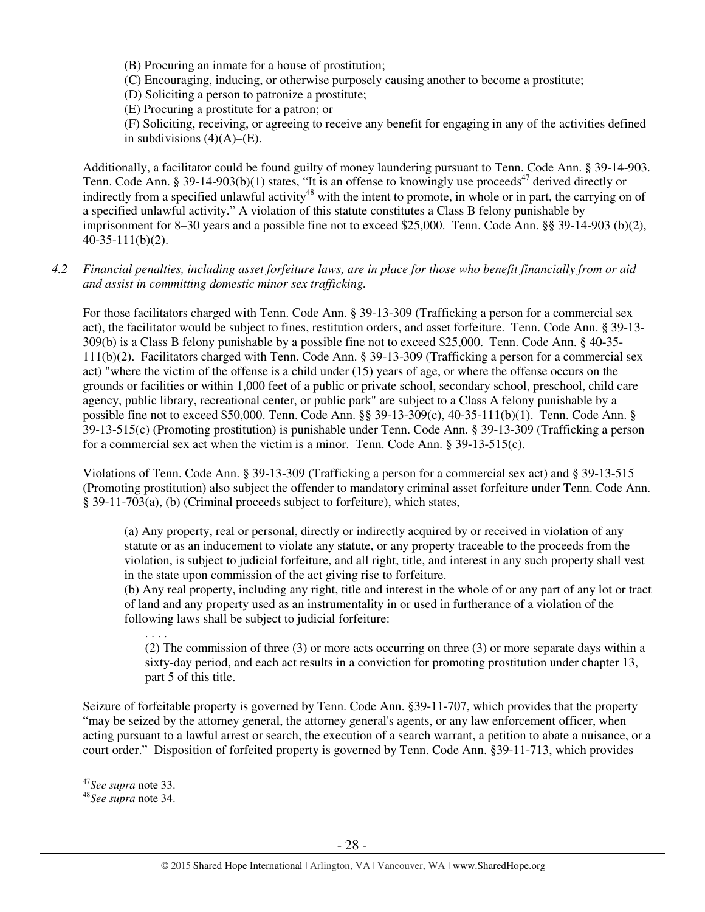(B) Procuring an inmate for a house of prostitution;

(C) Encouraging, inducing, or otherwise purposely causing another to become a prostitute;

(D) Soliciting a person to patronize a prostitute;

(E) Procuring a prostitute for a patron; or

 (F) Soliciting, receiving, or agreeing to receive any benefit for engaging in any of the activities defined in subdivisions  $(4)(A)$ – $(E)$ .

Additionally, a facilitator could be found guilty of money laundering pursuant to Tenn. Code Ann. § 39-14-903. Tenn. Code Ann. § 39-14-903(b)(1) states, "It is an offense to knowingly use proceeds<sup>47</sup> derived directly or indirectly from a specified unlawful activity<sup>48</sup> with the intent to promote, in whole or in part, the carrying on of a specified unlawful activity." A violation of this statute constitutes a Class B felony punishable by imprisonment for 8–30 years and a possible fine not to exceed \$25,000. Tenn. Code Ann. §§ 39-14-903 (b)(2), 40-35-111(b)(2).

## *4.2 Financial penalties, including asset forfeiture laws, are in place for those who benefit financially from or aid and assist in committing domestic minor sex trafficking.*

For those facilitators charged with Tenn. Code Ann. § 39-13-309 (Trafficking a person for a commercial sex act), the facilitator would be subject to fines, restitution orders, and asset forfeiture. Tenn. Code Ann. § 39-13- 309(b) is a Class B felony punishable by a possible fine not to exceed \$25,000. Tenn. Code Ann. § 40-35- 111(b)(2). Facilitators charged with Tenn. Code Ann. § 39-13-309 (Trafficking a person for a commercial sex act) "where the victim of the offense is a child under (15) years of age, or where the offense occurs on the grounds or facilities or within 1,000 feet of a public or private school, secondary school, preschool, child care agency, public library, recreational center, or public park" are subject to a Class A felony punishable by a possible fine not to exceed \$50,000. Tenn. Code Ann. §§ 39-13-309(c), 40-35-111(b)(1). Tenn. Code Ann. § 39-13-515(c) (Promoting prostitution) is punishable under Tenn. Code Ann. § 39-13-309 (Trafficking a person for a commercial sex act when the victim is a minor. Tenn. Code Ann. § 39-13-515(c).

Violations of Tenn. Code Ann. § 39-13-309 (Trafficking a person for a commercial sex act) and § 39-13-515 (Promoting prostitution) also subject the offender to mandatory criminal asset forfeiture under Tenn. Code Ann. § 39-11-703(a), (b) (Criminal proceeds subject to forfeiture), which states,

(a) Any property, real or personal, directly or indirectly acquired by or received in violation of any statute or as an inducement to violate any statute, or any property traceable to the proceeds from the violation, is subject to judicial forfeiture, and all right, title, and interest in any such property shall vest in the state upon commission of the act giving rise to forfeiture.

(b) Any real property, including any right, title and interest in the whole of or any part of any lot or tract of land and any property used as an instrumentality in or used in furtherance of a violation of the following laws shall be subject to judicial forfeiture:

(2) The commission of three (3) or more acts occurring on three (3) or more separate days within a sixty-day period, and each act results in a conviction for promoting prostitution under chapter 13, part 5 of this title.

Seizure of forfeitable property is governed by Tenn. Code Ann. §39-11-707, which provides that the property "may be seized by the attorney general, the attorney general's agents, or any law enforcement officer, when acting pursuant to a lawful arrest or search, the execution of a search warrant, a petition to abate a nuisance, or a court order." Disposition of forfeited property is governed by Tenn. Code Ann. §39-11-713, which provides

 $\overline{a}$ 

. . . .

<sup>47</sup>*See supra* note 33.

<sup>48</sup>*See supra* note 34.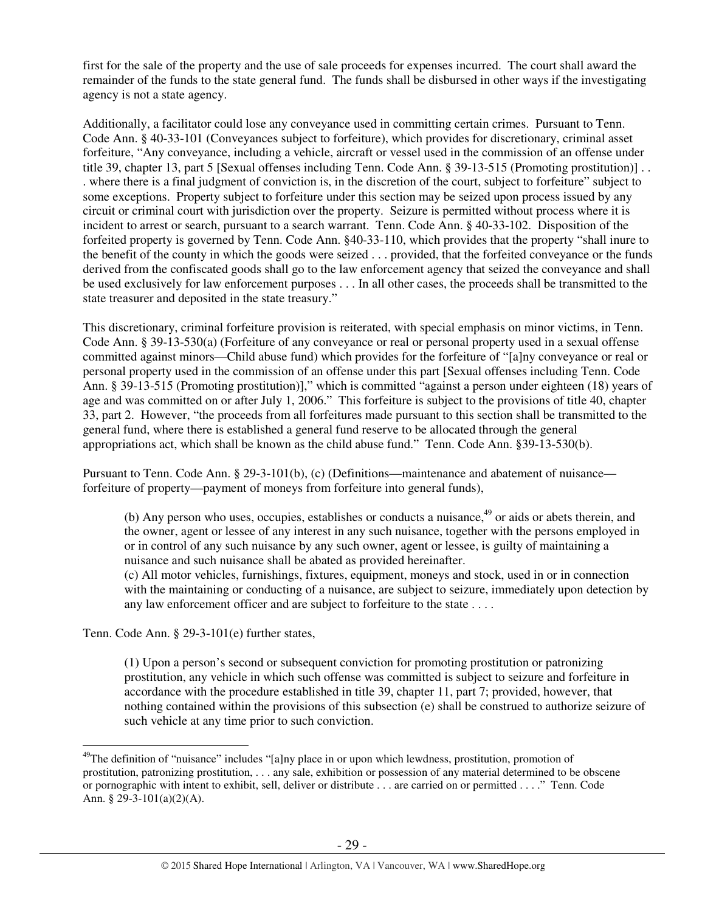first for the sale of the property and the use of sale proceeds for expenses incurred. The court shall award the remainder of the funds to the state general fund. The funds shall be disbursed in other ways if the investigating agency is not a state agency.

Additionally, a facilitator could lose any conveyance used in committing certain crimes. Pursuant to Tenn. Code Ann. § 40-33-101 (Conveyances subject to forfeiture), which provides for discretionary, criminal asset forfeiture, "Any conveyance, including a vehicle, aircraft or vessel used in the commission of an offense under title 39, chapter 13, part 5 [Sexual offenses including Tenn. Code Ann. § 39-13-515 (Promoting prostitution)] . . . where there is a final judgment of conviction is, in the discretion of the court, subject to forfeiture" subject to some exceptions. Property subject to forfeiture under this section may be seized upon process issued by any circuit or criminal court with jurisdiction over the property. Seizure is permitted without process where it is incident to arrest or search, pursuant to a search warrant. Tenn. Code Ann. § 40-33-102. Disposition of the forfeited property is governed by Tenn. Code Ann. §40-33-110, which provides that the property "shall inure to the benefit of the county in which the goods were seized . . . provided, that the forfeited conveyance or the funds derived from the confiscated goods shall go to the law enforcement agency that seized the conveyance and shall be used exclusively for law enforcement purposes . . . In all other cases, the proceeds shall be transmitted to the state treasurer and deposited in the state treasury."

This discretionary, criminal forfeiture provision is reiterated, with special emphasis on minor victims, in Tenn. Code Ann. § 39-13-530(a) (Forfeiture of any conveyance or real or personal property used in a sexual offense committed against minors—Child abuse fund) which provides for the forfeiture of "[a]ny conveyance or real or personal property used in the commission of an offense under this part [Sexual offenses including Tenn. Code Ann. § 39-13-515 (Promoting prostitution)]," which is committed "against a person under eighteen (18) years of age and was committed on or after July 1, 2006." This forfeiture is subject to the provisions of title 40, chapter 33, part 2. However, "the proceeds from all forfeitures made pursuant to this section shall be transmitted to the general fund, where there is established a general fund reserve to be allocated through the general appropriations act, which shall be known as the child abuse fund." Tenn. Code Ann. §39-13-530(b).

Pursuant to Tenn. Code Ann. § 29-3-101(b), (c) (Definitions—maintenance and abatement of nuisance forfeiture of property—payment of moneys from forfeiture into general funds),

(b) Any person who uses, occupies, establishes or conducts a nuisance,  $49$  or aids or abets therein, and the owner, agent or lessee of any interest in any such nuisance, together with the persons employed in or in control of any such nuisance by any such owner, agent or lessee, is guilty of maintaining a nuisance and such nuisance shall be abated as provided hereinafter.

(c) All motor vehicles, furnishings, fixtures, equipment, moneys and stock, used in or in connection with the maintaining or conducting of a nuisance, are subject to seizure, immediately upon detection by any law enforcement officer and are subject to forfeiture to the state . . . .

Tenn. Code Ann. § 29-3-101(e) further states,

(1) Upon a person's second or subsequent conviction for promoting prostitution or patronizing prostitution, any vehicle in which such offense was committed is subject to seizure and forfeiture in accordance with the procedure established in title 39, chapter 11, part 7; provided, however, that nothing contained within the provisions of this subsection (e) shall be construed to authorize seizure of such vehicle at any time prior to such conviction.

 $\overline{a}$  $^{49}$ The definition of "nuisance" includes "[a]ny place in or upon which lewdness, prostitution, promotion of prostitution, patronizing prostitution, . . . any sale, exhibition or possession of any material determined to be obscene or pornographic with intent to exhibit, sell, deliver or distribute . . . are carried on or permitted . . . ." Tenn. Code Ann. § 29-3-101(a)(2)(A).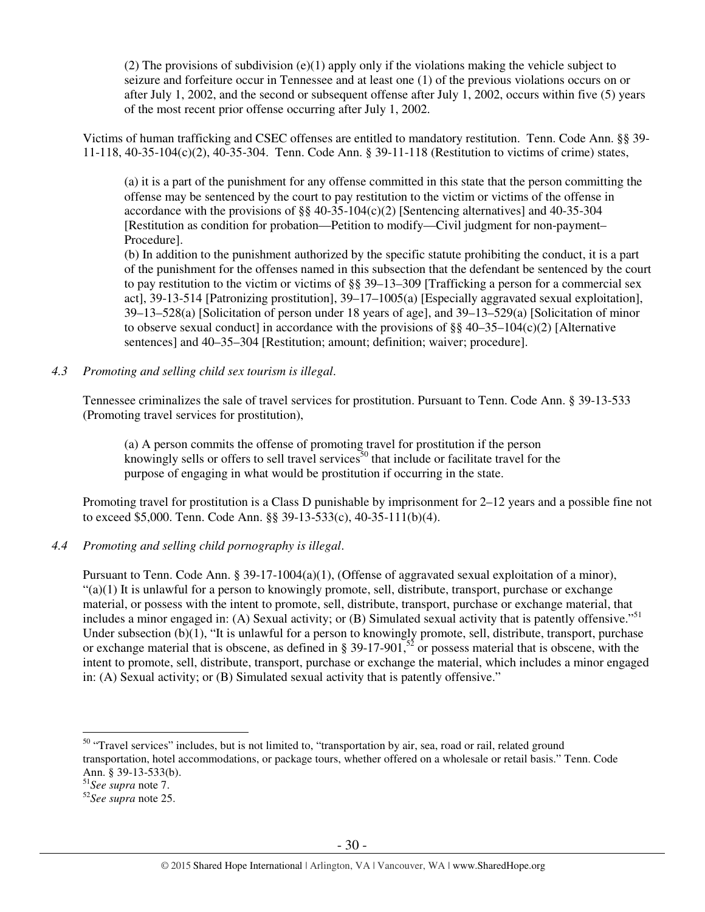(2) The provisions of subdivision (e)(1) apply only if the violations making the vehicle subject to seizure and forfeiture occur in Tennessee and at least one (1) of the previous violations occurs on or after July 1, 2002, and the second or subsequent offense after July 1, 2002, occurs within five (5) years of the most recent prior offense occurring after July 1, 2002.

Victims of human trafficking and CSEC offenses are entitled to mandatory restitution. Tenn. Code Ann. §§ 39- 11-118, 40-35-104(c)(2), 40-35-304. Tenn. Code Ann. § 39-11-118 (Restitution to victims of crime) states,

(a) it is a part of the punishment for any offense committed in this state that the person committing the offense may be sentenced by the court to pay restitution to the victim or victims of the offense in accordance with the provisions of  $\S$ § 40-35-104(c)(2) [Sentencing alternatives] and 40-35-304 [Restitution as condition for probation—Petition to modify—Civil judgment for non-payment– Procedure].

(b) In addition to the punishment authorized by the specific statute prohibiting the conduct, it is a part of the punishment for the offenses named in this subsection that the defendant be sentenced by the court to pay restitution to the victim or victims of §§ 39–13–309 [Trafficking a person for a commercial sex act], 39-13-514 [Patronizing prostitution], 39–17–1005(a) [Especially aggravated sexual exploitation], 39–13–528(a) [Solicitation of person under 18 years of age], and 39–13–529(a) [Solicitation of minor to observe sexual conduct] in accordance with the provisions of  $\S$ § 40–35–104(c)(2) [Alternative sentences] and 40–35–304 [Restitution; amount; definition; waiver; procedure].

*4.3 Promoting and selling child sex tourism is illegal*.

Tennessee criminalizes the sale of travel services for prostitution. Pursuant to Tenn. Code Ann. § 39-13-533 (Promoting travel services for prostitution),

(a) A person commits the offense of promoting travel for prostitution if the person knowingly sells or offers to sell travel services<sup>50</sup> that include or facilitate travel for the purpose of engaging in what would be prostitution if occurring in the state.

Promoting travel for prostitution is a Class D punishable by imprisonment for 2–12 years and a possible fine not to exceed \$5,000. Tenn. Code Ann. §§ 39-13-533(c), 40-35-111(b)(4).

*4.4 Promoting and selling child pornography is illegal*.

Pursuant to Tenn. Code Ann. § 39-17-1004(a)(1), (Offense of aggravated sexual exploitation of a minor),  $"(a)(1)$  It is unlawful for a person to knowingly promote, sell, distribute, transport, purchase or exchange material, or possess with the intent to promote, sell, distribute, transport, purchase or exchange material, that includes a minor engaged in: (A) Sexual activity; or (B) Simulated sexual activity that is patently offensive."<sup>51</sup> Under subsection (b)(1), "It is unlawful for a person to knowingly promote, sell, distribute, transport, purchase or exchange material that is obscene, as defined in § 39-17-901,<sup>52</sup> or possess material that is obscene, with the intent to promote, sell, distribute, transport, purchase or exchange the material, which includes a minor engaged in: (A) Sexual activity; or (B) Simulated sexual activity that is patently offensive."

<sup>&</sup>lt;sup>50</sup> "Travel services" includes, but is not limited to, "transportation by air, sea, road or rail, related ground transportation, hotel accommodations, or package tours, whether offered on a wholesale or retail basis." Tenn. Code Ann. § 39-13-533(b).

<sup>51</sup>*See supra* note 7.

<sup>52</sup>*See supra* note 25.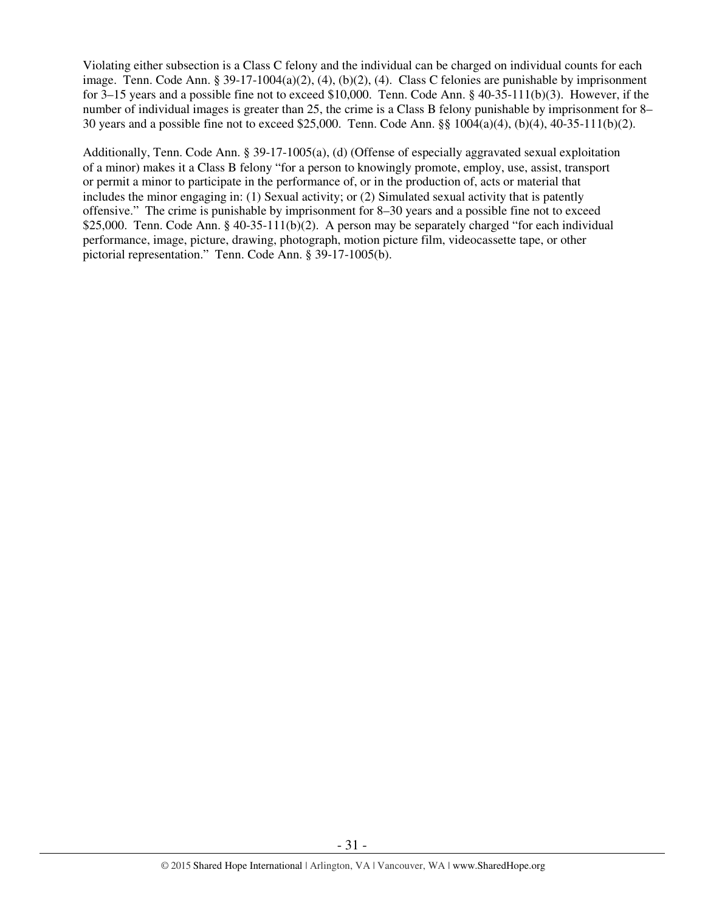Violating either subsection is a Class C felony and the individual can be charged on individual counts for each image. Tenn. Code Ann. § 39-17-1004(a)(2), (4), (b)(2), (4). Class C felonies are punishable by imprisonment for 3–15 years and a possible fine not to exceed \$10,000. Tenn. Code Ann. § 40-35-111(b)(3). However, if the number of individual images is greater than 25, the crime is a Class B felony punishable by imprisonment for 8– 30 years and a possible fine not to exceed \$25,000. Tenn. Code Ann. §§ 1004(a)(4), (b)(4), 40-35-111(b)(2).

Additionally, Tenn. Code Ann. § 39-17-1005(a), (d) (Offense of especially aggravated sexual exploitation of a minor) makes it a Class B felony "for a person to knowingly promote, employ, use, assist, transport or permit a minor to participate in the performance of, or in the production of, acts or material that includes the minor engaging in: (1) Sexual activity; or (2) Simulated sexual activity that is patently offensive." The crime is punishable by imprisonment for 8–30 years and a possible fine not to exceed \$25,000. Tenn. Code Ann. § 40-35-111(b)(2). A person may be separately charged "for each individual performance, image, picture, drawing, photograph, motion picture film, videocassette tape, or other pictorial representation." Tenn. Code Ann. § 39-17-1005(b).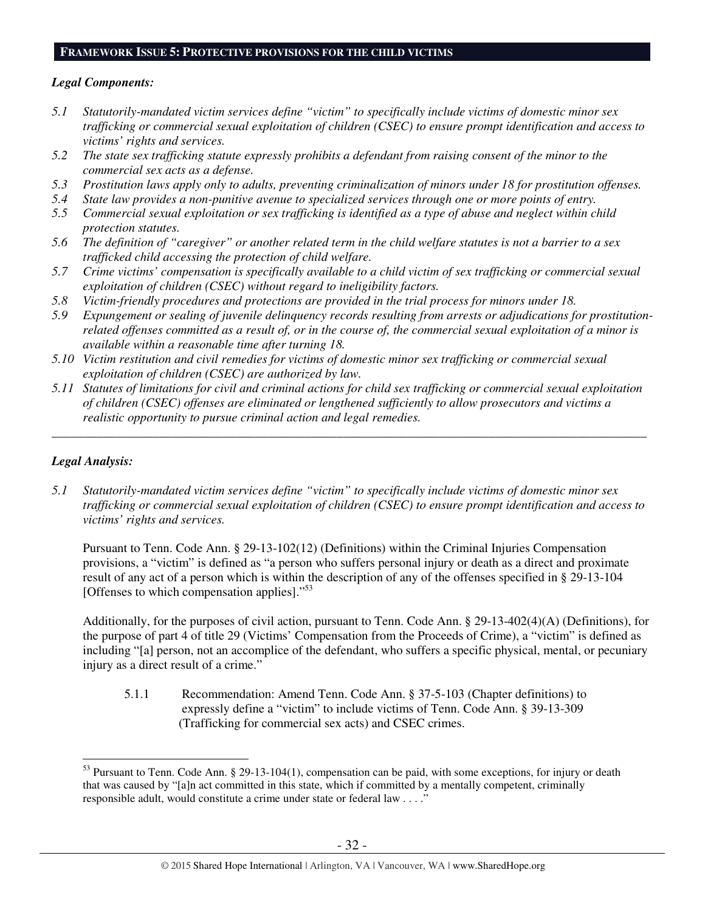## **FRAMEWORK ISSUE 5: PROTECTIVE PROVISIONS FOR THE CHILD VICTIMS**

## *Legal Components:*

- *5.1 Statutorily-mandated victim services define "victim" to specifically include victims of domestic minor sex trafficking or commercial sexual exploitation of children (CSEC) to ensure prompt identification and access to victims' rights and services.*
- *5.2 The state sex trafficking statute expressly prohibits a defendant from raising consent of the minor to the commercial sex acts as a defense.*
- *5.3 Prostitution laws apply only to adults, preventing criminalization of minors under 18 for prostitution offenses.*
- *5.4 State law provides a non-punitive avenue to specialized services through one or more points of entry.*
- *5.5 Commercial sexual exploitation or sex trafficking is identified as a type of abuse and neglect within child protection statutes.*
- *5.6 The definition of "caregiver" or another related term in the child welfare statutes is not a barrier to a sex trafficked child accessing the protection of child welfare.*
- *5.7 Crime victims' compensation is specifically available to a child victim of sex trafficking or commercial sexual exploitation of children (CSEC) without regard to ineligibility factors.*
- *5.8 Victim-friendly procedures and protections are provided in the trial process for minors under 18.*
- *5.9 Expungement or sealing of juvenile delinquency records resulting from arrests or adjudications for prostitutionrelated offenses committed as a result of, or in the course of, the commercial sexual exploitation of a minor is available within a reasonable time after turning 18.*
- *5.10 Victim restitution and civil remedies for victims of domestic minor sex trafficking or commercial sexual exploitation of children (CSEC) are authorized by law.*
- *5.11 Statutes of limitations for civil and criminal actions for child sex trafficking or commercial sexual exploitation of children (CSEC) offenses are eliminated or lengthened sufficiently to allow prosecutors and victims a realistic opportunity to pursue criminal action and legal remedies.*

*\_\_\_\_\_\_\_\_\_\_\_\_\_\_\_\_\_\_\_\_\_\_\_\_\_\_\_\_\_\_\_\_\_\_\_\_\_\_\_\_\_\_\_\_\_\_\_\_\_\_\_\_\_\_\_\_\_\_\_\_\_\_\_\_\_\_\_\_\_\_\_\_\_\_\_\_\_\_\_\_\_\_\_\_\_\_\_\_\_\_\_\_\_\_* 

## *Legal Analysis:*

 $\overline{a}$ 

*5.1 Statutorily-mandated victim services define "victim" to specifically include victims of domestic minor sex trafficking or commercial sexual exploitation of children (CSEC) to ensure prompt identification and access to victims' rights and services.* 

Pursuant to Tenn. Code Ann. § 29-13-102(12) (Definitions) within the Criminal Injuries Compensation provisions, a "victim" is defined as "a person who suffers personal injury or death as a direct and proximate result of any act of a person which is within the description of any of the offenses specified in § 29-13-104 [Offenses to which compensation applies]."<sup>53</sup>

Additionally, for the purposes of civil action, pursuant to Tenn. Code Ann. § 29-13-402(4)(A) (Definitions), for the purpose of part 4 of title 29 (Victims' Compensation from the Proceeds of Crime), a "victim" is defined as including "[a] person, not an accomplice of the defendant, who suffers a specific physical, mental, or pecuniary injury as a direct result of a crime."

5.1.1 Recommendation: Amend Tenn. Code Ann. § 37-5-103 (Chapter definitions) to expressly define a "victim" to include victims of Tenn. Code Ann. § 39-13-309 (Trafficking for commercial sex acts) and CSEC crimes.

 $53$  Pursuant to Tenn. Code Ann. § 29-13-104(1), compensation can be paid, with some exceptions, for injury or death that was caused by "[a]n act committed in this state, which if committed by a mentally competent, criminally responsible adult, would constitute a crime under state or federal law . . . ."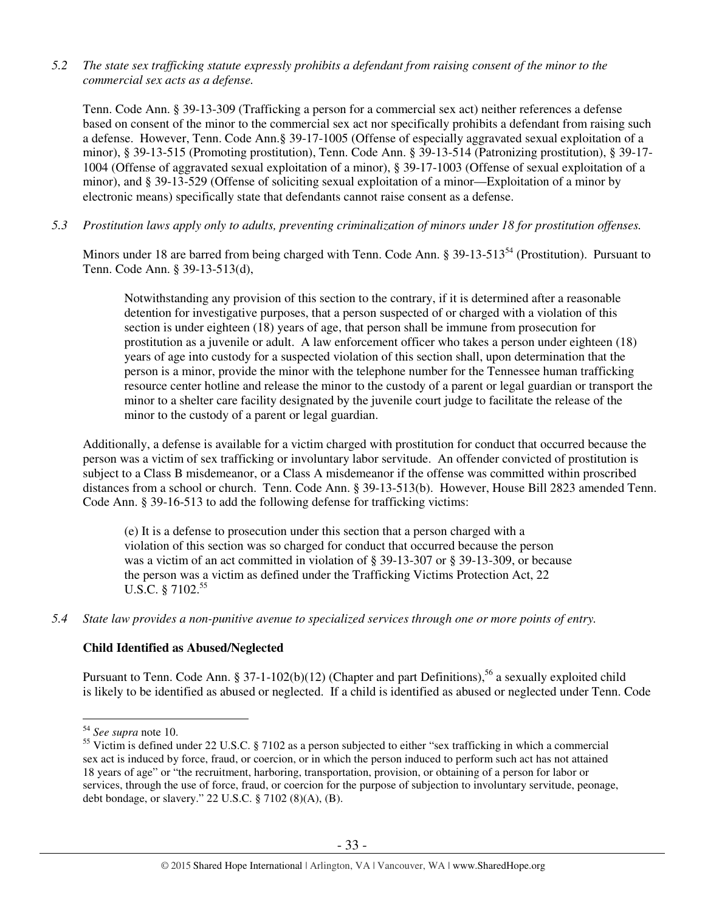*5.2 The state sex trafficking statute expressly prohibits a defendant from raising consent of the minor to the commercial sex acts as a defense.* 

Tenn. Code Ann. § 39-13-309 (Trafficking a person for a commercial sex act) neither references a defense based on consent of the minor to the commercial sex act nor specifically prohibits a defendant from raising such a defense. However, Tenn. Code Ann.§ 39-17-1005 (Offense of especially aggravated sexual exploitation of a minor), § 39-13-515 (Promoting prostitution), Tenn. Code Ann. § 39-13-514 (Patronizing prostitution), § 39-17- 1004 (Offense of aggravated sexual exploitation of a minor), § 39-17-1003 (Offense of sexual exploitation of a minor), and § 39-13-529 (Offense of soliciting sexual exploitation of a minor—Exploitation of a minor by electronic means) specifically state that defendants cannot raise consent as a defense.

*5.3 Prostitution laws apply only to adults, preventing criminalization of minors under 18 for prostitution offenses.* 

Minors under 18 are barred from being charged with Tenn. Code Ann. § 39-13-513<sup>54</sup> (Prostitution). Pursuant to Tenn. Code Ann. § 39-13-513(d),

Notwithstanding any provision of this section to the contrary, if it is determined after a reasonable detention for investigative purposes, that a person suspected of or charged with a violation of this section is under eighteen (18) years of age, that person shall be immune from prosecution for prostitution as a juvenile or adult. A law enforcement officer who takes a person under eighteen (18) years of age into custody for a suspected violation of this section shall, upon determination that the person is a minor, provide the minor with the telephone number for the Tennessee human trafficking resource center hotline and release the minor to the custody of a parent or legal guardian or transport the minor to a shelter care facility designated by the juvenile court judge to facilitate the release of the minor to the custody of a parent or legal guardian.

Additionally, a defense is available for a victim charged with prostitution for conduct that occurred because the person was a victim of sex trafficking or involuntary labor servitude. An offender convicted of prostitution is subject to a Class B misdemeanor, or a Class A misdemeanor if the offense was committed within proscribed distances from a school or church. Tenn. Code Ann. § 39-13-513(b). However, House Bill 2823 amended Tenn. Code Ann. § 39-16-513 to add the following defense for trafficking victims:

(e) It is a defense to prosecution under this section that a person charged with a violation of this section was so charged for conduct that occurred because the person was a victim of an act committed in violation of § 39-13-307 or § 39-13-309, or because the person was a victim as defined under the Trafficking Victims Protection Act, 22 U.S.C. § 7102.<sup>55</sup>

*5.4 State law provides a non-punitive avenue to specialized services through one or more points of entry.* 

#### **Child Identified as Abused/Neglected**

Pursuant to Tenn. Code Ann. § 37-1-102(b)(12) (Chapter and part Definitions),<sup>56</sup> a sexually exploited child is likely to be identified as abused or neglected. If a child is identified as abused or neglected under Tenn. Code

<sup>54</sup> *See supra* note 10.

<sup>&</sup>lt;sup>55</sup> Victim is defined under 22 U.S.C. § 7102 as a person subjected to either "sex trafficking in which a commercial sex act is induced by force, fraud, or coercion, or in which the person induced to perform such act has not attained 18 years of age" or "the recruitment, harboring, transportation, provision, or obtaining of a person for labor or services, through the use of force, fraud, or coercion for the purpose of subjection to involuntary servitude, peonage, debt bondage, or slavery." 22 U.S.C. § 7102 (8)(A), (B).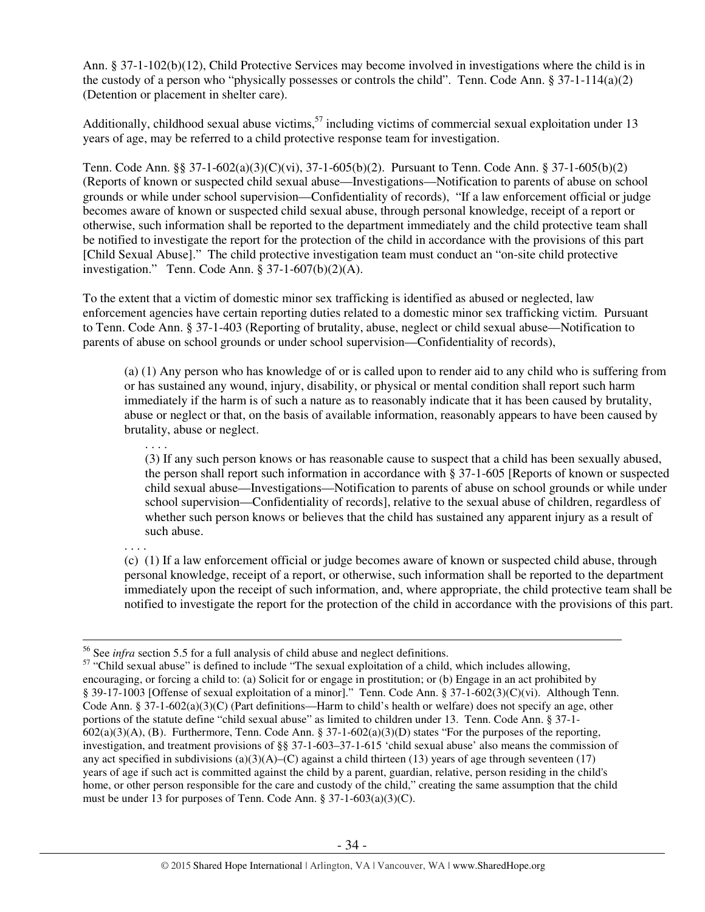Ann. § 37-1-102(b)(12), Child Protective Services may become involved in investigations where the child is in the custody of a person who "physically possesses or controls the child". Tenn. Code Ann.  $\S 37$ -1-114(a)(2) (Detention or placement in shelter care).

Additionally, childhood sexual abuse victims,<sup>57</sup> including victims of commercial sexual exploitation under 13 years of age, may be referred to a child protective response team for investigation.

Tenn. Code Ann. §§ 37-1-602(a)(3)(C)(vi), 37-1-605(b)(2). Pursuant to Tenn. Code Ann. § 37-1-605(b)(2) (Reports of known or suspected child sexual abuse—Investigations—Notification to parents of abuse on school grounds or while under school supervision—Confidentiality of records), "If a law enforcement official or judge becomes aware of known or suspected child sexual abuse, through personal knowledge, receipt of a report or otherwise, such information shall be reported to the department immediately and the child protective team shall be notified to investigate the report for the protection of the child in accordance with the provisions of this part [Child Sexual Abuse]." The child protective investigation team must conduct an "on-site child protective investigation." Tenn. Code Ann. § 37-1-607(b)(2)(A).

To the extent that a victim of domestic minor sex trafficking is identified as abused or neglected, law enforcement agencies have certain reporting duties related to a domestic minor sex trafficking victim. Pursuant to Tenn. Code Ann. § 37-1-403 (Reporting of brutality, abuse, neglect or child sexual abuse—Notification to parents of abuse on school grounds or under school supervision—Confidentiality of records),

(a) (1) Any person who has knowledge of or is called upon to render aid to any child who is suffering from or has sustained any wound, injury, disability, or physical or mental condition shall report such harm immediately if the harm is of such a nature as to reasonably indicate that it has been caused by brutality, abuse or neglect or that, on the basis of available information, reasonably appears to have been caused by brutality, abuse or neglect.

(3) If any such person knows or has reasonable cause to suspect that a child has been sexually abused, the person shall report such information in accordance with § 37-1-605 [Reports of known or suspected child sexual abuse—Investigations—Notification to parents of abuse on school grounds or while under school supervision—Confidentiality of records], relative to the sexual abuse of children, regardless of whether such person knows or believes that the child has sustained any apparent injury as a result of such abuse.

. . . .

. . . .

(c) (1) If a law enforcement official or judge becomes aware of known or suspected child abuse, through personal knowledge, receipt of a report, or otherwise, such information shall be reported to the department immediately upon the receipt of such information, and, where appropriate, the child protective team shall be notified to investigate the report for the protection of the child in accordance with the provisions of this part.

 $\overline{a}$ <sup>56</sup> See *infra* section 5.5 for a full analysis of child abuse and neglect definitions.

<sup>&</sup>lt;sup>57</sup> "Child sexual abuse" is defined to include "The sexual exploitation of a child, which includes allowing, encouraging, or forcing a child to: (a) Solicit for or engage in prostitution; or (b) Engage in an act prohibited by § 39-17-1003 [Offense of sexual exploitation of a minor]." Tenn. Code Ann. § 37-1-602(3)(C)(vi). Although Tenn. Code Ann. § 37-1-602(a)(3)(C) (Part definitions—Harm to child's health or welfare) does not specify an age, other portions of the statute define "child sexual abuse" as limited to children under 13. Tenn. Code Ann. § 37-1-  $602(a)(3)(A)$ , (B). Furthermore, Tenn. Code Ann. § 37-1-602(a)(3)(D) states "For the purposes of the reporting, investigation, and treatment provisions of §§ 37-1-603–37-1-615 'child sexual abuse' also means the commission of any act specified in subdivisions (a)(3)(A)–(C) against a child thirteen (13) years of age through seventeen (17) years of age if such act is committed against the child by a parent, guardian, relative, person residing in the child's home, or other person responsible for the care and custody of the child," creating the same assumption that the child must be under 13 for purposes of Tenn. Code Ann. § 37-1-603(a)(3)(C).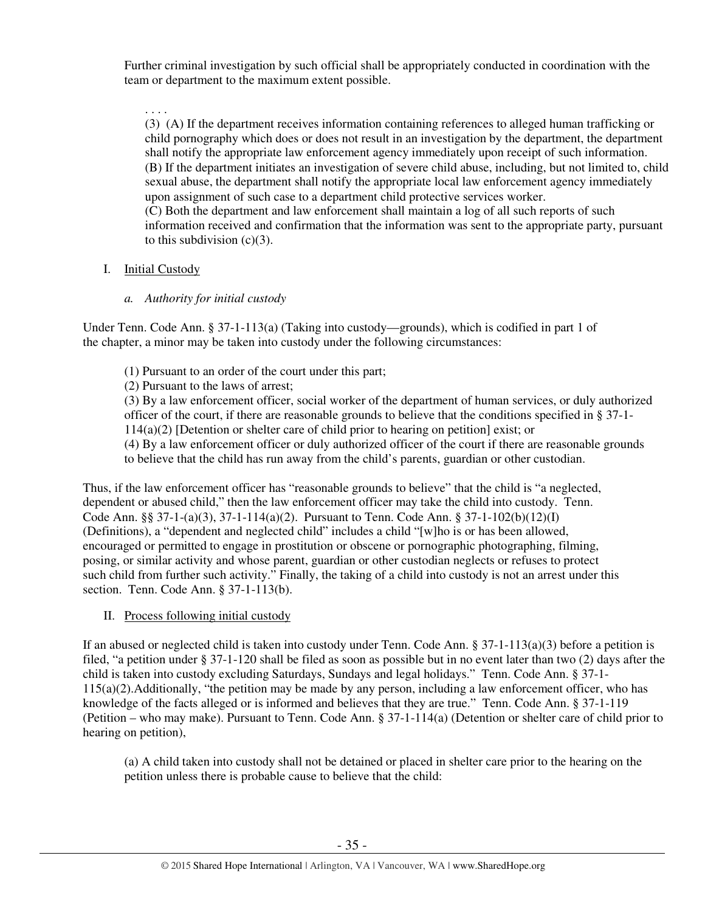Further criminal investigation by such official shall be appropriately conducted in coordination with the team or department to the maximum extent possible.

. . . . (3) (A) If the department receives information containing references to alleged human trafficking or child pornography which does or does not result in an investigation by the department, the department shall notify the appropriate law enforcement agency immediately upon receipt of such information. (B) If the department initiates an investigation of severe child abuse, including, but not limited to, child sexual abuse, the department shall notify the appropriate local law enforcement agency immediately upon assignment of such case to a department child protective services worker. (C) Both the department and law enforcement shall maintain a log of all such reports of such

information received and confirmation that the information was sent to the appropriate party, pursuant to this subdivision  $(c)(3)$ .

# I. Initial Custody

# *a. Authority for initial custody*

Under Tenn. Code Ann. § 37-1-113(a) (Taking into custody—grounds), which is codified in part 1 of the chapter, a minor may be taken into custody under the following circumstances:

- (1) Pursuant to an order of the court under this part;
- (2) Pursuant to the laws of arrest;

(3) By a law enforcement officer, social worker of the department of human services, or duly authorized officer of the court, if there are reasonable grounds to believe that the conditions specified in § 37-1- 114(a)(2) [Detention or shelter care of child prior to hearing on petition] exist; or (4) By a law enforcement officer or duly authorized officer of the court if there are reasonable grounds

to believe that the child has run away from the child's parents, guardian or other custodian.

Thus, if the law enforcement officer has "reasonable grounds to believe" that the child is "a neglected, dependent or abused child," then the law enforcement officer may take the child into custody. Tenn. Code Ann. §§ 37-1-(a)(3), 37-1-114(a)(2). Pursuant to Tenn. Code Ann. § 37-1-102(b)(12)(I) (Definitions), a "dependent and neglected child" includes a child "[w]ho is or has been allowed, encouraged or permitted to engage in prostitution or obscene or pornographic photographing, filming, posing, or similar activity and whose parent, guardian or other custodian neglects or refuses to protect such child from further such activity." Finally, the taking of a child into custody is not an arrest under this section. Tenn. Code Ann. § 37-1-113(b).

II. Process following initial custody

If an abused or neglected child is taken into custody under Tenn. Code Ann.  $\S 37$ -1-113(a)(3) before a petition is filed, "a petition under § 37-1-120 shall be filed as soon as possible but in no event later than two (2) days after the child is taken into custody excluding Saturdays, Sundays and legal holidays." Tenn. Code Ann. § 37-1- 115(a)(2).Additionally, "the petition may be made by any person, including a law enforcement officer, who has knowledge of the facts alleged or is informed and believes that they are true." Tenn. Code Ann. § 37-1-119 (Petition – who may make). Pursuant to Tenn. Code Ann. § 37-1-114(a) (Detention or shelter care of child prior to hearing on petition),

(a) A child taken into custody shall not be detained or placed in shelter care prior to the hearing on the petition unless there is probable cause to believe that the child: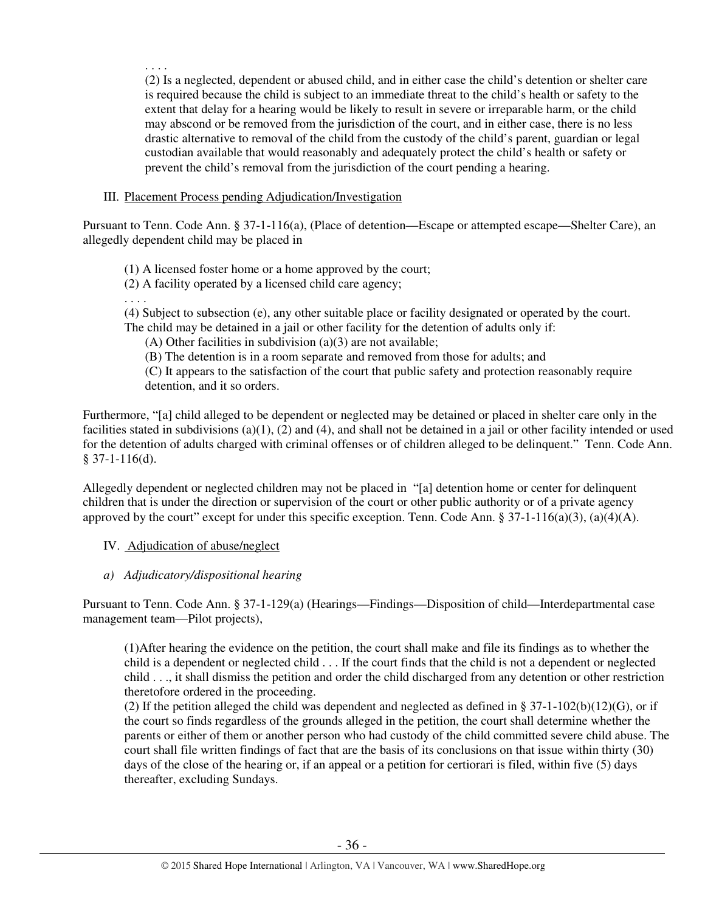(2) Is a neglected, dependent or abused child, and in either case the child's detention or shelter care is required because the child is subject to an immediate threat to the child's health or safety to the extent that delay for a hearing would be likely to result in severe or irreparable harm, or the child may abscond or be removed from the jurisdiction of the court, and in either case, there is no less drastic alternative to removal of the child from the custody of the child's parent, guardian or legal custodian available that would reasonably and adequately protect the child's health or safety or prevent the child's removal from the jurisdiction of the court pending a hearing.

## III. Placement Process pending Adjudication/Investigation

Pursuant to Tenn. Code Ann. § 37-1-116(a), (Place of detention—Escape or attempted escape—Shelter Care), an allegedly dependent child may be placed in

(1) A licensed foster home or a home approved by the court;

(2) A facility operated by a licensed child care agency;

. . . .

. . . .

(4) Subject to subsection (e), any other suitable place or facility designated or operated by the court. The child may be detained in a jail or other facility for the detention of adults only if:

(A) Other facilities in subdivision (a)(3) are not available;

(B) The detention is in a room separate and removed from those for adults; and

 (C) It appears to the satisfaction of the court that public safety and protection reasonably require detention, and it so orders.

Furthermore, "[a] child alleged to be dependent or neglected may be detained or placed in shelter care only in the facilities stated in subdivisions (a)(1), (2) and (4), and shall not be detained in a jail or other facility intended or used for the detention of adults charged with criminal offenses or of children alleged to be delinquent." Tenn. Code Ann. § 37-1-116(d).

Allegedly dependent or neglected children may not be placed in "[a] detention home or center for delinquent children that is under the direction or supervision of the court or other public authority or of a private agency approved by the court" except for under this specific exception. Tenn. Code Ann. § 37-1-116(a)(3), (a)(4)(A).

## IV. Adjudication of abuse/neglect

## *a) Adjudicatory/dispositional hearing*

Pursuant to Tenn. Code Ann. § 37-1-129(a) (Hearings—Findings—Disposition of child—Interdepartmental case management team—Pilot projects),

(1)After hearing the evidence on the petition, the court shall make and file its findings as to whether the child is a dependent or neglected child . . . If the court finds that the child is not a dependent or neglected child . . ., it shall dismiss the petition and order the child discharged from any detention or other restriction theretofore ordered in the proceeding.

(2) If the petition alleged the child was dependent and neglected as defined in § 37-1-102(b)(12)(G), or if the court so finds regardless of the grounds alleged in the petition, the court shall determine whether the parents or either of them or another person who had custody of the child committed severe child abuse. The court shall file written findings of fact that are the basis of its conclusions on that issue within thirty (30) days of the close of the hearing or, if an appeal or a petition for certiorari is filed, within five (5) days thereafter, excluding Sundays.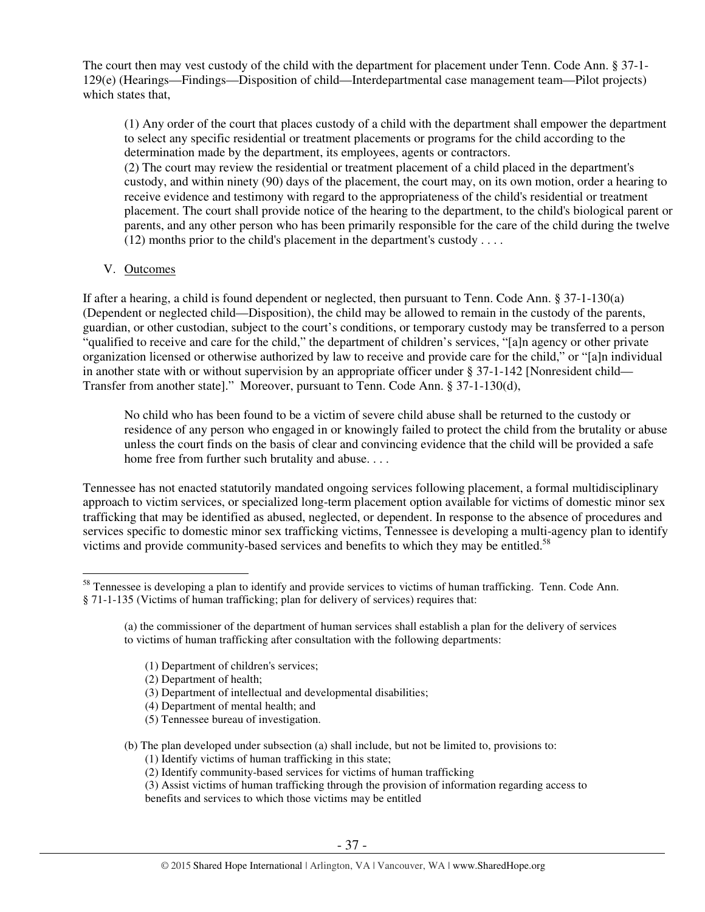The court then may vest custody of the child with the department for placement under Tenn. Code Ann. § 37-1- 129(e) (Hearings—Findings—Disposition of child—Interdepartmental case management team—Pilot projects) which states that,

(1) Any order of the court that places custody of a child with the department shall empower the department to select any specific residential or treatment placements or programs for the child according to the determination made by the department, its employees, agents or contractors.

(2) The court may review the residential or treatment placement of a child placed in the department's custody, and within ninety (90) days of the placement, the court may, on its own motion, order a hearing to receive evidence and testimony with regard to the appropriateness of the child's residential or treatment placement. The court shall provide notice of the hearing to the department, to the child's biological parent or parents, and any other person who has been primarily responsible for the care of the child during the twelve  $(12)$  months prior to the child's placement in the department's custody . . . .

V. Outcomes

If after a hearing, a child is found dependent or neglected, then pursuant to Tenn. Code Ann. § 37-1-130(a) (Dependent or neglected child—Disposition), the child may be allowed to remain in the custody of the parents, guardian, or other custodian, subject to the court's conditions, or temporary custody may be transferred to a person "qualified to receive and care for the child," the department of children's services, "[a]n agency or other private organization licensed or otherwise authorized by law to receive and provide care for the child," or "[a]n individual in another state with or without supervision by an appropriate officer under § 37-1-142 [Nonresident child— Transfer from another state]." Moreover, pursuant to Tenn. Code Ann. § 37-1-130(d),

No child who has been found to be a victim of severe child abuse shall be returned to the custody or residence of any person who engaged in or knowingly failed to protect the child from the brutality or abuse unless the court finds on the basis of clear and convincing evidence that the child will be provided a safe home free from further such brutality and abuse. . . .

Tennessee has not enacted statutorily mandated ongoing services following placement, a formal multidisciplinary approach to victim services, or specialized long-term placement option available for victims of domestic minor sex trafficking that may be identified as abused, neglected, or dependent. In response to the absence of procedures and services specific to domestic minor sex trafficking victims, Tennessee is developing a multi-agency plan to identify victims and provide community-based services and benefits to which they may be entitled.<sup>58</sup>

- (1) Department of children's services;
- (2) Department of health;
- (3) Department of intellectual and developmental disabilities;
- (4) Department of mental health; and
- (5) Tennessee bureau of investigation.

(b) The plan developed under subsection (a) shall include, but not be limited to, provisions to:

(1) Identify victims of human trafficking in this state;

(2) Identify community-based services for victims of human trafficking

(3) Assist victims of human trafficking through the provision of information regarding access to

benefits and services to which those victims may be entitled

 $\overline{a}$ <sup>58</sup> Tennessee is developing a plan to identify and provide services to victims of human trafficking. Tenn. Code Ann. § 71-1-135 (Victims of human trafficking; plan for delivery of services) requires that:

<sup>(</sup>a) the commissioner of the department of human services shall establish a plan for the delivery of services to victims of human trafficking after consultation with the following departments: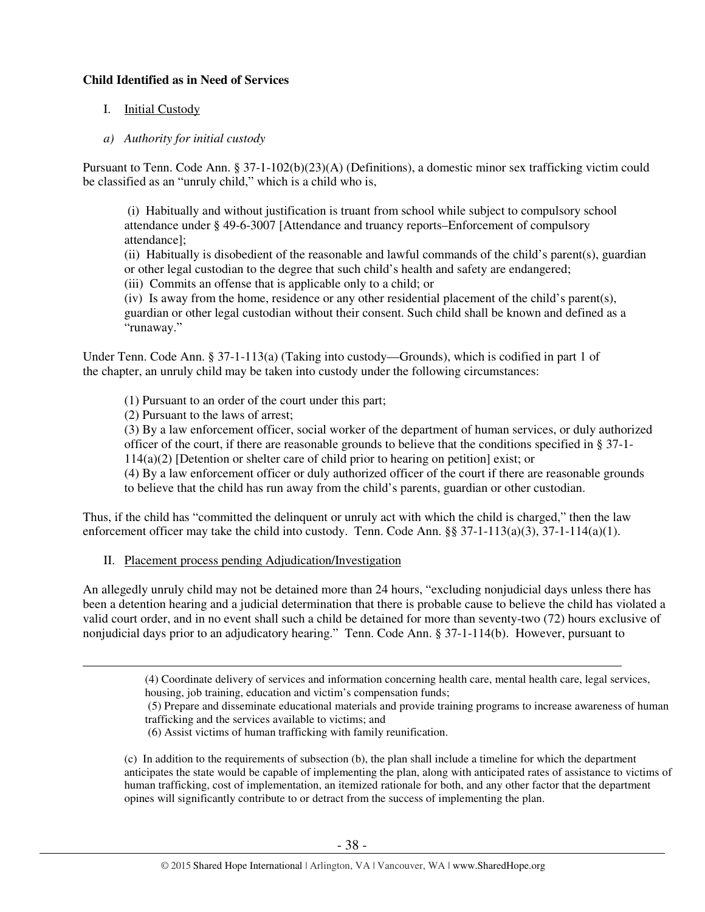## **Child Identified as in Need of Services**

# I. Initial Custody

*a) Authority for initial custody* 

Pursuant to Tenn. Code Ann. § 37-1-102(b)(23)(A) (Definitions), a domestic minor sex trafficking victim could be classified as an "unruly child," which is a child who is,

 (i) Habitually and without justification is truant from school while subject to compulsory school attendance under § 49-6-3007 [Attendance and truancy reports–Enforcement of compulsory attendance];

(ii) Habitually is disobedient of the reasonable and lawful commands of the child's parent(s), guardian or other legal custodian to the degree that such child's health and safety are endangered;

(iii) Commits an offense that is applicable only to a child; or

(iv) Is away from the home, residence or any other residential placement of the child's parent(s), guardian or other legal custodian without their consent. Such child shall be known and defined as a "runaway."

Under Tenn. Code Ann. § 37-1-113(a) (Taking into custody—Grounds), which is codified in part 1 of the chapter, an unruly child may be taken into custody under the following circumstances:

- (1) Pursuant to an order of the court under this part;
- (2) Pursuant to the laws of arrest;

 $\overline{a}$ 

(3) By a law enforcement officer, social worker of the department of human services, or duly authorized officer of the court, if there are reasonable grounds to believe that the conditions specified in § 37-1- 114(a)(2) [Detention or shelter care of child prior to hearing on petition] exist; or

(4) By a law enforcement officer or duly authorized officer of the court if there are reasonable grounds to believe that the child has run away from the child's parents, guardian or other custodian.

Thus, if the child has "committed the delinquent or unruly act with which the child is charged," then the law enforcement officer may take the child into custody. Tenn. Code Ann. §§ 37-1-113(a)(3), 37-1-114(a)(1).

II. Placement process pending Adjudication/Investigation

An allegedly unruly child may not be detained more than 24 hours, "excluding nonjudicial days unless there has been a detention hearing and a judicial determination that there is probable cause to believe the child has violated a valid court order, and in no event shall such a child be detained for more than seventy-two (72) hours exclusive of nonjudicial days prior to an adjudicatory hearing." Tenn. Code Ann. § 37-1-114(b). However, pursuant to

 (5) Prepare and disseminate educational materials and provide training programs to increase awareness of human trafficking and the services available to victims; and

(c) In addition to the requirements of subsection (b), the plan shall include a timeline for which the department anticipates the state would be capable of implementing the plan, along with anticipated rates of assistance to victims of human trafficking, cost of implementation, an itemized rationale for both, and any other factor that the department opines will significantly contribute to or detract from the success of implementing the plan.

<sup>(4)</sup> Coordinate delivery of services and information concerning health care, mental health care, legal services, housing, job training, education and victim's compensation funds;

 <sup>(6)</sup> Assist victims of human trafficking with family reunification.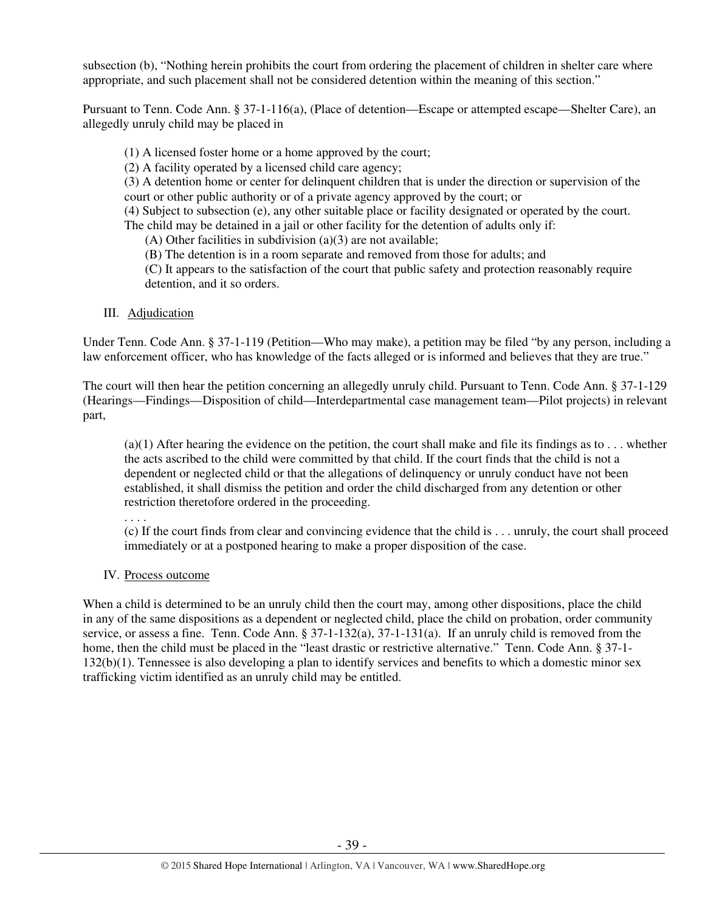subsection (b), "Nothing herein prohibits the court from ordering the placement of children in shelter care where appropriate, and such placement shall not be considered detention within the meaning of this section."

Pursuant to Tenn. Code Ann. § 37-1-116(a), (Place of detention—Escape or attempted escape—Shelter Care), an allegedly unruly child may be placed in

(1) A licensed foster home or a home approved by the court;

(2) A facility operated by a licensed child care agency;

(3) A detention home or center for delinquent children that is under the direction or supervision of the court or other public authority or of a private agency approved by the court; or

(4) Subject to subsection (e), any other suitable place or facility designated or operated by the court.

The child may be detained in a jail or other facility for the detention of adults only if:

(A) Other facilities in subdivision  $(a)(3)$  are not available;

(B) The detention is in a room separate and removed from those for adults; and

 (C) It appears to the satisfaction of the court that public safety and protection reasonably require detention, and it so orders.

# III. Adjudication

Under Tenn. Code Ann. § 37-1-119 (Petition—Who may make), a petition may be filed "by any person, including a law enforcement officer, who has knowledge of the facts alleged or is informed and believes that they are true."

The court will then hear the petition concerning an allegedly unruly child. Pursuant to Tenn. Code Ann. § 37-1-129 (Hearings—Findings—Disposition of child—Interdepartmental case management team—Pilot projects) in relevant part,

 $(a)(1)$  After hearing the evidence on the petition, the court shall make and file its findings as to ... whether the acts ascribed to the child were committed by that child. If the court finds that the child is not a dependent or neglected child or that the allegations of delinquency or unruly conduct have not been established, it shall dismiss the petition and order the child discharged from any detention or other restriction theretofore ordered in the proceeding.

. . . .

(c) If the court finds from clear and convincing evidence that the child is . . . unruly, the court shall proceed immediately or at a postponed hearing to make a proper disposition of the case.

# IV. Process outcome

When a child is determined to be an unruly child then the court may, among other dispositions, place the child in any of the same dispositions as a dependent or neglected child, place the child on probation, order community service, or assess a fine. Tenn. Code Ann. § 37-1-132(a), 37-1-131(a). If an unruly child is removed from the home, then the child must be placed in the "least drastic or restrictive alternative." Tenn. Code Ann. § 37-1-132(b)(1). Tennessee is also developing a plan to identify services and benefits to which a domestic minor sex trafficking victim identified as an unruly child may be entitled.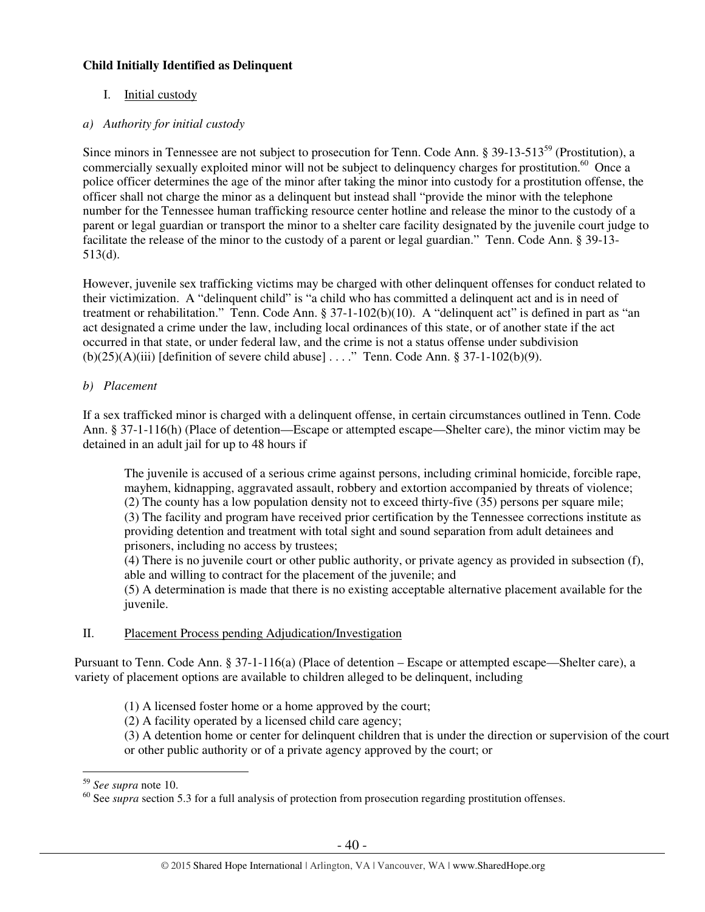# **Child Initially Identified as Delinquent**

# I. Initial custody

# *a) Authority for initial custody*

Since minors in Tennessee are not subject to prosecution for Tenn. Code Ann. § 39-13-513<sup>59</sup> (Prostitution), a commercially sexually exploited minor will not be subject to delinquency charges for prostitution.<sup>60</sup> Once a police officer determines the age of the minor after taking the minor into custody for a prostitution offense, the officer shall not charge the minor as a delinquent but instead shall "provide the minor with the telephone number for the Tennessee human trafficking resource center hotline and release the minor to the custody of a parent or legal guardian or transport the minor to a shelter care facility designated by the juvenile court judge to facilitate the release of the minor to the custody of a parent or legal guardian." Tenn. Code Ann. § 39-13- 513(d).

However, juvenile sex trafficking victims may be charged with other delinquent offenses for conduct related to their victimization. A "delinquent child" is "a child who has committed a delinquent act and is in need of treatment or rehabilitation." Tenn. Code Ann. § 37-1-102(b)(10). A "delinquent act" is defined in part as "an act designated a crime under the law, including local ordinances of this state, or of another state if the act occurred in that state, or under federal law, and the crime is not a status offense under subdivision  $(b)(25)(A)(iii)$  [definition of severe child abuse] . . . ." Tenn. Code Ann. § 37-1-102(b)(9).

# *b) Placement*

If a sex trafficked minor is charged with a delinquent offense, in certain circumstances outlined in Tenn. Code Ann. § 37-1-116(h) (Place of detention—Escape or attempted escape—Shelter care), the minor victim may be detained in an adult jail for up to 48 hours if

The juvenile is accused of a serious crime against persons, including criminal homicide, forcible rape, mayhem, kidnapping, aggravated assault, robbery and extortion accompanied by threats of violence; (2) The county has a low population density not to exceed thirty-five (35) persons per square mile; (3) The facility and program have received prior certification by the Tennessee corrections institute as providing detention and treatment with total sight and sound separation from adult detainees and prisoners, including no access by trustees;

(4) There is no juvenile court or other public authority, or private agency as provided in subsection (f), able and willing to contract for the placement of the juvenile; and

(5) A determination is made that there is no existing acceptable alternative placement available for the juvenile.

## II. Placement Process pending Adjudication/Investigation

Pursuant to Tenn. Code Ann. § 37-1-116(a) (Place of detention – Escape or attempted escape—Shelter care), a variety of placement options are available to children alleged to be delinquent, including

(1) A licensed foster home or a home approved by the court;

(2) A facility operated by a licensed child care agency;

(3) A detention home or center for delinquent children that is under the direction or supervision of the court or other public authority or of a private agency approved by the court; or

<sup>59</sup> *See supra* note 10.

<sup>&</sup>lt;sup>60</sup> See *supra* section 5.3 for a full analysis of protection from prosecution regarding prostitution offenses.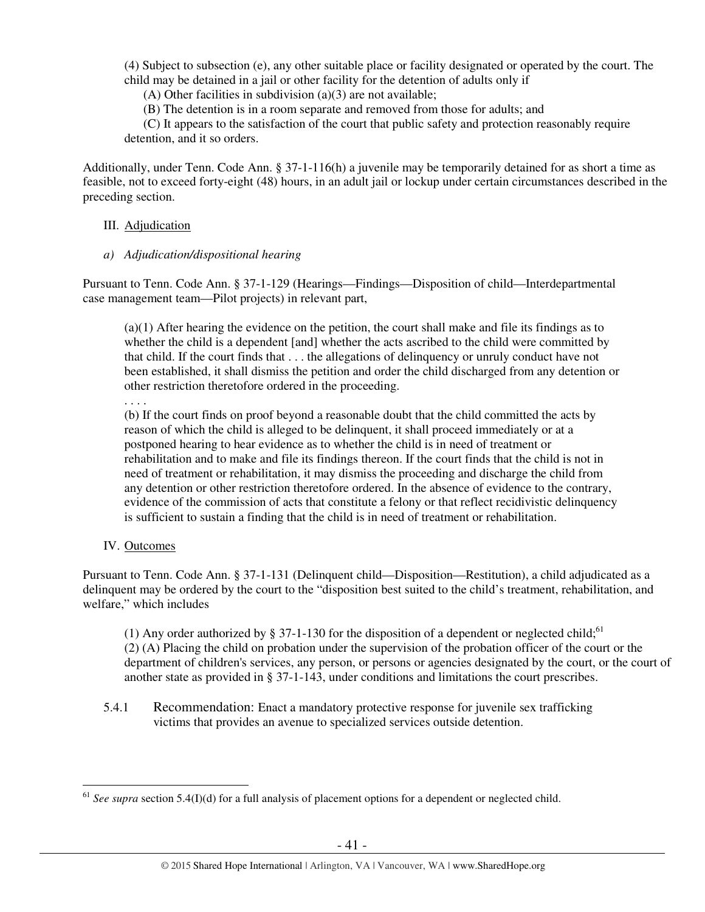(4) Subject to subsection (e), any other suitable place or facility designated or operated by the court. The child may be detained in a jail or other facility for the detention of adults only if

(A) Other facilities in subdivision  $(a)(3)$  are not available;

(B) The detention is in a room separate and removed from those for adults; and

 (C) It appears to the satisfaction of the court that public safety and protection reasonably require detention, and it so orders.

Additionally, under Tenn. Code Ann. § 37-1-116(h) a juvenile may be temporarily detained for as short a time as feasible, not to exceed forty-eight (48) hours, in an adult jail or lockup under certain circumstances described in the preceding section.

## III. Adjudication

*a) Adjudication/dispositional hearing* 

Pursuant to Tenn. Code Ann. § 37-1-129 (Hearings—Findings—Disposition of child—Interdepartmental case management team—Pilot projects) in relevant part,

(a)(1) After hearing the evidence on the petition, the court shall make and file its findings as to whether the child is a dependent [and] whether the acts ascribed to the child were committed by that child. If the court finds that . . . the allegations of delinquency or unruly conduct have not been established, it shall dismiss the petition and order the child discharged from any detention or other restriction theretofore ordered in the proceeding.

. . . .

(b) If the court finds on proof beyond a reasonable doubt that the child committed the acts by reason of which the child is alleged to be delinquent, it shall proceed immediately or at a postponed hearing to hear evidence as to whether the child is in need of treatment or rehabilitation and to make and file its findings thereon. If the court finds that the child is not in need of treatment or rehabilitation, it may dismiss the proceeding and discharge the child from any detention or other restriction theretofore ordered. In the absence of evidence to the contrary, evidence of the commission of acts that constitute a felony or that reflect recidivistic delinquency is sufficient to sustain a finding that the child is in need of treatment or rehabilitation.

IV. Outcomes

Pursuant to Tenn. Code Ann. § 37-1-131 (Delinquent child—Disposition—Restitution), a child adjudicated as a delinquent may be ordered by the court to the "disposition best suited to the child's treatment, rehabilitation, and welfare," which includes

(1) Any order authorized by § 37-1-130 for the disposition of a dependent or neglected child;<sup>61</sup> (2) (A) Placing the child on probation under the supervision of the probation officer of the court or the department of children's services, any person, or persons or agencies designated by the court, or the court of another state as provided in § 37-1-143, under conditions and limitations the court prescribes.

5.4.1 Recommendation: Enact a mandatory protective response for juvenile sex trafficking victims that provides an avenue to specialized services outside detention.

 $\overline{a}$ <sup>61</sup> *See supra* section 5.4(I)(d) for a full analysis of placement options for a dependent or neglected child.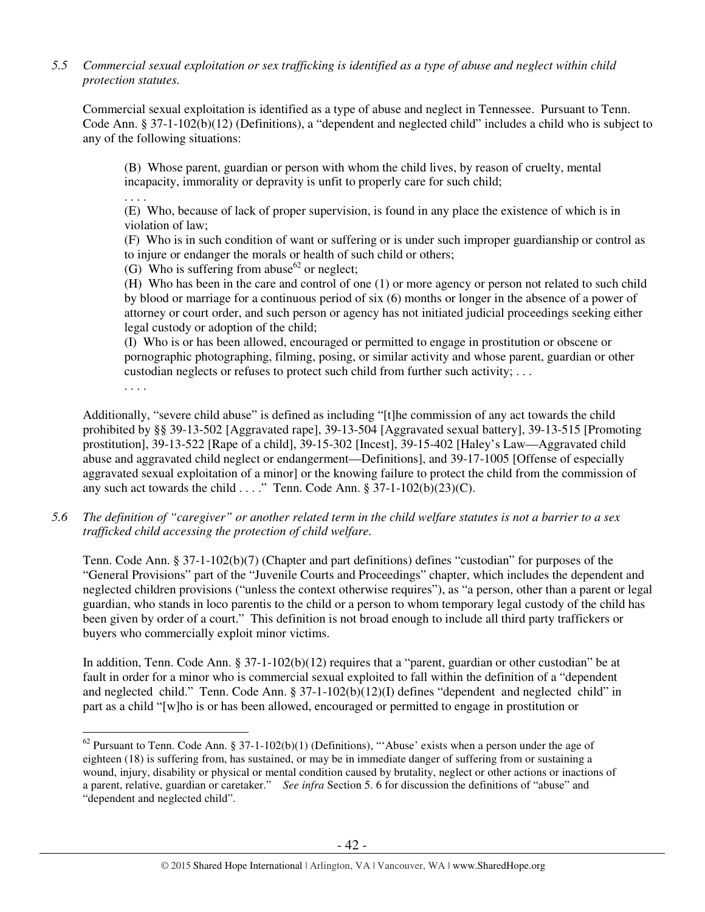# *5.5 Commercial sexual exploitation or sex trafficking is identified as a type of abuse and neglect within child protection statutes.*

Commercial sexual exploitation is identified as a type of abuse and neglect in Tennessee. Pursuant to Tenn. Code Ann. § 37-1-102(b)(12) (Definitions), a "dependent and neglected child" includes a child who is subject to any of the following situations:

(B) Whose parent, guardian or person with whom the child lives, by reason of cruelty, mental incapacity, immorality or depravity is unfit to properly care for such child;

. . . .

(E) Who, because of lack of proper supervision, is found in any place the existence of which is in violation of law;

(F) Who is in such condition of want or suffering or is under such improper guardianship or control as to injure or endanger the morals or health of such child or others;

(G) Who is suffering from abuse<sup>62</sup> or neglect;

(H) Who has been in the care and control of one (1) or more agency or person not related to such child by blood or marriage for a continuous period of six (6) months or longer in the absence of a power of attorney or court order, and such person or agency has not initiated judicial proceedings seeking either legal custody or adoption of the child;

(I) Who is or has been allowed, encouraged or permitted to engage in prostitution or obscene or pornographic photographing, filming, posing, or similar activity and whose parent, guardian or other custodian neglects or refuses to protect such child from further such activity; . . .

. . . .

 $\overline{a}$ 

Additionally, "severe child abuse" is defined as including "[t]he commission of any act towards the child prohibited by §§ 39-13-502 [Aggravated rape], 39-13-504 [Aggravated sexual battery], 39-13-515 [Promoting prostitution], 39-13-522 [Rape of a child], 39-15-302 [Incest], 39-15-402 [Haley's Law—Aggravated child abuse and aggravated child neglect or endangerment—Definitions], and 39-17-1005 [Offense of especially aggravated sexual exploitation of a minor] or the knowing failure to protect the child from the commission of any such act towards the child . . . ." Tenn. Code Ann.  $\S 37-1-102(b)(23)(C)$ .

*5.6 The definition of "caregiver" or another related term in the child welfare statutes is not a barrier to a sex trafficked child accessing the protection of child welfare.* 

Tenn. Code Ann. § 37-1-102(b)(7) (Chapter and part definitions) defines "custodian" for purposes of the "General Provisions" part of the "Juvenile Courts and Proceedings" chapter, which includes the dependent and neglected children provisions ("unless the context otherwise requires"), as "a person, other than a parent or legal guardian, who stands in loco parentis to the child or a person to whom temporary legal custody of the child has been given by order of a court." This definition is not broad enough to include all third party traffickers or buyers who commercially exploit minor victims.

In addition, Tenn. Code Ann. § 37-1-102(b)(12) requires that a "parent, guardian or other custodian" be at fault in order for a minor who is commercial sexual exploited to fall within the definition of a "dependent and neglected child." Tenn. Code Ann. § 37-1-102(b)(12)(I) defines "dependent and neglected child" in part as a child "[w]ho is or has been allowed, encouraged or permitted to engage in prostitution or

 $62$  Pursuant to Tenn. Code Ann. § 37-1-102(b)(1) (Definitions), "'Abuse' exists when a person under the age of eighteen (18) is suffering from, has sustained, or may be in immediate danger of suffering from or sustaining a wound, injury, disability or physical or mental condition caused by brutality, neglect or other actions or inactions of a parent, relative, guardian or caretaker." *See infra* Section 5. 6 for discussion the definitions of "abuse" and "dependent and neglected child".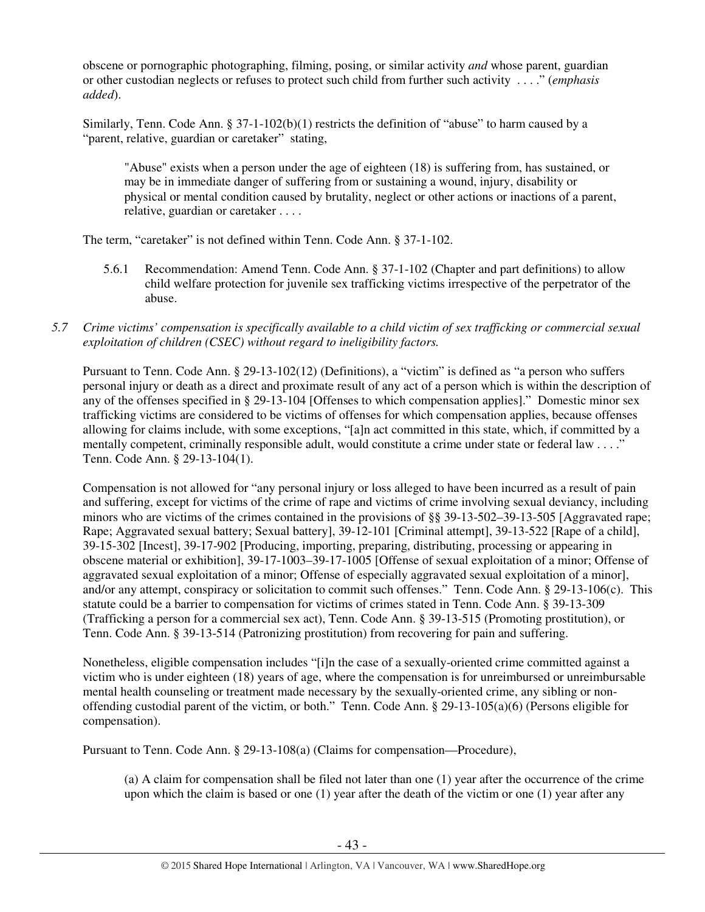obscene or pornographic photographing, filming, posing, or similar activity *and* whose parent, guardian or other custodian neglects or refuses to protect such child from further such activity . . . ." (*emphasis added*).

Similarly, Tenn. Code Ann. § 37-1-102(b)(1) restricts the definition of "abuse" to harm caused by a "parent, relative, guardian or caretaker" stating,

"Abuse" exists when a person under the age of eighteen (18) is suffering from, has sustained, or may be in immediate danger of suffering from or sustaining a wound, injury, disability or physical or mental condition caused by brutality, neglect or other actions or inactions of a parent, relative, guardian or caretaker . . . .

The term, "caretaker" is not defined within Tenn. Code Ann. § 37-1-102.

- 5.6.1 Recommendation: Amend Tenn. Code Ann. § 37-1-102 (Chapter and part definitions) to allow child welfare protection for juvenile sex trafficking victims irrespective of the perpetrator of the abuse.
- *5.7 Crime victims' compensation is specifically available to a child victim of sex trafficking or commercial sexual exploitation of children (CSEC) without regard to ineligibility factors.*

Pursuant to Tenn. Code Ann. § 29-13-102(12) (Definitions), a "victim" is defined as "a person who suffers personal injury or death as a direct and proximate result of any act of a person which is within the description of any of the offenses specified in § 29-13-104 [Offenses to which compensation applies]." Domestic minor sex trafficking victims are considered to be victims of offenses for which compensation applies, because offenses allowing for claims include, with some exceptions, "[a]n act committed in this state, which, if committed by a mentally competent, criminally responsible adult, would constitute a crime under state or federal law . . . ." Tenn. Code Ann. § 29-13-104(1).

Compensation is not allowed for "any personal injury or loss alleged to have been incurred as a result of pain and suffering, except for victims of the crime of rape and victims of crime involving sexual deviancy, including minors who are victims of the crimes contained in the provisions of §§ 39-13-502–39-13-505 [Aggravated rape; Rape; Aggravated sexual battery; Sexual battery], 39-12-101 [Criminal attempt], 39-13-522 [Rape of a child], 39-15-302 [Incest], 39-17-902 [Producing, importing, preparing, distributing, processing or appearing in obscene material or exhibition], 39-17-1003–39-17-1005 [Offense of sexual exploitation of a minor; Offense of aggravated sexual exploitation of a minor; Offense of especially aggravated sexual exploitation of a minor], and/or any attempt, conspiracy or solicitation to commit such offenses." Tenn. Code Ann. § 29-13-106(c). This statute could be a barrier to compensation for victims of crimes stated in Tenn. Code Ann. § 39-13-309 (Trafficking a person for a commercial sex act), Tenn. Code Ann. § 39-13-515 (Promoting prostitution), or Tenn. Code Ann. § 39-13-514 (Patronizing prostitution) from recovering for pain and suffering.

Nonetheless, eligible compensation includes "[i]n the case of a sexually-oriented crime committed against a victim who is under eighteen (18) years of age, where the compensation is for unreimbursed or unreimbursable mental health counseling or treatment made necessary by the sexually-oriented crime, any sibling or nonoffending custodial parent of the victim, or both." Tenn. Code Ann. § 29-13-105(a)(6) (Persons eligible for compensation).

Pursuant to Tenn. Code Ann. § 29-13-108(a) (Claims for compensation—Procedure),

(a) A claim for compensation shall be filed not later than one (1) year after the occurrence of the crime upon which the claim is based or one (1) year after the death of the victim or one (1) year after any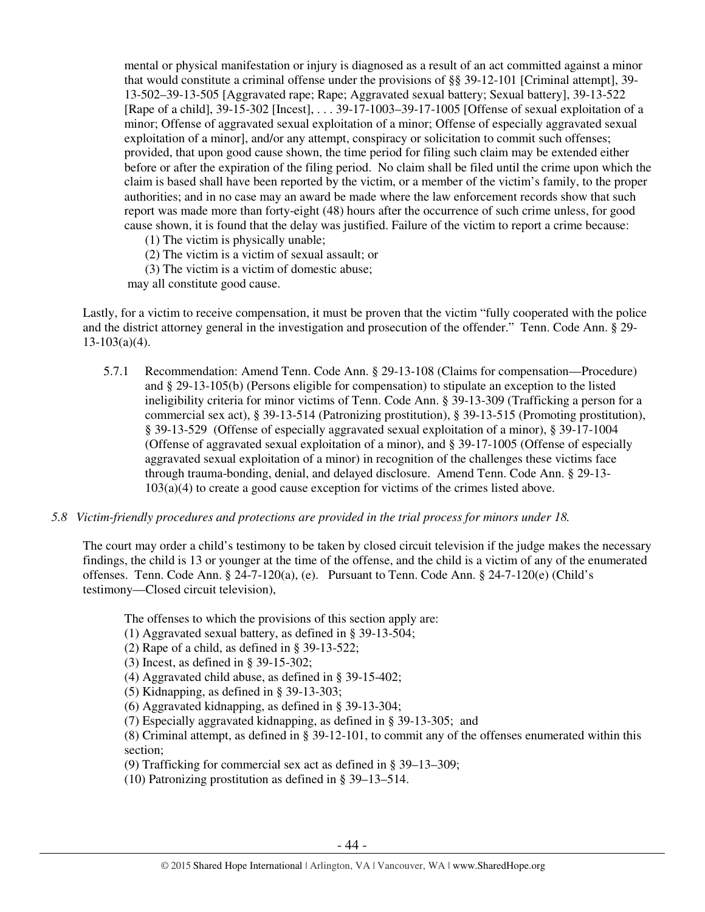mental or physical manifestation or injury is diagnosed as a result of an act committed against a minor that would constitute a criminal offense under the provisions of §§ 39-12-101 [Criminal attempt], 39- 13-502–39-13-505 [Aggravated rape; Rape; Aggravated sexual battery; Sexual battery], 39-13-522 [Rape of a child], 39-15-302 [Incest], . . . 39-17-1003–39-17-1005 [Offense of sexual exploitation of a minor; Offense of aggravated sexual exploitation of a minor; Offense of especially aggravated sexual exploitation of a minor], and/or any attempt, conspiracy or solicitation to commit such offenses; provided, that upon good cause shown, the time period for filing such claim may be extended either before or after the expiration of the filing period. No claim shall be filed until the crime upon which the claim is based shall have been reported by the victim, or a member of the victim's family, to the proper authorities; and in no case may an award be made where the law enforcement records show that such report was made more than forty-eight (48) hours after the occurrence of such crime unless, for good cause shown, it is found that the delay was justified. Failure of the victim to report a crime because:

(1) The victim is physically unable;

(2) The victim is a victim of sexual assault; or

(3) The victim is a victim of domestic abuse;

may all constitute good cause.

Lastly, for a victim to receive compensation, it must be proven that the victim "fully cooperated with the police and the district attorney general in the investigation and prosecution of the offender." Tenn. Code Ann. § 29-  $13-103(a)(4)$ .

- 5.7.1 Recommendation: Amend Tenn. Code Ann. § 29-13-108 (Claims for compensation—Procedure) and § 29-13-105(b) (Persons eligible for compensation) to stipulate an exception to the listed ineligibility criteria for minor victims of Tenn. Code Ann. § 39-13-309 (Trafficking a person for a commercial sex act), § 39-13-514 (Patronizing prostitution), § 39-13-515 (Promoting prostitution), § 39-13-529 (Offense of especially aggravated sexual exploitation of a minor), § 39-17-1004 (Offense of aggravated sexual exploitation of a minor), and § 39-17-1005 (Offense of especially aggravated sexual exploitation of a minor) in recognition of the challenges these victims face through trauma-bonding, denial, and delayed disclosure. Amend Tenn. Code Ann. § 29-13- 103(a)(4) to create a good cause exception for victims of the crimes listed above.
- *5.8 Victim-friendly procedures and protections are provided in the trial process for minors under 18.*

The court may order a child's testimony to be taken by closed circuit television if the judge makes the necessary findings, the child is 13 or younger at the time of the offense, and the child is a victim of any of the enumerated offenses. Tenn. Code Ann. § 24-7-120(a), (e). Pursuant to Tenn. Code Ann. § 24-7-120(e) (Child's testimony—Closed circuit television),

The offenses to which the provisions of this section apply are:

- (1) Aggravated sexual battery, as defined in § 39-13-504;
- (2) Rape of a child, as defined in  $\S$  39-13-522;

(3) Incest, as defined in § 39-15-302;

(4) Aggravated child abuse, as defined in § 39-15-402;

 $(5)$  Kidnapping, as defined in § 39-13-303;

(6) Aggravated kidnapping, as defined in § 39-13-304;

(7) Especially aggravated kidnapping, as defined in § 39-13-305; and

(8) Criminal attempt, as defined in § 39-12-101, to commit any of the offenses enumerated within this section;

(9) Trafficking for commercial sex act as defined in § 39–13–309;

(10) Patronizing prostitution as defined in § 39–13–514.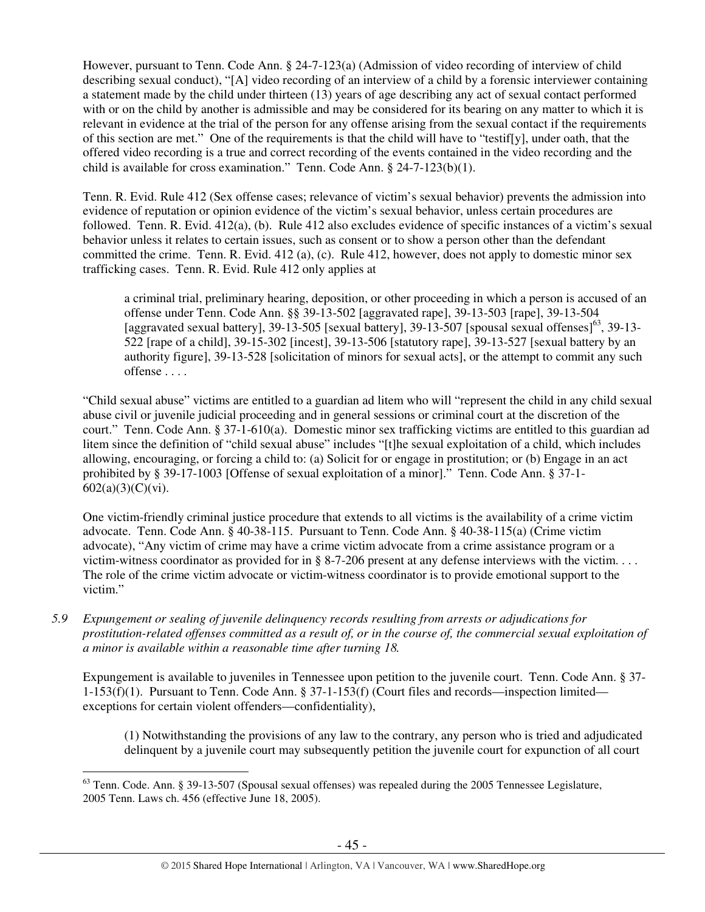However, pursuant to Tenn. Code Ann. § 24-7-123(a) (Admission of video recording of interview of child describing sexual conduct), "[A] video recording of an interview of a child by a forensic interviewer containing a statement made by the child under thirteen (13) years of age describing any act of sexual contact performed with or on the child by another is admissible and may be considered for its bearing on any matter to which it is relevant in evidence at the trial of the person for any offense arising from the sexual contact if the requirements of this section are met." One of the requirements is that the child will have to "testif[y], under oath, that the offered video recording is a true and correct recording of the events contained in the video recording and the child is available for cross examination." Tenn. Code Ann. § 24-7-123(b)(1).

Tenn. R. Evid. Rule 412 (Sex offense cases; relevance of victim's sexual behavior) prevents the admission into evidence of reputation or opinion evidence of the victim's sexual behavior, unless certain procedures are followed. Tenn. R. Evid. 412(a), (b). Rule 412 also excludes evidence of specific instances of a victim's sexual behavior unless it relates to certain issues, such as consent or to show a person other than the defendant committed the crime. Tenn. R. Evid. 412 (a), (c). Rule 412, however, does not apply to domestic minor sex trafficking cases. Tenn. R. Evid. Rule 412 only applies at

a criminal trial, preliminary hearing, deposition, or other proceeding in which a person is accused of an offense under Tenn. Code Ann. §§ 39-13-502 [aggravated rape], 39-13-503 [rape], 39-13-504 [aggravated sexual battery], 39-13-505 [sexual battery], 39-13-507 [spousal sexual offenses]<sup>63</sup>, 39-13-522 [rape of a child], 39-15-302 [incest], 39-13-506 [statutory rape], 39-13-527 [sexual battery by an authority figure], 39-13-528 [solicitation of minors for sexual acts], or the attempt to commit any such offense . . . .

"Child sexual abuse" victims are entitled to a guardian ad litem who will "represent the child in any child sexual abuse civil or juvenile judicial proceeding and in general sessions or criminal court at the discretion of the court." Tenn. Code Ann. § 37-1-610(a). Domestic minor sex trafficking victims are entitled to this guardian ad litem since the definition of "child sexual abuse" includes "[t]he sexual exploitation of a child, which includes allowing, encouraging, or forcing a child to: (a) Solicit for or engage in prostitution; or (b) Engage in an act prohibited by § 39-17-1003 [Offense of sexual exploitation of a minor]." Tenn. Code Ann. § 37-1- 602(a)(3)(C)(vi).

One victim-friendly criminal justice procedure that extends to all victims is the availability of a crime victim advocate. Tenn. Code Ann. § 40-38-115. Pursuant to Tenn. Code Ann. § 40-38-115(a) (Crime victim advocate), "Any victim of crime may have a crime victim advocate from a crime assistance program or a victim-witness coordinator as provided for in § 8-7-206 present at any defense interviews with the victim.  $\dots$ The role of the crime victim advocate or victim-witness coordinator is to provide emotional support to the victim."

*5.9 Expungement or sealing of juvenile delinquency records resulting from arrests or adjudications for prostitution-related offenses committed as a result of, or in the course of, the commercial sexual exploitation of a minor is available within a reasonable time after turning 18.* 

Expungement is available to juveniles in Tennessee upon petition to the juvenile court. Tenn. Code Ann. § 37- 1-153(f)(1). Pursuant to Tenn. Code Ann. § 37-1-153(f) (Court files and records—inspection limited exceptions for certain violent offenders—confidentiality),

(1) Notwithstanding the provisions of any law to the contrary, any person who is tried and adjudicated delinquent by a juvenile court may subsequently petition the juvenile court for expunction of all court

 $\overline{a}$  $63$  Tenn. Code. Ann. § 39-13-507 (Spousal sexual offenses) was repealed during the 2005 Tennessee Legislature, 2005 Tenn. Laws ch. 456 (effective June 18, 2005).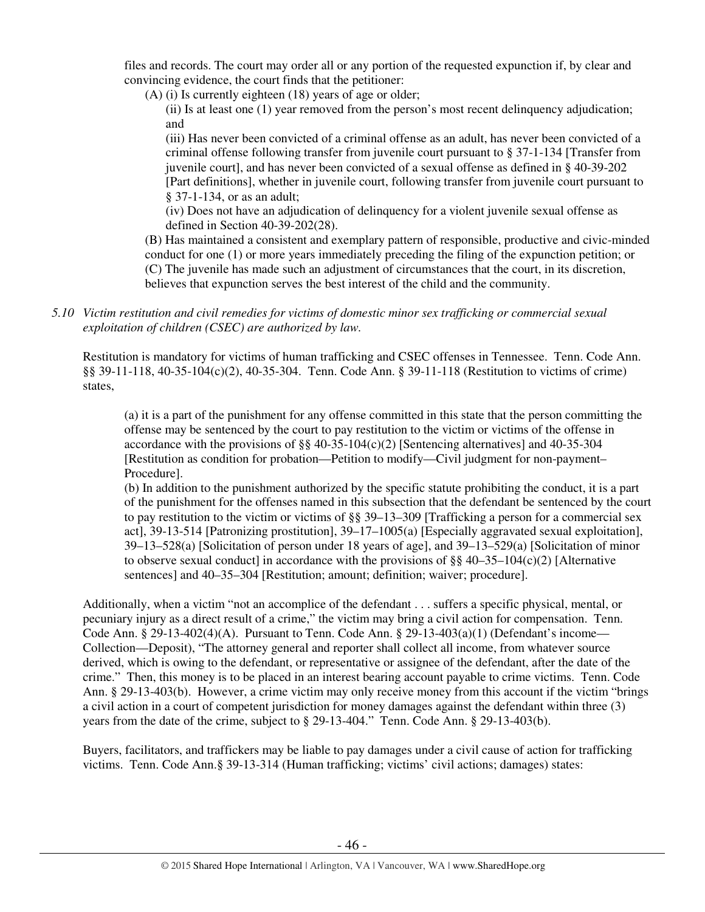files and records. The court may order all or any portion of the requested expunction if, by clear and convincing evidence, the court finds that the petitioner:

(A) (i) Is currently eighteen (18) years of age or older;

(ii) Is at least one (1) year removed from the person's most recent delinquency adjudication; and

(iii) Has never been convicted of a criminal offense as an adult, has never been convicted of a criminal offense following transfer from juvenile court pursuant to § 37-1-134 [Transfer from juvenile court], and has never been convicted of a sexual offense as defined in § 40-39-202 [Part definitions], whether in juvenile court, following transfer from juvenile court pursuant to § 37-1-134, or as an adult;

(iv) Does not have an adjudication of delinquency for a violent juvenile sexual offense as defined in Section 40-39-202(28).

(B) Has maintained a consistent and exemplary pattern of responsible, productive and civic-minded conduct for one (1) or more years immediately preceding the filing of the expunction petition; or (C) The juvenile has made such an adjustment of circumstances that the court, in its discretion, believes that expunction serves the best interest of the child and the community.

*5.10 Victim restitution and civil remedies for victims of domestic minor sex trafficking or commercial sexual exploitation of children (CSEC) are authorized by law.* 

Restitution is mandatory for victims of human trafficking and CSEC offenses in Tennessee. Tenn. Code Ann. §§ 39-11-118, 40-35-104(c)(2), 40-35-304. Tenn. Code Ann. § 39-11-118 (Restitution to victims of crime) states,

(a) it is a part of the punishment for any offense committed in this state that the person committing the offense may be sentenced by the court to pay restitution to the victim or victims of the offense in accordance with the provisions of  $\S$ § 40-35-104(c)(2) [Sentencing alternatives] and 40-35-304 [Restitution as condition for probation—Petition to modify—Civil judgment for non-payment– Procedure].

(b) In addition to the punishment authorized by the specific statute prohibiting the conduct, it is a part of the punishment for the offenses named in this subsection that the defendant be sentenced by the court to pay restitution to the victim or victims of  $\S$ § 39–13–309 [Trafficking a person for a commercial sex act], 39-13-514 [Patronizing prostitution], 39–17–1005(a) [Especially aggravated sexual exploitation], 39–13–528(a) [Solicitation of person under 18 years of age], and 39–13–529(a) [Solicitation of minor to observe sexual conduct] in accordance with the provisions of  $\S$ § 40–35–104(c)(2) [Alternative sentences] and 40–35–304 [Restitution; amount; definition; waiver; procedure].

Additionally, when a victim "not an accomplice of the defendant . . . suffers a specific physical, mental, or pecuniary injury as a direct result of a crime," the victim may bring a civil action for compensation. Tenn. Code Ann. § 29-13-402(4)(A). Pursuant to Tenn. Code Ann. § 29-13-403(a)(1) (Defendant's income— Collection—Deposit), "The attorney general and reporter shall collect all income, from whatever source derived, which is owing to the defendant, or representative or assignee of the defendant, after the date of the crime." Then, this money is to be placed in an interest bearing account payable to crime victims. Tenn. Code Ann. § 29-13-403(b). However, a crime victim may only receive money from this account if the victim "brings a civil action in a court of competent jurisdiction for money damages against the defendant within three (3) years from the date of the crime, subject to § 29-13-404." Tenn. Code Ann. § 29-13-403(b).

Buyers, facilitators, and traffickers may be liable to pay damages under a civil cause of action for trafficking victims. Tenn. Code Ann.§ 39-13-314 (Human trafficking; victims' civil actions; damages) states: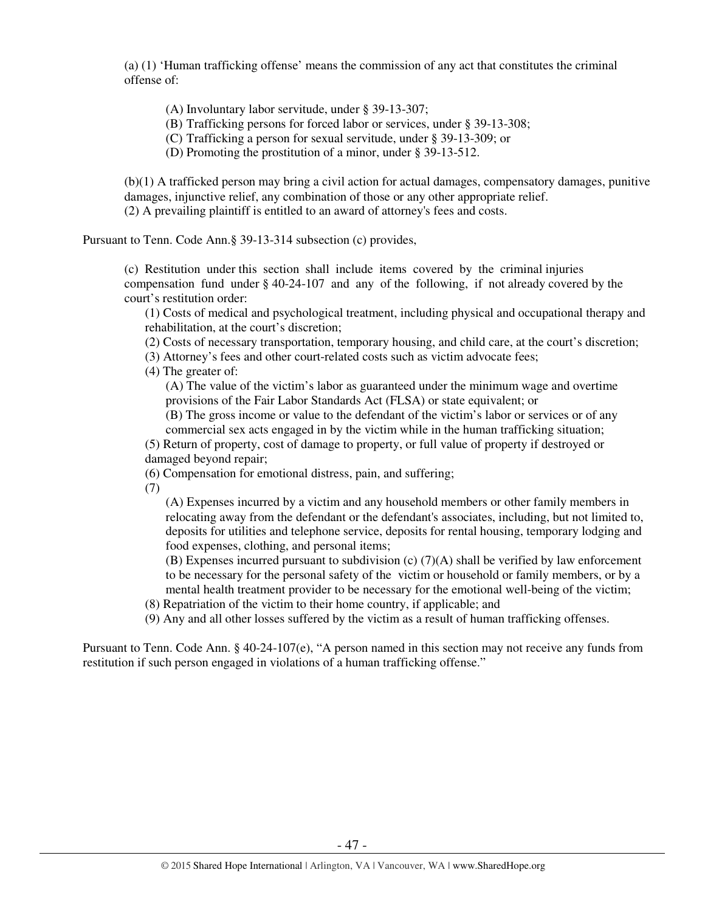(a) (1) 'Human trafficking offense' means the commission of any act that constitutes the criminal offense of:

(A) Involuntary labor servitude, under § 39-13-307;

(B) Trafficking persons for forced labor or services, under § 39-13-308;

(C) Trafficking a person for sexual servitude, under § 39-13-309; or

(D) Promoting the prostitution of a minor, under § 39-13-512.

(b)(1) A trafficked person may bring a civil action for actual damages, compensatory damages, punitive damages, injunctive relief, any combination of those or any other appropriate relief. (2) A prevailing plaintiff is entitled to an award of attorney's fees and costs.

Pursuant to Tenn. Code Ann.§ 39-13-314 subsection (c) provides,

(c) Restitution under this section shall include items covered by the criminal injuries compensation fund under § 40-24-107 and any of the following, if not already covered by the court's restitution order:

(1) Costs of medical and psychological treatment, including physical and occupational therapy and rehabilitation, at the court's discretion;

(2) Costs of necessary transportation, temporary housing, and child care, at the court's discretion;

(3) Attorney's fees and other court-related costs such as victim advocate fees;

(4) The greater of:

(A) The value of the victim's labor as guaranteed under the minimum wage and overtime provisions of the Fair Labor Standards Act (FLSA) or state equivalent; or

(B) The gross income or value to the defendant of the victim's labor or services or of any commercial sex acts engaged in by the victim while in the human trafficking situation;

(5) Return of property, cost of damage to property, or full value of property if destroyed or damaged beyond repair;

(6) Compensation for emotional distress, pain, and suffering;

(7)

(A) Expenses incurred by a victim and any household members or other family members in relocating away from the defendant or the defendant's associates, including, but not limited to, deposits for utilities and telephone service, deposits for rental housing, temporary lodging and food expenses, clothing, and personal items;

(B) Expenses incurred pursuant to subdivision (c) (7)(A) shall be verified by law enforcement to be necessary for the personal safety of the victim or household or family members, or by a mental health treatment provider to be necessary for the emotional well-being of the victim;

(8) Repatriation of the victim to their home country, if applicable; and

(9) Any and all other losses suffered by the victim as a result of human trafficking offenses.

Pursuant to Tenn. Code Ann. § 40-24-107(e), "A person named in this section may not receive any funds from restitution if such person engaged in violations of a human trafficking offense."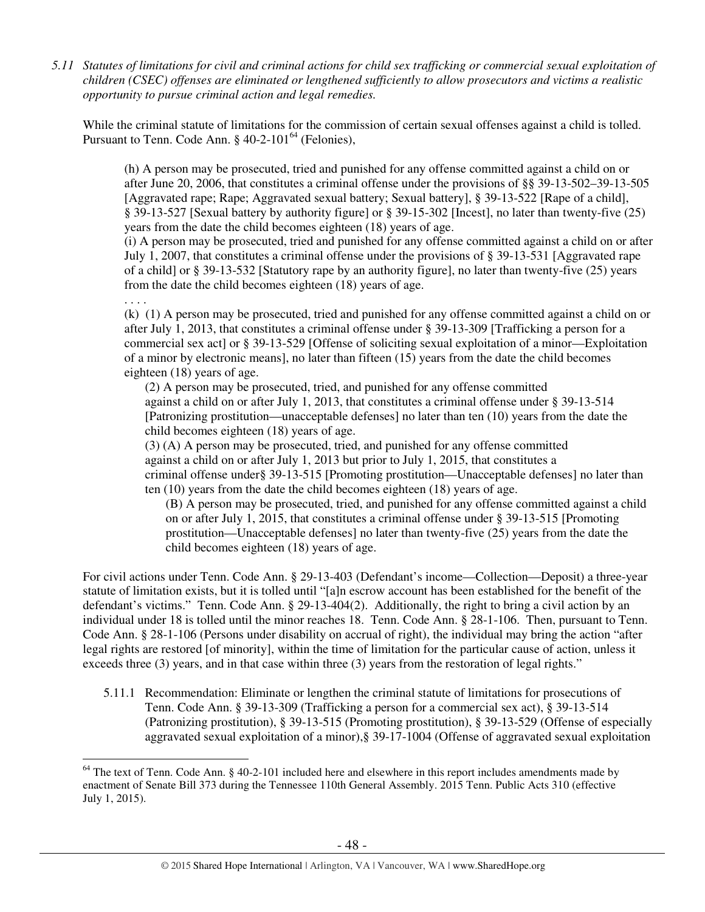*5.11 Statutes of limitations for civil and criminal actions for child sex trafficking or commercial sexual exploitation of children (CSEC) offenses are eliminated or lengthened sufficiently to allow prosecutors and victims a realistic opportunity to pursue criminal action and legal remedies.* 

While the criminal statute of limitations for the commission of certain sexual offenses against a child is tolled. Pursuant to Tenn. Code Ann.  $\S$  40-2-101<sup>64</sup> (Felonies),

(h) A person may be prosecuted, tried and punished for any offense committed against a child on or after June 20, 2006, that constitutes a criminal offense under the provisions of §§ 39-13-502–39-13-505 [Aggravated rape; Rape; Aggravated sexual battery; Sexual battery], § 39-13-522 [Rape of a child], § 39-13-527 [Sexual battery by authority figure] or § 39-15-302 [Incest], no later than twenty-five (25) years from the date the child becomes eighteen (18) years of age.

(i) A person may be prosecuted, tried and punished for any offense committed against a child on or after July 1, 2007, that constitutes a criminal offense under the provisions of § 39-13-531 [Aggravated rape of a child] or § 39-13-532 [Statutory rape by an authority figure], no later than twenty-five (25) years from the date the child becomes eighteen (18) years of age.

. . . .

(k) (1) A person may be prosecuted, tried and punished for any offense committed against a child on or after July 1, 2013, that constitutes a criminal offense under § 39-13-309 [Trafficking a person for a commercial sex act] or § 39-13-529 [Offense of soliciting sexual exploitation of a minor—Exploitation of a minor by electronic means], no later than fifteen (15) years from the date the child becomes eighteen (18) years of age.

 (2) A person may be prosecuted, tried, and punished for any offense committed against a child on or after July 1, 2013, that constitutes a criminal offense under § 39-13-514 [Patronizing prostitution—unacceptable defenses] no later than ten (10) years from the date the child becomes eighteen (18) years of age.

(3) (A) A person may be prosecuted, tried, and punished for any offense committed against a child on or after July 1, 2013 but prior to July 1, 2015, that constitutes a criminal offense under§ 39-13-515 [Promoting prostitution—Unacceptable defenses] no later than ten (10) years from the date the child becomes eighteen (18) years of age.

(B) A person may be prosecuted, tried, and punished for any offense committed against a child on or after July 1, 2015, that constitutes a criminal offense under § 39-13-515 [Promoting prostitution—Unacceptable defenses] no later than twenty-five (25) years from the date the child becomes eighteen (18) years of age.

For civil actions under Tenn. Code Ann. § 29-13-403 (Defendant's income—Collection—Deposit) a three-year statute of limitation exists, but it is tolled until "[a]n escrow account has been established for the benefit of the defendant's victims." Tenn. Code Ann. § 29-13-404(2). Additionally, the right to bring a civil action by an individual under 18 is tolled until the minor reaches 18. Tenn. Code Ann. § 28-1-106. Then, pursuant to Tenn. Code Ann. § 28-1-106 (Persons under disability on accrual of right), the individual may bring the action "after legal rights are restored [of minority], within the time of limitation for the particular cause of action, unless it exceeds three (3) years, and in that case within three (3) years from the restoration of legal rights."

5.11.1 Recommendation: Eliminate or lengthen the criminal statute of limitations for prosecutions of Tenn. Code Ann. § 39-13-309 (Trafficking a person for a commercial sex act), § 39-13-514 (Patronizing prostitution), § 39-13-515 (Promoting prostitution), § 39-13-529 (Offense of especially aggravated sexual exploitation of a minor),§ 39-17-1004 (Offense of aggravated sexual exploitation

 $\overline{a}$  $64$  The text of Tenn. Code Ann. § 40-2-101 included here and elsewhere in this report includes amendments made by enactment of Senate Bill 373 during the Tennessee 110th General Assembly. 2015 Tenn. Public Acts 310 (effective July 1, 2015).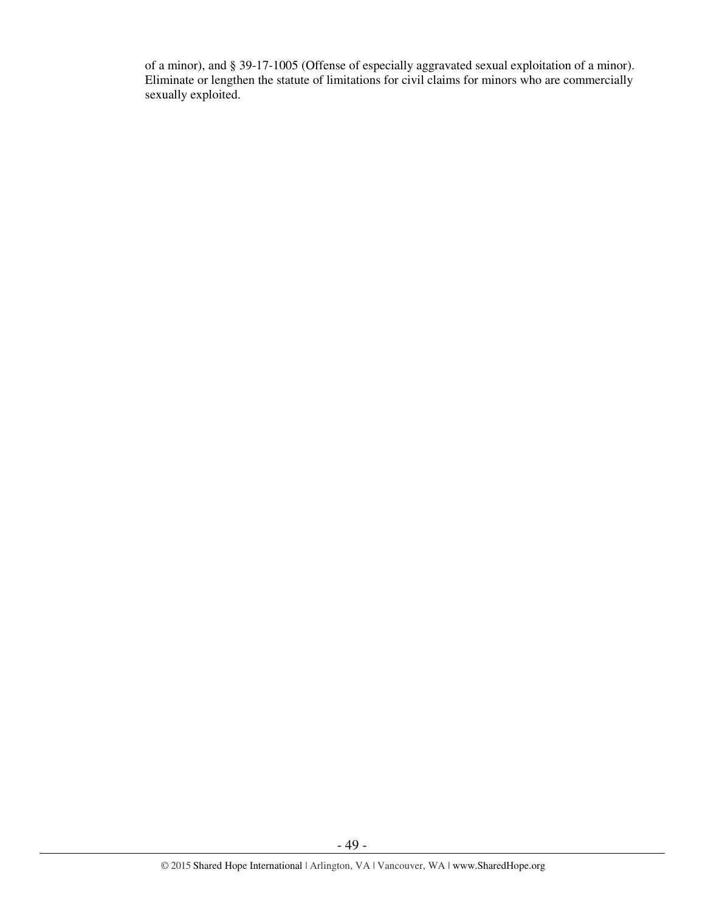of a minor), and § 39-17-1005 (Offense of especially aggravated sexual exploitation of a minor). Eliminate or lengthen the statute of limitations for civil claims for minors who are commercially sexually exploited.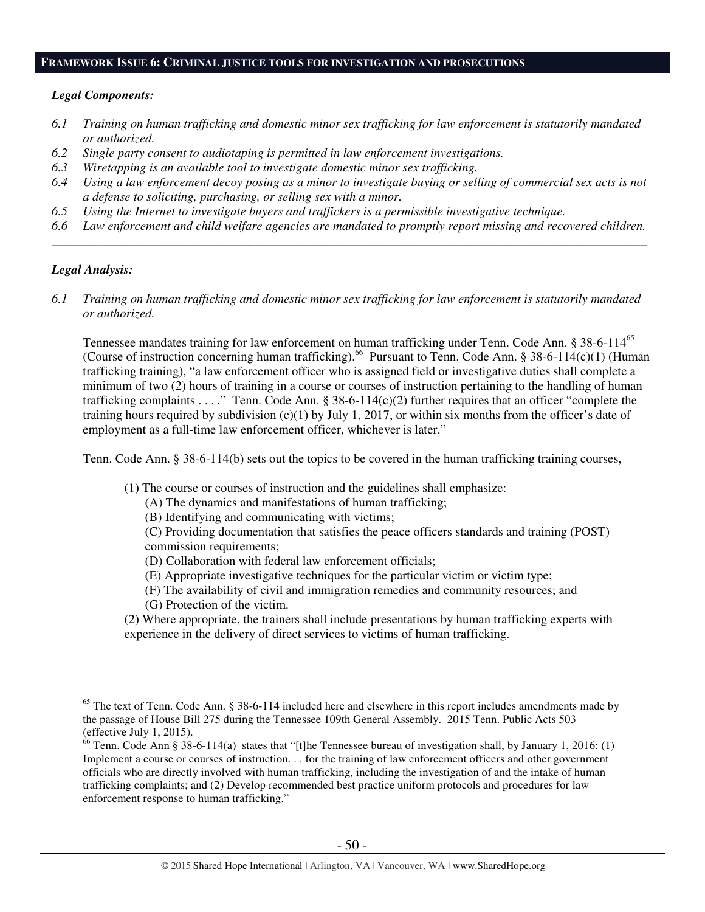#### **FRAMEWORK ISSUE 6: CRIMINAL JUSTICE TOOLS FOR INVESTIGATION AND PROSECUTIONS**

## *Legal Components:*

- *6.1 Training on human trafficking and domestic minor sex trafficking for law enforcement is statutorily mandated or authorized.*
- *6.2 Single party consent to audiotaping is permitted in law enforcement investigations.*
- *6.3 Wiretapping is an available tool to investigate domestic minor sex trafficking.*
- *6.4 Using a law enforcement decoy posing as a minor to investigate buying or selling of commercial sex acts is not a defense to soliciting, purchasing, or selling sex with a minor.*
- *6.5 Using the Internet to investigate buyers and traffickers is a permissible investigative technique.*
- *6.6 Law enforcement and child welfare agencies are mandated to promptly report missing and recovered children. \_\_\_\_\_\_\_\_\_\_\_\_\_\_\_\_\_\_\_\_\_\_\_\_\_\_\_\_\_\_\_\_\_\_\_\_\_\_\_\_\_\_\_\_\_\_\_\_\_\_\_\_\_\_\_\_\_\_\_\_\_\_\_\_\_\_\_\_\_\_\_\_\_\_\_\_\_\_\_\_\_\_\_\_\_\_\_\_\_\_\_\_\_\_*

## *Legal Analysis:*

 $\overline{a}$ 

*6.1 Training on human trafficking and domestic minor sex trafficking for law enforcement is statutorily mandated or authorized.*

Tennessee mandates training for law enforcement on human trafficking under Tenn. Code Ann. § 38-6-114<sup>65</sup> (Course of instruction concerning human trafficking).<sup>66</sup> Pursuant to Tenn. Code Ann. § 38-6-114(c)(1) (Human trafficking training), "a law enforcement officer who is assigned field or investigative duties shall complete a minimum of two (2) hours of training in a course or courses of instruction pertaining to the handling of human trafficking complaints . . . ." Tenn. Code Ann. § 38-6-114(c)(2) further requires that an officer "complete the training hours required by subdivision  $(c)(1)$  by July 1, 2017, or within six months from the officer's date of employment as a full-time law enforcement officer, whichever is later."

Tenn. Code Ann. § 38-6-114(b) sets out the topics to be covered in the human trafficking training courses,

- (1) The course or courses of instruction and the guidelines shall emphasize:
	- (A) The dynamics and manifestations of human trafficking;
	- (B) Identifying and communicating with victims;

(C) Providing documentation that satisfies the peace officers standards and training (POST) commission requirements;

- (D) Collaboration with federal law enforcement officials;
- (E) Appropriate investigative techniques for the particular victim or victim type;
- (F) The availability of civil and immigration remedies and community resources; and
- (G) Protection of the victim.

(2) Where appropriate, the trainers shall include presentations by human trafficking experts with experience in the delivery of direct services to victims of human trafficking.

 $65$  The text of Tenn. Code Ann. § 38-6-114 included here and elsewhere in this report includes amendments made by the passage of House Bill 275 during the Tennessee 109th General Assembly. 2015 Tenn. Public Acts 503 (effective July 1, 2015).

 $66$  Tenn. Code Ann § 38-6-114(a) states that "[t]he Tennessee bureau of investigation shall, by January 1, 2016: (1) Implement a course or courses of instruction. . . for the training of law enforcement officers and other government officials who are directly involved with human trafficking, including the investigation of and the intake of human trafficking complaints; and (2) Develop recommended best practice uniform protocols and procedures for law enforcement response to human trafficking."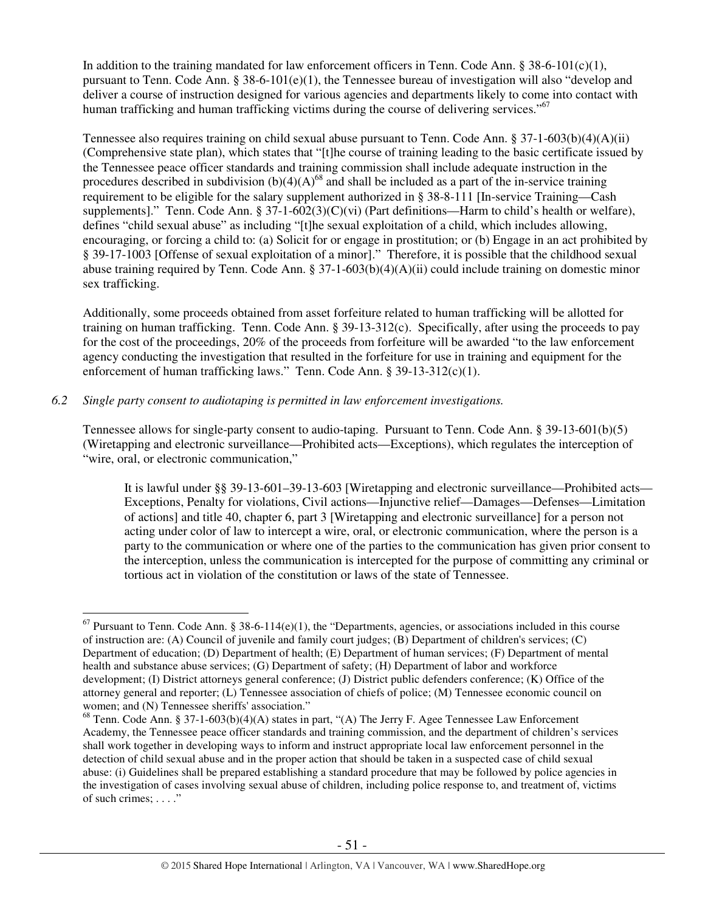In addition to the training mandated for law enforcement officers in Tenn. Code Ann. § 38-6-101(c)(1), pursuant to Tenn. Code Ann.  $\S 38-6-101(e)(1)$ , the Tennessee bureau of investigation will also "develop and deliver a course of instruction designed for various agencies and departments likely to come into contact with human trafficking and human trafficking victims during the course of delivering services."<sup>67</sup>

Tennessee also requires training on child sexual abuse pursuant to Tenn. Code Ann. § 37-1-603(b)(4)(A)(ii) (Comprehensive state plan), which states that "[t]he course of training leading to the basic certificate issued by the Tennessee peace officer standards and training commission shall include adequate instruction in the procedures described in subdivision  $(b)(4)(A)^{68}$  and shall be included as a part of the in-service training requirement to be eligible for the salary supplement authorized in § 38-8-111 [In-service Training—Cash supplements]." Tenn. Code Ann. § 37-1-602(3)(C)(vi) (Part definitions—Harm to child's health or welfare), defines "child sexual abuse" as including "[t]he sexual exploitation of a child, which includes allowing, encouraging, or forcing a child to: (a) Solicit for or engage in prostitution; or (b) Engage in an act prohibited by § 39-17-1003 [Offense of sexual exploitation of a minor]." Therefore, it is possible that the childhood sexual abuse training required by Tenn. Code Ann. § 37-1-603(b)(4)(A)(ii) could include training on domestic minor sex trafficking.

Additionally, some proceeds obtained from asset forfeiture related to human trafficking will be allotted for training on human trafficking. Tenn. Code Ann. § 39-13-312(c). Specifically, after using the proceeds to pay for the cost of the proceedings, 20% of the proceeds from forfeiture will be awarded "to the law enforcement agency conducting the investigation that resulted in the forfeiture for use in training and equipment for the enforcement of human trafficking laws." Tenn. Code Ann. § 39-13-312(c)(1).

# *6.2 Single party consent to audiotaping is permitted in law enforcement investigations.*

Tennessee allows for single-party consent to audio-taping. Pursuant to Tenn. Code Ann. § 39-13-601(b)(5) (Wiretapping and electronic surveillance—Prohibited acts—Exceptions), which regulates the interception of "wire, oral, or electronic communication,"

It is lawful under §§ 39-13-601–39-13-603 [Wiretapping and electronic surveillance—Prohibited acts— Exceptions, Penalty for violations, Civil actions—Injunctive relief—Damages—Defenses—Limitation of actions] and title 40, chapter 6, part 3 [Wiretapping and electronic surveillance] for a person not acting under color of law to intercept a wire, oral, or electronic communication, where the person is a party to the communication or where one of the parties to the communication has given prior consent to the interception, unless the communication is intercepted for the purpose of committing any criminal or tortious act in violation of the constitution or laws of the state of Tennessee.

 $\overline{a}$  $67$  Pursuant to Tenn. Code Ann. § 38-6-114(e)(1), the "Departments, agencies, or associations included in this course of instruction are: (A) Council of juvenile and family court judges; (B) Department of children's services; (C) Department of education; (D) Department of health; (E) Department of human services; (F) Department of mental health and substance abuse services; (G) Department of safety; (H) Department of labor and workforce development; (I) District attorneys general conference; (J) District public defenders conference; (K) Office of the attorney general and reporter; (L) Tennessee association of chiefs of police; (M) Tennessee economic council on women; and (N) Tennessee sheriffs' association."

 $68$  Tenn. Code Ann. § 37-1-603(b)(4)(A) states in part, "(A) The Jerry F. Agee Tennessee Law Enforcement Academy, the Tennessee peace officer standards and training commission, and the department of children's services shall work together in developing ways to inform and instruct appropriate local law enforcement personnel in the detection of child sexual abuse and in the proper action that should be taken in a suspected case of child sexual abuse: (i) Guidelines shall be prepared establishing a standard procedure that may be followed by police agencies in the investigation of cases involving sexual abuse of children, including police response to, and treatment of, victims of such crimes; . . . ."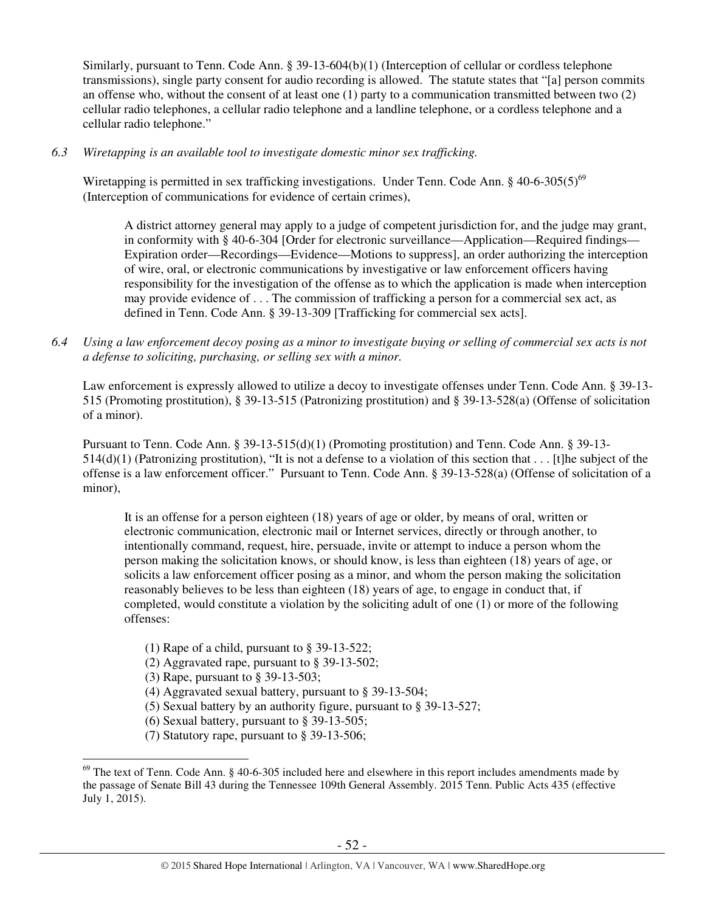Similarly, pursuant to Tenn. Code Ann. § 39-13-604(b)(1) (Interception of cellular or cordless telephone transmissions), single party consent for audio recording is allowed. The statute states that "[a] person commits an offense who, without the consent of at least one (1) party to a communication transmitted between two (2) cellular radio telephones, a cellular radio telephone and a landline telephone, or a cordless telephone and a cellular radio telephone."

*6.3 Wiretapping is an available tool to investigate domestic minor sex trafficking.* 

Wiretapping is permitted in sex trafficking investigations. Under Tenn. Code Ann. § 40-6-305(5)<sup>69</sup> (Interception of communications for evidence of certain crimes),

A district attorney general may apply to a judge of competent jurisdiction for, and the judge may grant, in conformity with § 40-6-304 [Order for electronic surveillance—Application—Required findings— Expiration order—Recordings—Evidence—Motions to suppress], an order authorizing the interception of wire, oral, or electronic communications by investigative or law enforcement officers having responsibility for the investigation of the offense as to which the application is made when interception may provide evidence of . . . The commission of trafficking a person for a commercial sex act, as defined in Tenn. Code Ann. § 39-13-309 [Trafficking for commercial sex acts].

*6.4 Using a law enforcement decoy posing as a minor to investigate buying or selling of commercial sex acts is not a defense to soliciting, purchasing, or selling sex with a minor.* 

Law enforcement is expressly allowed to utilize a decoy to investigate offenses under Tenn. Code Ann. § 39-13- 515 (Promoting prostitution), § 39-13-515 (Patronizing prostitution) and § 39-13-528(a) (Offense of solicitation of a minor).

Pursuant to Tenn. Code Ann. § 39-13-515(d)(1) (Promoting prostitution) and Tenn. Code Ann. § 39-13-  $514(d)(1)$  (Patronizing prostitution), "It is not a defense to a violation of this section that . . . [t]he subject of the offense is a law enforcement officer." Pursuant to Tenn. Code Ann. § 39-13-528(a) (Offense of solicitation of a minor),

It is an offense for a person eighteen (18) years of age or older, by means of oral, written or electronic communication, electronic mail or Internet services, directly or through another, to intentionally command, request, hire, persuade, invite or attempt to induce a person whom the person making the solicitation knows, or should know, is less than eighteen (18) years of age, or solicits a law enforcement officer posing as a minor, and whom the person making the solicitation reasonably believes to be less than eighteen (18) years of age, to engage in conduct that, if completed, would constitute a violation by the soliciting adult of one (1) or more of the following offenses:

- (1) Rape of a child, pursuant to § 39-13-522;
- (2) Aggravated rape, pursuant to § 39-13-502;
- (3) Rape, pursuant to § 39-13-503;

- (4) Aggravated sexual battery, pursuant to § 39-13-504;
- (5) Sexual battery by an authority figure, pursuant to § 39-13-527;
- (6) Sexual battery, pursuant to § 39-13-505;
- (7) Statutory rape, pursuant to § 39-13-506;

 $^{69}$  The text of Tenn. Code Ann. § 40-6-305 included here and elsewhere in this report includes amendments made by the passage of Senate Bill 43 during the Tennessee 109th General Assembly. 2015 Tenn. Public Acts 435 (effective July 1, 2015).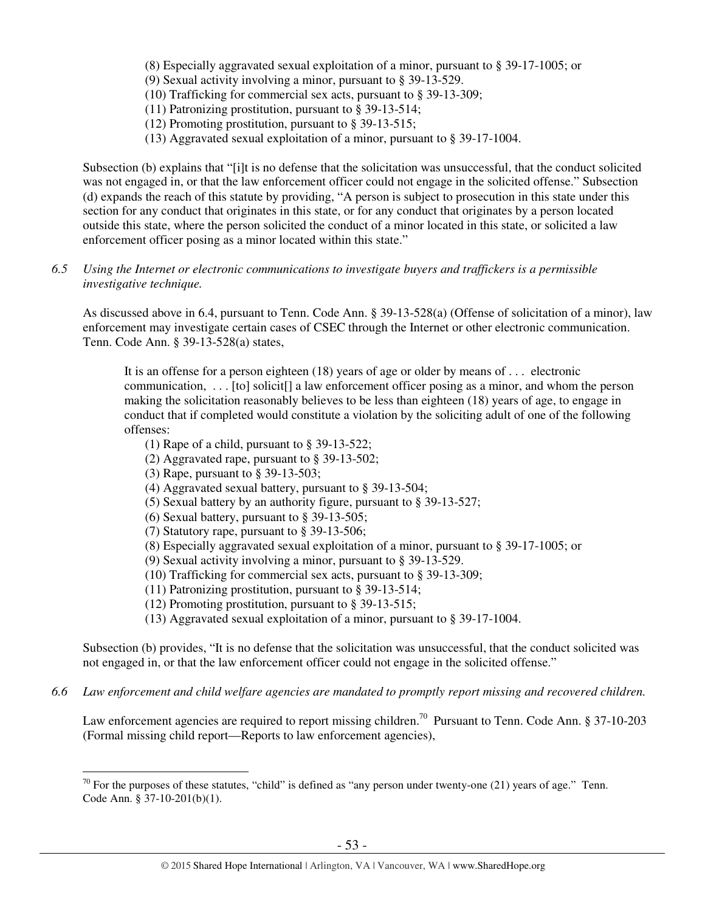- (8) Especially aggravated sexual exploitation of a minor, pursuant to § 39-17-1005; or
- (9) Sexual activity involving a minor, pursuant to § 39-13-529.
- (10) Trafficking for commercial sex acts, pursuant to § 39-13-309;
- (11) Patronizing prostitution, pursuant to § 39-13-514;
- (12) Promoting prostitution, pursuant to § 39-13-515;
- (13) Aggravated sexual exploitation of a minor, pursuant to § 39-17-1004.

Subsection (b) explains that "[i]t is no defense that the solicitation was unsuccessful, that the conduct solicited was not engaged in, or that the law enforcement officer could not engage in the solicited offense." Subsection (d) expands the reach of this statute by providing, "A person is subject to prosecution in this state under this section for any conduct that originates in this state, or for any conduct that originates by a person located outside this state, where the person solicited the conduct of a minor located in this state, or solicited a law enforcement officer posing as a minor located within this state."

*6.5 Using the Internet or electronic communications to investigate buyers and traffickers is a permissible investigative technique.* 

As discussed above in 6.4, pursuant to Tenn. Code Ann. § 39-13-528(a) (Offense of solicitation of a minor), law enforcement may investigate certain cases of CSEC through the Internet or other electronic communication. Tenn. Code Ann. § 39-13-528(a) states,

It is an offense for a person eighteen (18) years of age or older by means of . . . electronic communication, . . . [to] solicit[] a law enforcement officer posing as a minor, and whom the person making the solicitation reasonably believes to be less than eighteen (18) years of age, to engage in conduct that if completed would constitute a violation by the soliciting adult of one of the following offenses:

- (1) Rape of a child, pursuant to § 39-13-522;
- (2) Aggravated rape, pursuant to § 39-13-502;
- (3) Rape, pursuant to § 39-13-503;

 $\overline{a}$ 

- (4) Aggravated sexual battery, pursuant to § 39-13-504;
- (5) Sexual battery by an authority figure, pursuant to § 39-13-527;
- (6) Sexual battery, pursuant to § 39-13-505;
- (7) Statutory rape, pursuant to § 39-13-506;
- (8) Especially aggravated sexual exploitation of a minor, pursuant to § 39-17-1005; or
- (9) Sexual activity involving a minor, pursuant to § 39-13-529.
- (10) Trafficking for commercial sex acts, pursuant to § 39-13-309;
- (11) Patronizing prostitution, pursuant to § 39-13-514;
- (12) Promoting prostitution, pursuant to § 39-13-515;
- (13) Aggravated sexual exploitation of a minor, pursuant to § 39-17-1004.

Subsection (b) provides, "It is no defense that the solicitation was unsuccessful, that the conduct solicited was not engaged in, or that the law enforcement officer could not engage in the solicited offense."

*6.6 Law enforcement and child welfare agencies are mandated to promptly report missing and recovered children.* 

Law enforcement agencies are required to report missing children.<sup>70</sup> Pursuant to Tenn. Code Ann. § 37-10-203 (Formal missing child report—Reports to law enforcement agencies),

 $70$  For the purposes of these statutes, "child" is defined as "any person under twenty-one (21) years of age." Tenn. Code Ann. § 37-10-201(b)(1).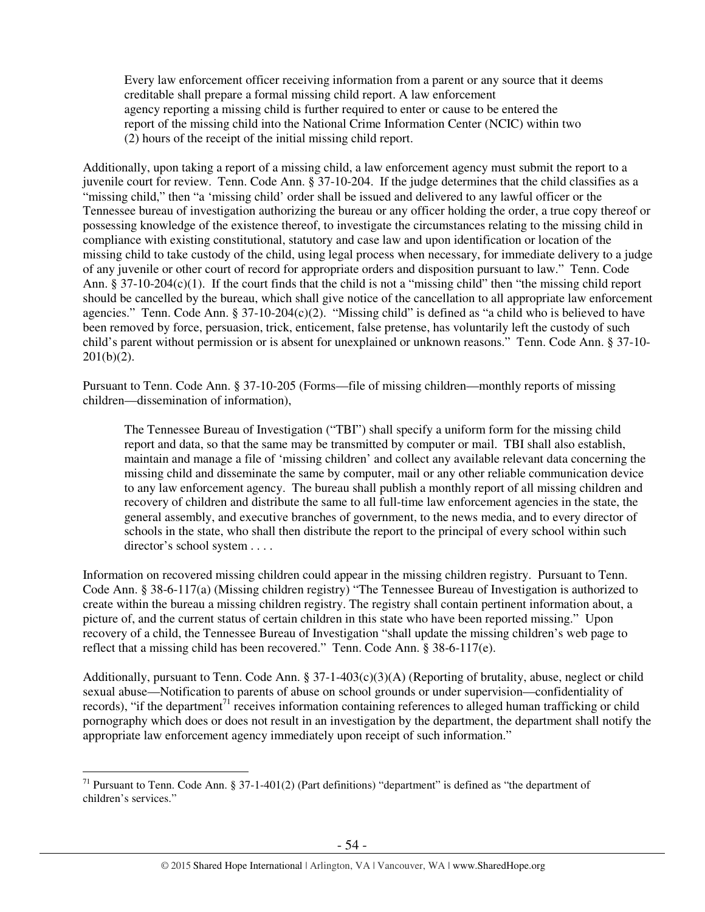Every law enforcement officer receiving information from a parent or any source that it deems creditable shall prepare a formal missing child report. A law enforcement agency reporting a missing child is further required to enter or cause to be entered the report of the missing child into the National Crime Information Center (NCIC) within two (2) hours of the receipt of the initial missing child report.

Additionally, upon taking a report of a missing child, a law enforcement agency must submit the report to a juvenile court for review. Tenn. Code Ann. § 37-10-204. If the judge determines that the child classifies as a "missing child," then "a 'missing child' order shall be issued and delivered to any lawful officer or the Tennessee bureau of investigation authorizing the bureau or any officer holding the order, a true copy thereof or possessing knowledge of the existence thereof, to investigate the circumstances relating to the missing child in compliance with existing constitutional, statutory and case law and upon identification or location of the missing child to take custody of the child, using legal process when necessary, for immediate delivery to a judge of any juvenile or other court of record for appropriate orders and disposition pursuant to law." Tenn. Code Ann. § 37-10-204(c)(1). If the court finds that the child is not a "missing child" then "the missing child report should be cancelled by the bureau, which shall give notice of the cancellation to all appropriate law enforcement agencies." Tenn. Code Ann. § 37-10-204(c)(2). "Missing child" is defined as "a child who is believed to have been removed by force, persuasion, trick, enticement, false pretense, has voluntarily left the custody of such child's parent without permission or is absent for unexplained or unknown reasons." Tenn. Code Ann. § 37-10-  $201(b)(2)$ .

Pursuant to Tenn. Code Ann. § 37-10-205 (Forms—file of missing children—monthly reports of missing children—dissemination of information),

The Tennessee Bureau of Investigation ("TBI") shall specify a uniform form for the missing child report and data, so that the same may be transmitted by computer or mail. TBI shall also establish, maintain and manage a file of 'missing children' and collect any available relevant data concerning the missing child and disseminate the same by computer, mail or any other reliable communication device to any law enforcement agency. The bureau shall publish a monthly report of all missing children and recovery of children and distribute the same to all full-time law enforcement agencies in the state, the general assembly, and executive branches of government, to the news media, and to every director of schools in the state, who shall then distribute the report to the principal of every school within such director's school system . . . .

Information on recovered missing children could appear in the missing children registry. Pursuant to Tenn. Code Ann. § 38-6-117(a) (Missing children registry) "The Tennessee Bureau of Investigation is authorized to create within the bureau a missing children registry. The registry shall contain pertinent information about, a picture of, and the current status of certain children in this state who have been reported missing." Upon recovery of a child, the Tennessee Bureau of Investigation "shall update the missing children's web page to reflect that a missing child has been recovered." Tenn. Code Ann. § 38-6-117(e).

Additionally, pursuant to Tenn. Code Ann. § 37-1-403(c)(3)(A) (Reporting of brutality, abuse, neglect or child sexual abuse—Notification to parents of abuse on school grounds or under supervision—confidentiality of records), "if the department<sup>71</sup> receives information containing references to alleged human trafficking or child pornography which does or does not result in an investigation by the department, the department shall notify the appropriate law enforcement agency immediately upon receipt of such information."

<sup>&</sup>lt;sup>71</sup> Pursuant to Tenn. Code Ann. § 37-1-401(2) (Part definitions) "department" is defined as "the department of children's services."